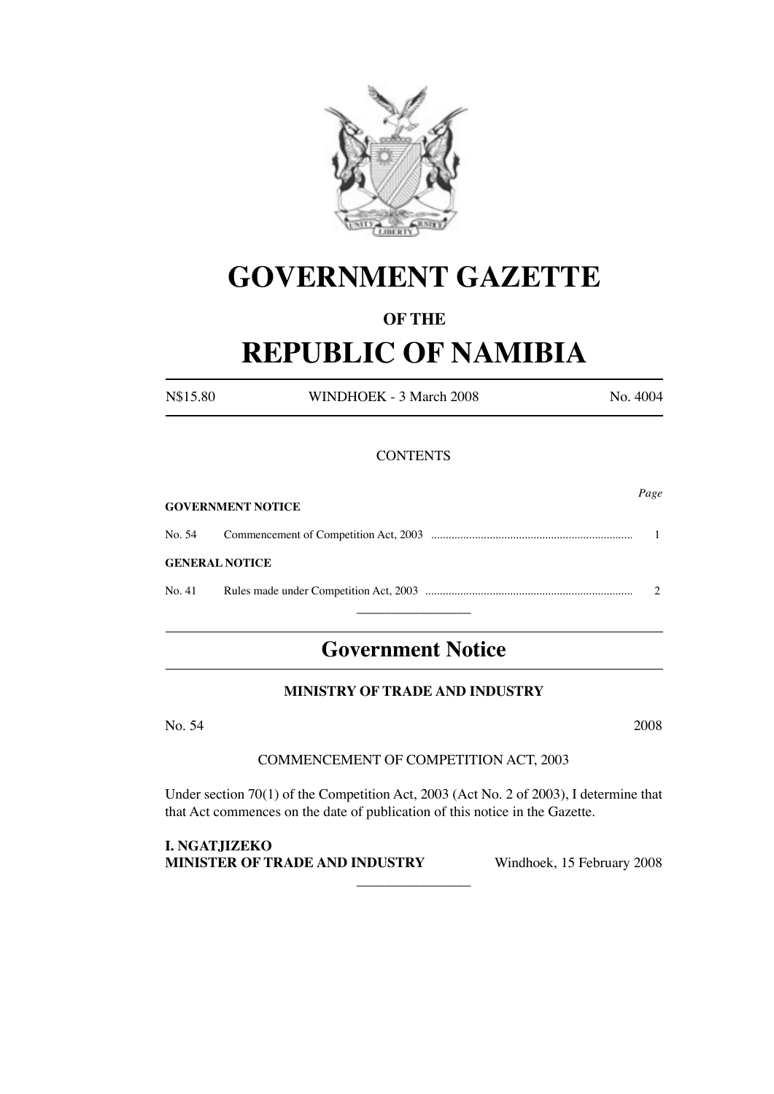

# **GOVERNMENT GAZETTE**

# **OF THE**

# **REPUBLIC OF NAMIBIA**

N\$15.80 WINDHOEK - 3 March 2008 No. 4004

# **CONTENTS**

|                       | <b>GOVERNMENT NOTICE</b> | Page |
|-----------------------|--------------------------|------|
|                       |                          |      |
| <b>GENERAL NOTICE</b> |                          |      |
| No. 41                |                          |      |
|                       |                          |      |

# **Government Notice**

# **MINISTRY OF TRADE AND INDUSTRY**

No. 54 2008

# COMMENCEMENT OF COMPETITION ACT, 2003

Under section 70(1) of the Competition Act, 2003 (Act No. 2 of 2003), I determine that that Act commences on the date of publication of this notice in the Gazette.

 $\overline{\phantom{a}}$  , where  $\overline{\phantom{a}}$ 

**I. NGATJIZEKO MINISTER OF TRADE AND INDUSTRY** Windhoek, 15 February 2008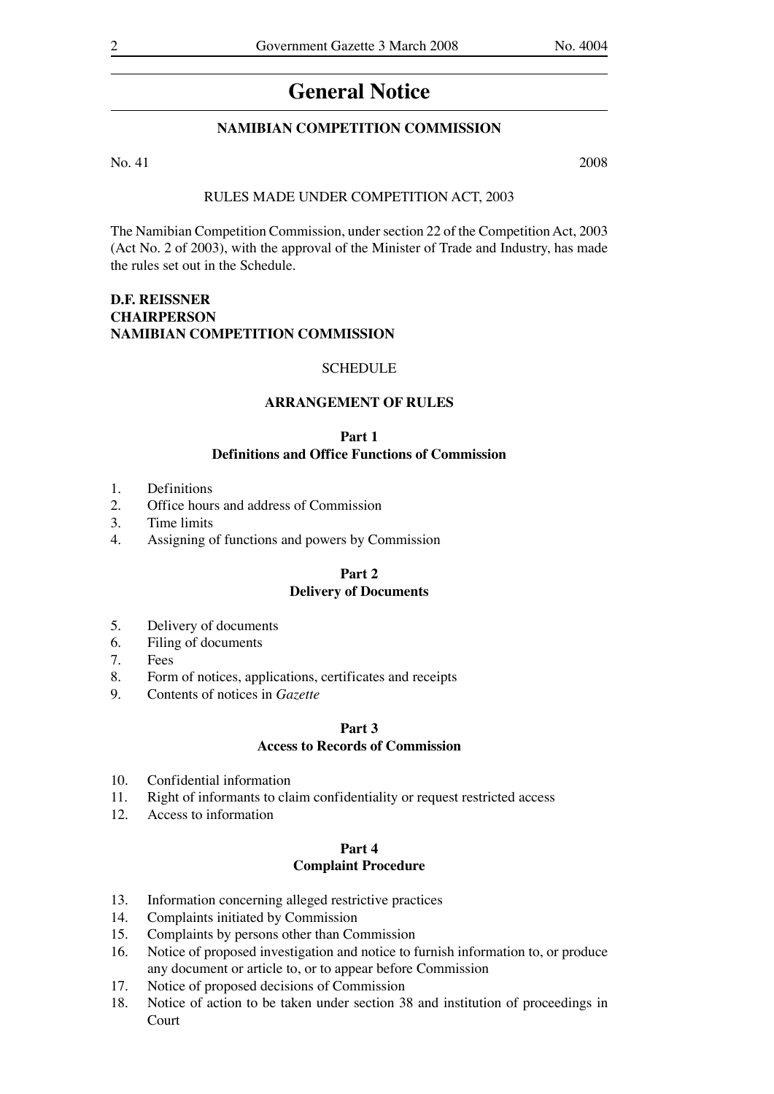# **General Notice**

# **NAMIBIAN COMPETITION COMMISSION**

### No. 41 2008

### RULES MADE UNDER COMPETITION ACT, 2003

The Namibian Competition Commission, under section 22 of the Competition Act, 2003 (Act No. 2 of 2003), with the approval of the Minister of Trade and Industry, has made the rules set out in the Schedule.

# **D.F. REISSNER CHAIRPERSON NAMIBIAN COMPETITION COMMISSION**

### **SCHEDULE**

### **ARRANGEMENT OF RULES**

### **Part 1 Definitions and Office Functions of Commission**

- 1. Definitions
- 2. Office hours and address of Commission
- 3. Time limits
- 4. Assigning of functions and powers by Commission

### **Part 2**

### **Delivery of Documents**

- 5. Delivery of documents
- 6. Filing of documents
- 7. Fees
- 8. Form of notices, applications, certificates and receipts
- 9. Contents of notices in *Gazette*

# **Part 3 Access to Records of Commission**

- 10. Confidential information
- 11. Right of informants to claim confidentiality or request restricted access
- 12. Access to information

# **Part 4 Complaint Procedure**

- 13. Information concerning alleged restrictive practices<br>14. Complaints initiated by Commission
- Complaints initiated by Commission
- 15. Complaints by persons other than Commission
- 16. Notice of proposed investigation and notice to furnish information to, or produce any document or article to, or to appear before Commission
- 17. Notice of proposed decisions of Commission
- 18. Notice of action to be taken under section 38 and institution of proceedings in Court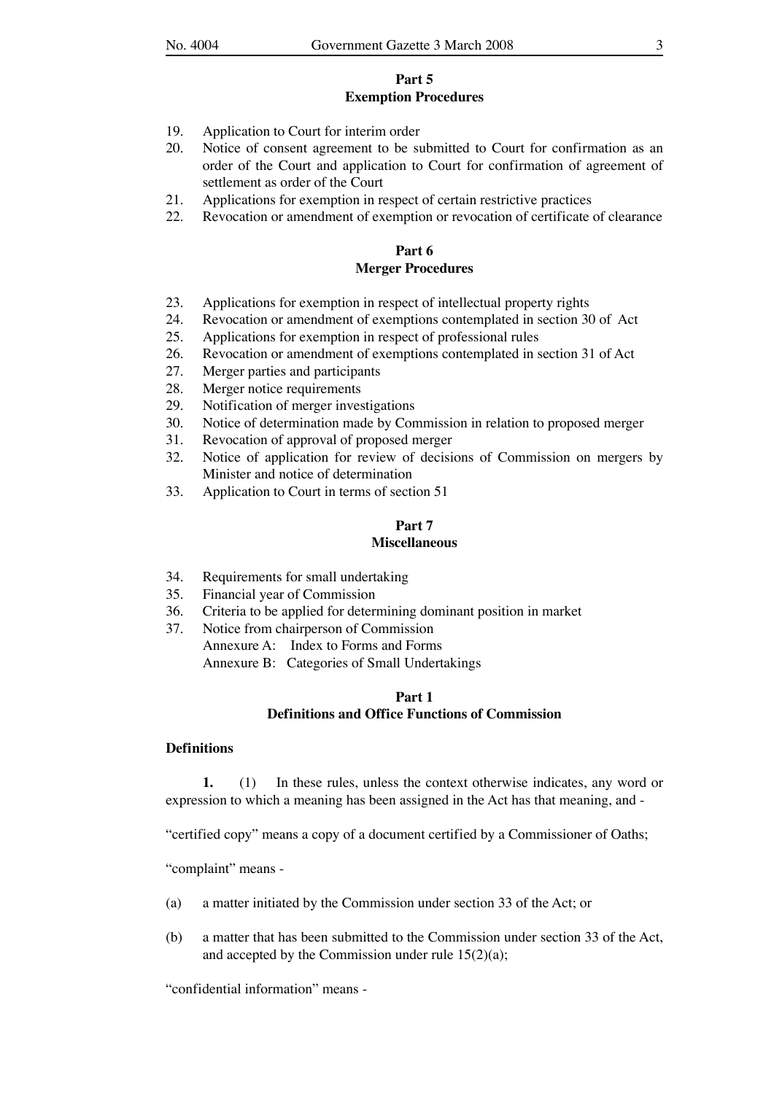### **Part 5 Exemption Procedures**

- 19. Application to Court for interim order
- 20. Notice of consent agreement to be submitted to Court for confirmation as an order of the Court and application to Court for confirmation of agreement of settlement as order of the Court
- 21. Applications for exemption in respect of certain restrictive practices
- 22. Revocation or amendment of exemption or revocation of certificate of clearance

# **Part 6 Merger Procedures**

- 23. Applications for exemption in respect of intellectual property rights 24. Revocation or amendment of exemptions contemplated in section 30
- Revocation or amendment of exemptions contemplated in section 30 of Act
- 25. Applications for exemption in respect of professional rules
- 26. Revocation or amendment of exemptions contemplated in section 31 of Act
- 27. Merger parties and participants
- 28. Merger notice requirements
- 29. Notification of merger investigations
- 30. Notice of determination made by Commission in relation to proposed merger
- 31. Revocation of approval of proposed merger
- 32. Notice of application for review of decisions of Commission on mergers by Minister and notice of determination
- 33. Application to Court in terms of section 51

# **Part 7**

### **Miscellaneous**

- 34. Requirements for small undertaking
- 35. Financial year of Commission
- 36. Criteria to be applied for determining dominant position in market
- 37. Notice from chairperson of Commission Annexure A: Index to Forms and Forms Annexure B: Categories of Small Undertakings

# **Part 1 Definitions and Office Functions of Commission**

# **Definitions**

**1.** (1) In these rules, unless the context otherwise indicates, any word or expression to which a meaning has been assigned in the Act has that meaning, and -

"certified copy" means a copy of a document certified by a Commissioner of Oaths;

"complaint" means -

- (a) a matter initiated by the Commission under section 33 of the Act; or
- (b) a matter that has been submitted to the Commission under section 33 of the Act, and accepted by the Commission under rule 15(2)(a);

"confidential information" means -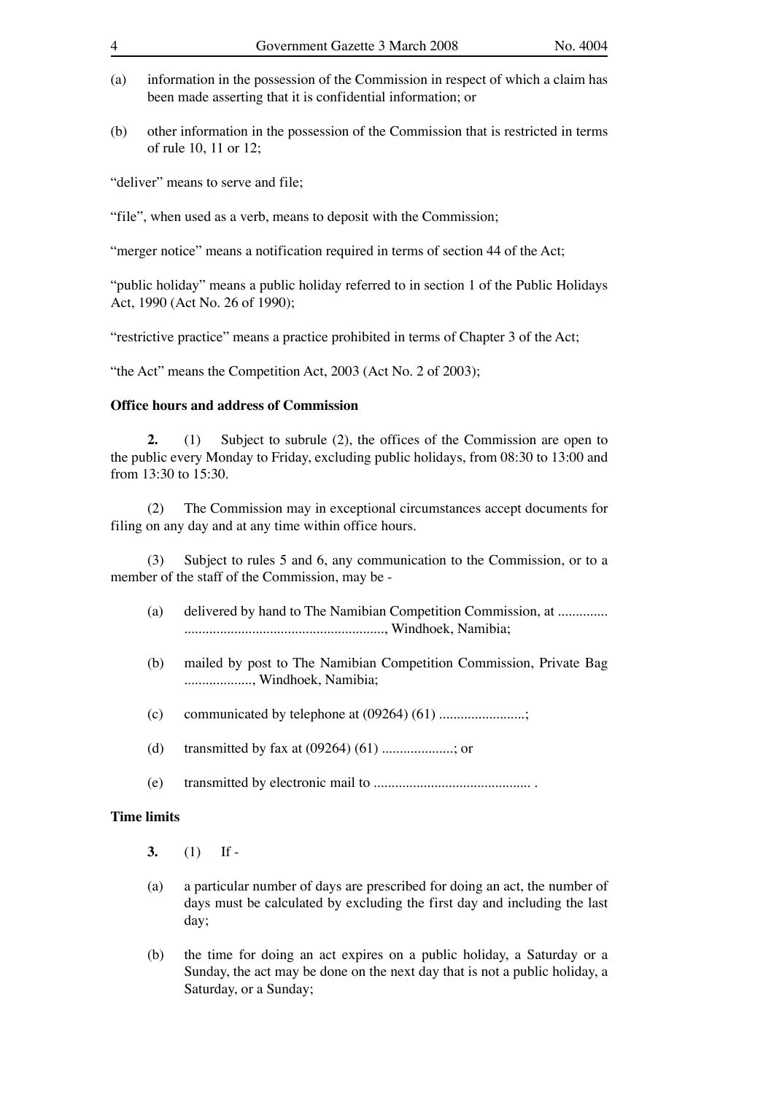- (a) information in the possession of the Commission in respect of which a claim has been made asserting that it is confidential information; or
- (b) other information in the possession of the Commission that is restricted in terms of rule 10, 11 or 12;

"deliver" means to serve and file;

"file", when used as a verb, means to deposit with the Commission;

"merger notice" means a notification required in terms of section 44 of the Act;

"public holiday" means a public holiday referred to in section 1 of the Public Holidays Act, 1990 (Act No. 26 of 1990);

"restrictive practice" means a practice prohibited in terms of Chapter 3 of the Act;

"the Act" means the Competition Act, 2003 (Act No. 2 of 2003);

# **Office hours and address of Commission**

 **2.** (1) Subject to subrule (2), the offices of the Commission are open to the public every Monday to Friday, excluding public holidays, from 08:30 to 13:00 and from 13:30 to 15:30.

 (2) The Commission may in exceptional circumstances accept documents for filing on any day and at any time within office hours.

 (3) Subject to rules 5 and 6, any communication to the Commission, or to a member of the staff of the Commission, may be -

- (a) delivered by hand to The Namibian Competition Commission, at .............. ........................................................, Windhoek, Namibia;
- (b) mailed by post to The Namibian Competition Commission, Private Bag ..................., Windhoek, Namibia;
- (c) communicated by telephone at (09264) (61) ........................;
- (d) transmitted by fax at (09264) (61) ....................; or
- (e) transmitted by electronic mail to ............................................ .

# **Time limits**

- **3.** (1) If -
- (a) a particular number of days are prescribed for doing an act, the number of days must be calculated by excluding the first day and including the last day;
- (b) the time for doing an act expires on a public holiday, a Saturday or a Sunday, the act may be done on the next day that is not a public holiday, a Saturday, or a Sunday;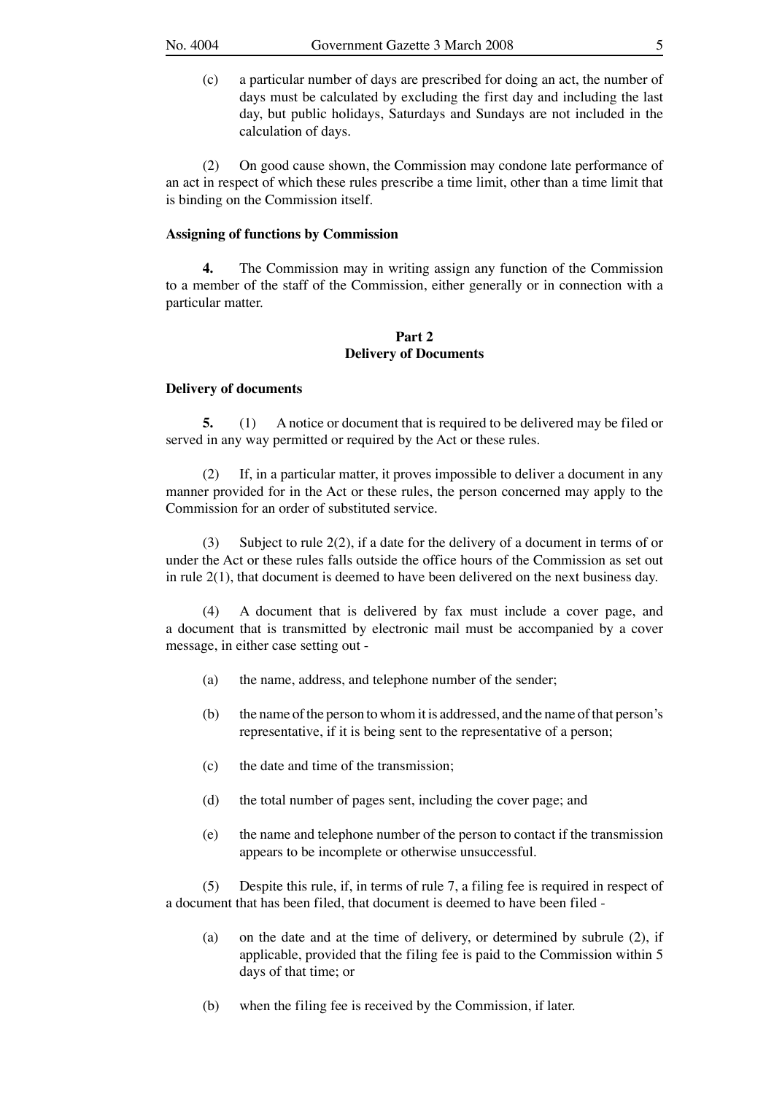(c) a particular number of days are prescribed for doing an act, the number of days must be calculated by excluding the first day and including the last day, but public holidays, Saturdays and Sundays are not included in the calculation of days.

 (2) On good cause shown, the Commission may condone late performance of an act in respect of which these rules prescribe a time limit, other than a time limit that is binding on the Commission itself.

## **Assigning of functions by Commission**

 **4.** The Commission may in writing assign any function of the Commission to a member of the staff of the Commission, either generally or in connection with a particular matter.

# **Part 2 Delivery of Documents**

### **Delivery of documents**

 **5.** (1) A notice or document that is required to be delivered may be filed or served in any way permitted or required by the Act or these rules.

 (2) If, in a particular matter, it proves impossible to deliver a document in any manner provided for in the Act or these rules, the person concerned may apply to the Commission for an order of substituted service.

(3) Subject to rule  $2(2)$ , if a date for the delivery of a document in terms of or under the Act or these rules falls outside the office hours of the Commission as set out in rule 2(1), that document is deemed to have been delivered on the next business day.

 (4) A document that is delivered by fax must include a cover page, and a document that is transmitted by electronic mail must be accompanied by a cover message, in either case setting out -

- (a) the name, address, and telephone number of the sender;
- (b) the name of the person to whom it is addressed, and the name of that person's representative, if it is being sent to the representative of a person;
- (c) the date and time of the transmission;
- (d) the total number of pages sent, including the cover page; and
- (e) the name and telephone number of the person to contact if the transmission appears to be incomplete or otherwise unsuccessful.

 (5) Despite this rule, if, in terms of rule 7, a filing fee is required in respect of a document that has been filed, that document is deemed to have been filed -

- (a) on the date and at the time of delivery, or determined by subrule (2), if applicable, provided that the filing fee is paid to the Commission within 5 days of that time; or
- (b) when the filing fee is received by the Commission, if later.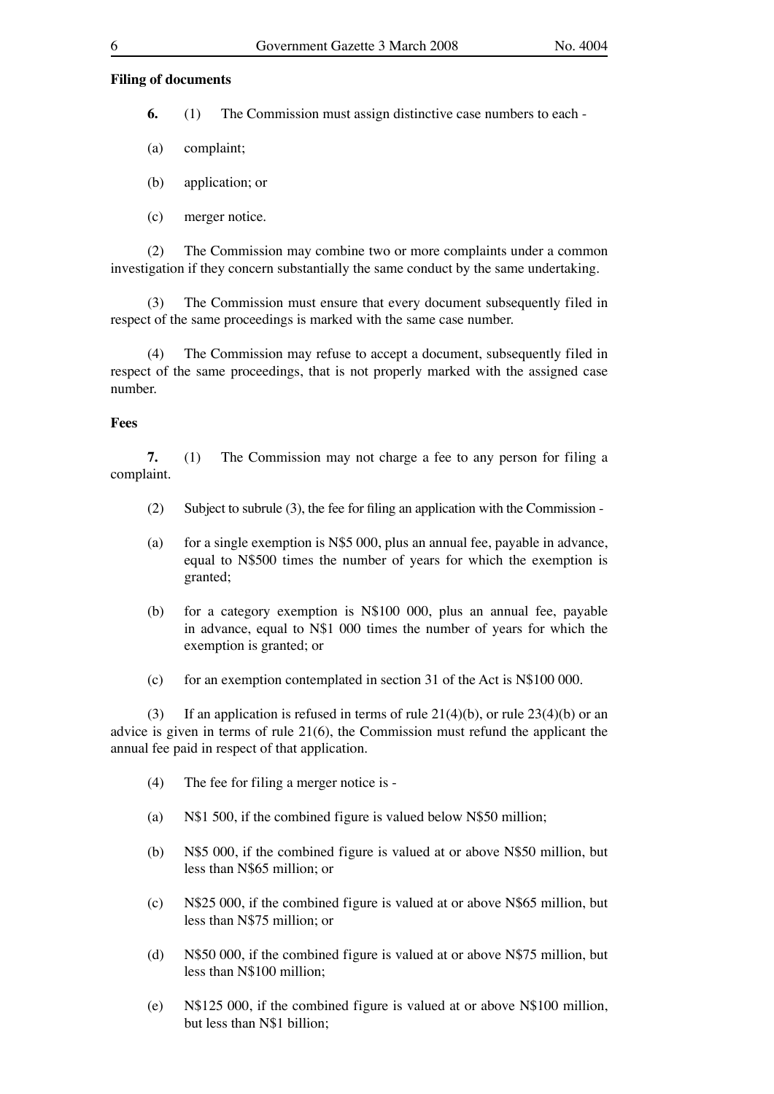### **Filing of documents**

 **6.** (1) The Commission must assign distinctive case numbers to each -

- (a) complaint;
- (b) application; or
- (c) merger notice.

 (2) The Commission may combine two or more complaints under a common investigation if they concern substantially the same conduct by the same undertaking.

 (3) The Commission must ensure that every document subsequently filed in respect of the same proceedings is marked with the same case number.

 (4) The Commission may refuse to accept a document, subsequently filed in respect of the same proceedings, that is not properly marked with the assigned case number.

### **Fees**

 **7.** (1) The Commission may not charge a fee to any person for filing a complaint.

- (2) Subject to subrule (3), the fee for filing an application with the Commission -
- (a) for a single exemption is  $N$5 000$ , plus an annual fee, payable in advance, equal to N\$500 times the number of years for which the exemption is granted;
- (b) for a category exemption is N\$100 000, plus an annual fee, payable in advance, equal to N\$1 000 times the number of years for which the exemption is granted; or
- (c) for an exemption contemplated in section 31 of the Act is N\$100 000.

(3) If an application is refused in terms of rule  $21(4)(b)$ , or rule  $23(4)(b)$  or an advice is given in terms of rule 21(6), the Commission must refund the applicant the annual fee paid in respect of that application.

- (4) The fee for filing a merger notice is -
- (a) N\$1 500, if the combined figure is valued below N\$50 million;
- (b) N\$5 000, if the combined figure is valued at or above N\$50 million, but less than N\$65 million; or
- (c) N\$25 000, if the combined figure is valued at or above N\$65 million, but less than N\$75 million; or
- (d) N\$50 000, if the combined figure is valued at or above N\$75 million, but less than N\$100 million;
- (e) N\$125 000, if the combined figure is valued at or above N\$100 million, but less than N\$1 billion;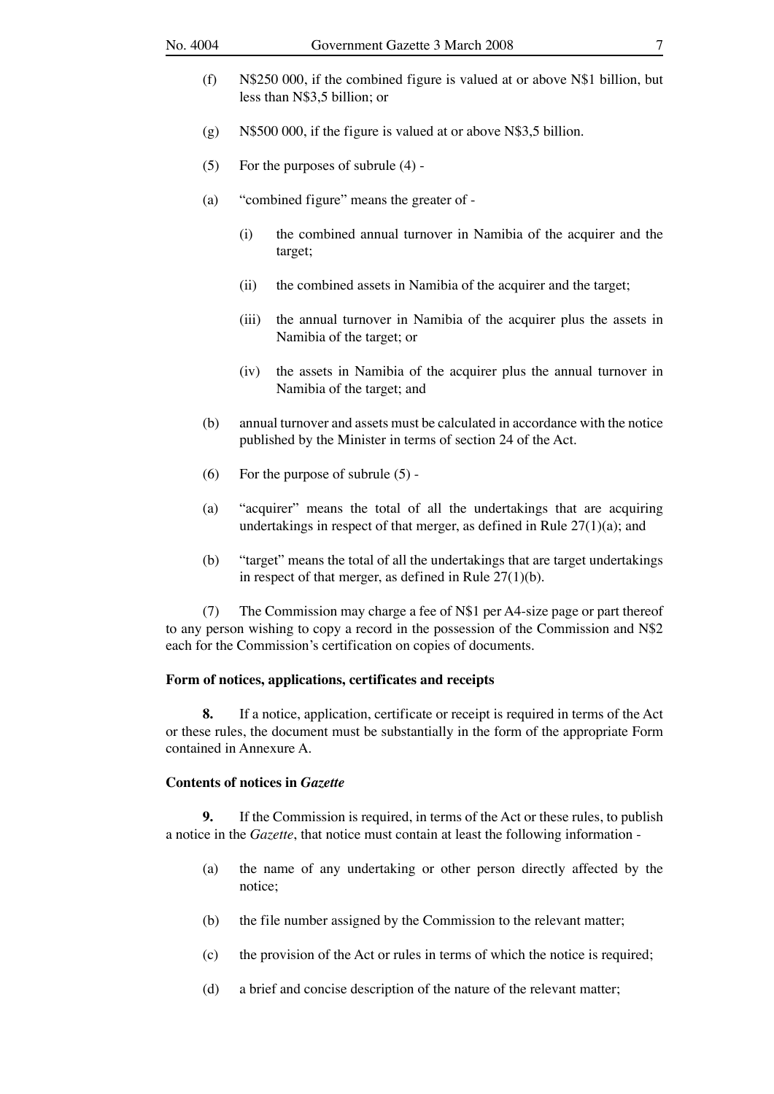- (f) N\$250 000, if the combined figure is valued at or above N\$1 billion, but less than N\$3,5 billion; or
- (g) N\$500 000, if the figure is valued at or above N\$3,5 billion.
- (5) For the purposes of subrule (4) -
- (a) "combined figure" means the greater of
	- (i) the combined annual turnover in Namibia of the acquirer and the target;
	- (ii) the combined assets in Namibia of the acquirer and the target;
	- (iii) the annual turnover in Namibia of the acquirer plus the assets in Namibia of the target; or
	- (iv) the assets in Namibia of the acquirer plus the annual turnover in Namibia of the target; and
- (b) annual turnover and assets must be calculated in accordance with the notice published by the Minister in terms of section 24 of the Act.
- (6) For the purpose of subrule (5) -
- (a) "acquirer" means the total of all the undertakings that are acquiring undertakings in respect of that merger, as defined in Rule 27(1)(a); and
- (b) "target" means the total of all the undertakings that are target undertakings in respect of that merger, as defined in Rule 27(1)(b).

 (7) The Commission may charge a fee of N\$1 per A4-size page or part thereof to any person wishing to copy a record in the possession of the Commission and N\$2 each for the Commission's certification on copies of documents.

### **Form of notices, applications, certificates and receipts**

 **8.** If a notice, application, certificate or receipt is required in terms of the Act or these rules, the document must be substantially in the form of the appropriate Form contained in Annexure A.

# **Contents of notices in** *Gazette*

 **9.** If the Commission is required, in terms of the Act or these rules, to publish a notice in the *Gazette*, that notice must contain at least the following information -

- (a) the name of any undertaking or other person directly affected by the notice;
- (b) the file number assigned by the Commission to the relevant matter;
- (c) the provision of the Act or rules in terms of which the notice is required;
- (d) a brief and concise description of the nature of the relevant matter;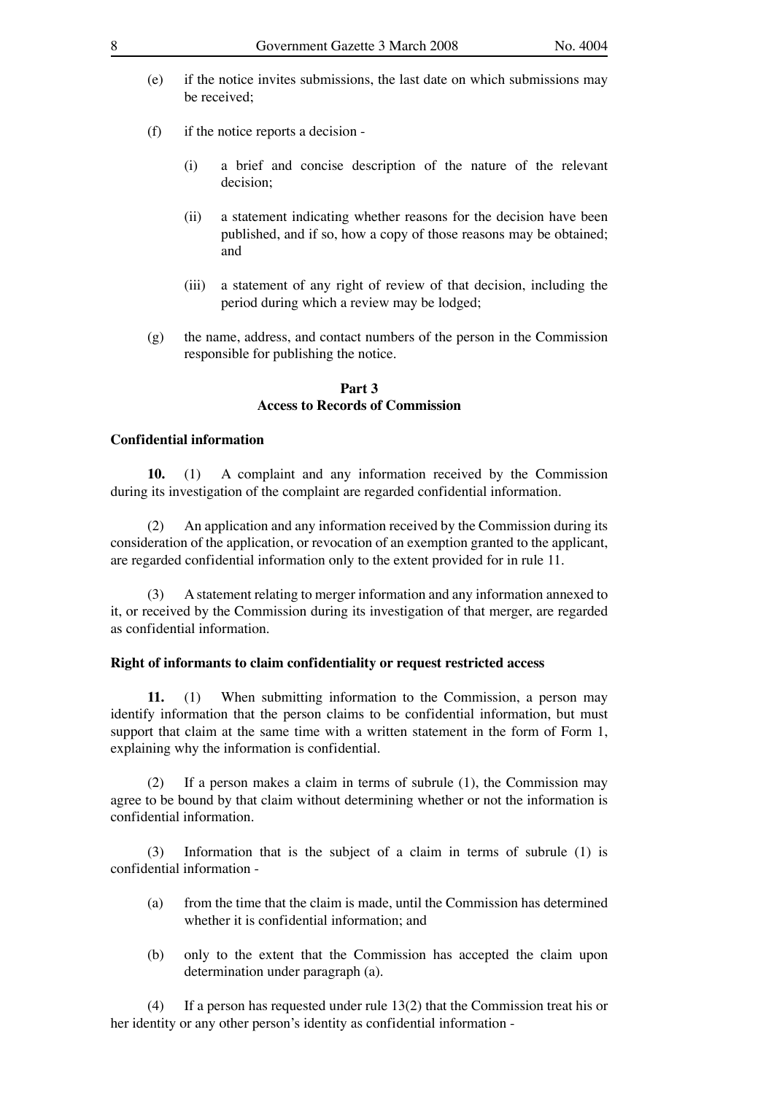- (e) if the notice invites submissions, the last date on which submissions may be received;
- (f) if the notice reports a decision
	- (i) a brief and concise description of the nature of the relevant decision;
	- (ii) a statement indicating whether reasons for the decision have been published, and if so, how a copy of those reasons may be obtained; and
	- (iii) a statement of any right of review of that decision, including the period during which a review may be lodged;
- (g) the name, address, and contact numbers of the person in the Commission responsible for publishing the notice.

### **Part 3 Access to Records of Commission**

### **Confidential information**

 **10.** (1) A complaint and any information received by the Commission during its investigation of the complaint are regarded confidential information.

 (2) An application and any information received by the Commission during its consideration of the application, or revocation of an exemption granted to the applicant, are regarded confidential information only to the extent provided for in rule 11.

 (3) A statement relating to merger information and any information annexed to it, or received by the Commission during its investigation of that merger, are regarded as confidential information.

### **Right of informants to claim confidentiality or request restricted access**

 **11.** (1) When submitting information to the Commission, a person may identify information that the person claims to be confidential information, but must support that claim at the same time with a written statement in the form of Form 1, explaining why the information is confidential.

If a person makes a claim in terms of subrule  $(1)$ , the Commission may agree to be bound by that claim without determining whether or not the information is confidential information.

 (3) Information that is the subject of a claim in terms of subrule (1) is confidential information -

- (a) from the time that the claim is made, until the Commission has determined whether it is confidential information; and
- (b) only to the extent that the Commission has accepted the claim upon determination under paragraph (a).

 (4) If a person has requested under rule 13(2) that the Commission treat his or her identity or any other person's identity as confidential information -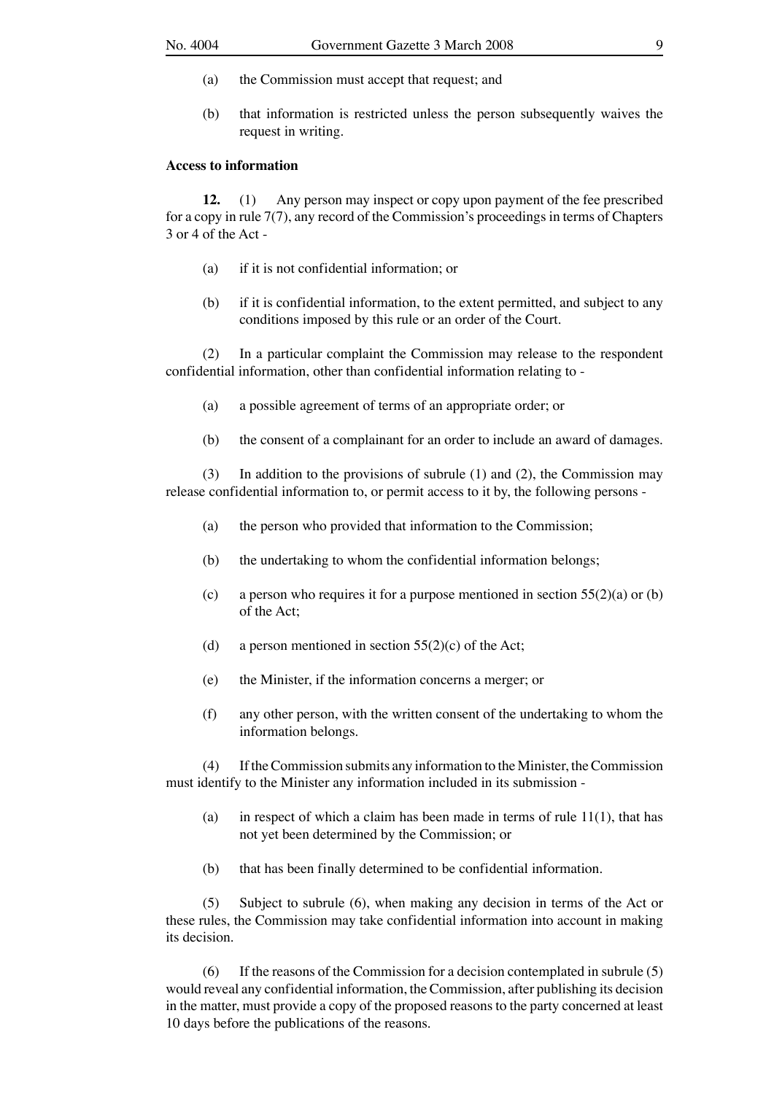- (a) the Commission must accept that request; and
- (b) that information is restricted unless the person subsequently waives the request in writing.

### **Access to information**

 **12.** (1) Any person may inspect or copy upon payment of the fee prescribed for a copy in rule 7(7), any record of the Commission's proceedings in terms of Chapters 3 or 4 of the Act -

- (a) if it is not confidential information; or
- (b) if it is confidential information, to the extent permitted, and subject to any conditions imposed by this rule or an order of the Court.

 (2) In a particular complaint the Commission may release to the respondent confidential information, other than confidential information relating to -

- (a) a possible agreement of terms of an appropriate order; or
- (b) the consent of a complainant for an order to include an award of damages.

 (3) In addition to the provisions of subrule (1) and (2), the Commission may release confidential information to, or permit access to it by, the following persons -

- (a) the person who provided that information to the Commission;
- (b) the undertaking to whom the confidential information belongs;
- (c) a person who requires it for a purpose mentioned in section  $55(2)(a)$  or (b) of the Act;
- (d) a person mentioned in section  $55(2)(c)$  of the Act;
- (e) the Minister, if the information concerns a merger; or
- (f) any other person, with the written consent of the undertaking to whom the information belongs.

 (4) If the Commission submits any information to the Minister, the Commission must identify to the Minister any information included in its submission -

- (a) in respect of which a claim has been made in terms of rule  $11(1)$ , that has not yet been determined by the Commission; or
- (b) that has been finally determined to be confidential information.

 (5) Subject to subrule (6), when making any decision in terms of the Act or these rules, the Commission may take confidential information into account in making its decision.

 (6) If the reasons of the Commission for a decision contemplated in subrule (5) would reveal any confidential information, the Commission, after publishing its decision in the matter, must provide a copy of the proposed reasons to the party concerned at least 10 days before the publications of the reasons.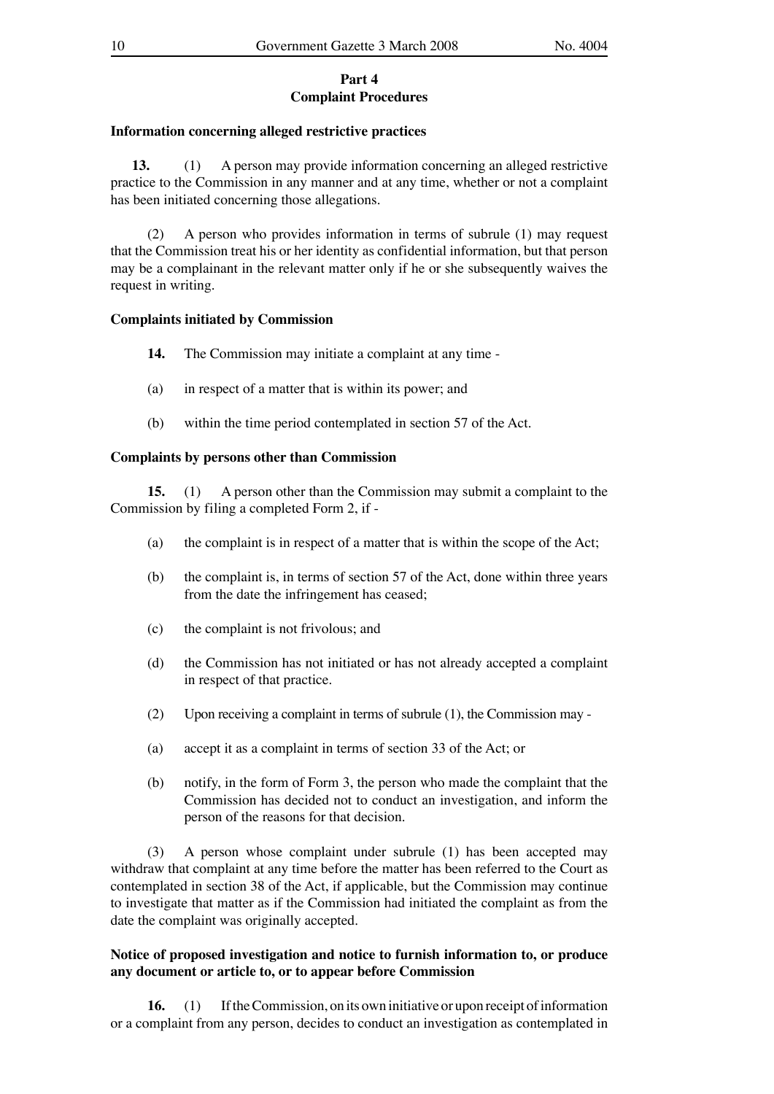### **Part 4 Complaint Procedures**

### **Information concerning alleged restrictive practices**

 **13.** (1) A person may provide information concerning an alleged restrictive practice to the Commission in any manner and at any time, whether or not a complaint has been initiated concerning those allegations.

 (2) A person who provides information in terms of subrule (1) may request that the Commission treat his or her identity as confidential information, but that person may be a complainant in the relevant matter only if he or she subsequently waives the request in writing.

### **Complaints initiated by Commission**

- **14.** The Commission may initiate a complaint at any time -
- (a) in respect of a matter that is within its power; and
- (b) within the time period contemplated in section 57 of the Act.

# **Complaints by persons other than Commission**

**15.** (1) A person other than the Commission may submit a complaint to the Commission by filing a completed Form 2, if -

- (a) the complaint is in respect of a matter that is within the scope of the Act;
- (b) the complaint is, in terms of section 57 of the Act, done within three years from the date the infringement has ceased;
- (c) the complaint is not frivolous; and
- (d) the Commission has not initiated or has not already accepted a complaint in respect of that practice.
- (2) Upon receiving a complaint in terms of subrule (1), the Commission may -
- (a) accept it as a complaint in terms of section 33 of the Act; or
- (b) notify, in the form of Form 3, the person who made the complaint that the Commission has decided not to conduct an investigation, and inform the person of the reasons for that decision.

 (3) A person whose complaint under subrule (1) has been accepted may withdraw that complaint at any time before the matter has been referred to the Court as contemplated in section 38 of the Act, if applicable, but the Commission may continue to investigate that matter as if the Commission had initiated the complaint as from the date the complaint was originally accepted.

# **Notice of proposed investigation and notice to furnish information to, or produce any document or article to, or to appear before Commission**

 **16.** (1) If the Commission, on its own initiative or upon receipt of information or a complaint from any person, decides to conduct an investigation as contemplated in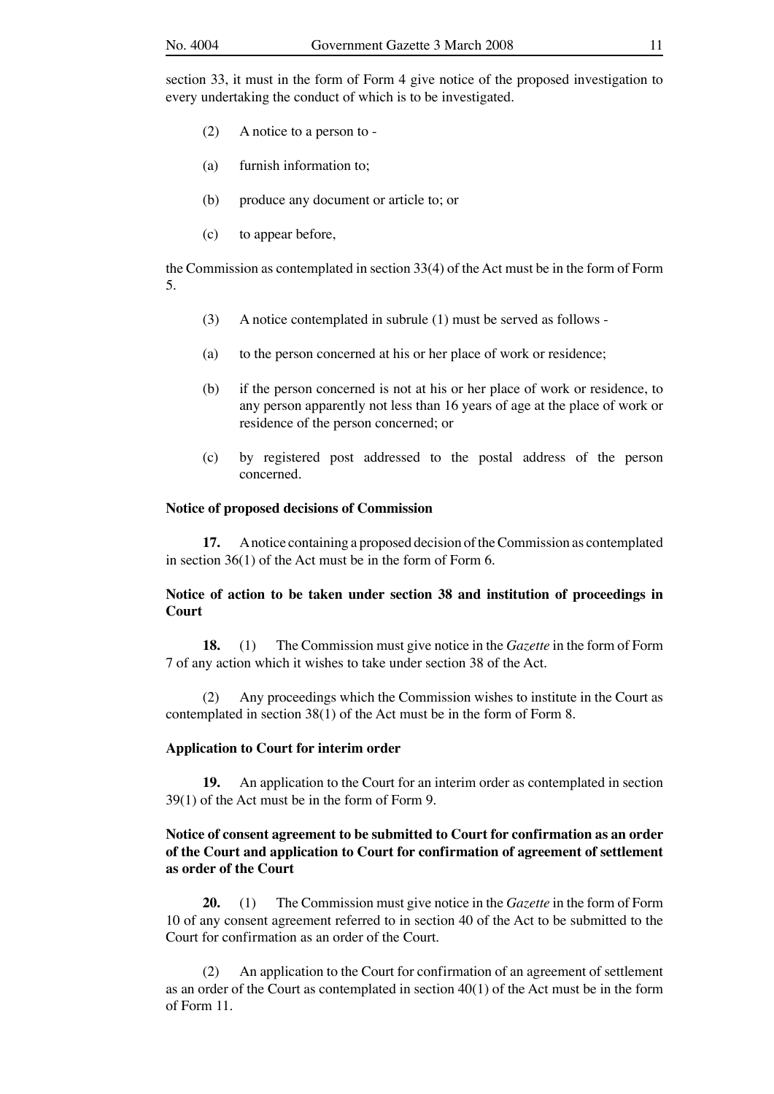section 33, it must in the form of Form 4 give notice of the proposed investigation to every undertaking the conduct of which is to be investigated.

- (2) A notice to a person to -
- (a) furnish information to;
- (b) produce any document or article to; or
- (c) to appear before,

the Commission as contemplated in section 33(4) of the Act must be in the form of Form 5.

- (3) A notice contemplated in subrule (1) must be served as follows -
- (a) to the person concerned at his or her place of work or residence;
- (b) if the person concerned is not at his or her place of work or residence, to any person apparently not less than 16 years of age at the place of work or residence of the person concerned; or
- (c) by registered post addressed to the postal address of the person concerned.

#### **Notice of proposed decisions of Commission**

 **17.** A notice containing a proposed decision of the Commission as contemplated in section 36(1) of the Act must be in the form of Form 6.

## **Notice of action to be taken under section 38 and institution of proceedings in Court**

 **18.** (1) The Commission must give notice in the *Gazette* in the form of Form 7 of any action which it wishes to take under section 38 of the Act.

 (2) Any proceedings which the Commission wishes to institute in the Court as contemplated in section 38(1) of the Act must be in the form of Form 8.

### **Application to Court for interim order**

 **19.** An application to the Court for an interim order as contemplated in section 39(1) of the Act must be in the form of Form 9.

# **Notice of consent agreement to be submitted to Court for confirmation as an order of the Court and application to Court for confirmation of agreement of settlement as order of the Court**

 **20.** (1) The Commission must give notice in the *Gazette* in the form of Form 10 of any consent agreement referred to in section 40 of the Act to be submitted to the Court for confirmation as an order of the Court.

 (2) An application to the Court for confirmation of an agreement of settlement as an order of the Court as contemplated in section 40(1) of the Act must be in the form of Form 11.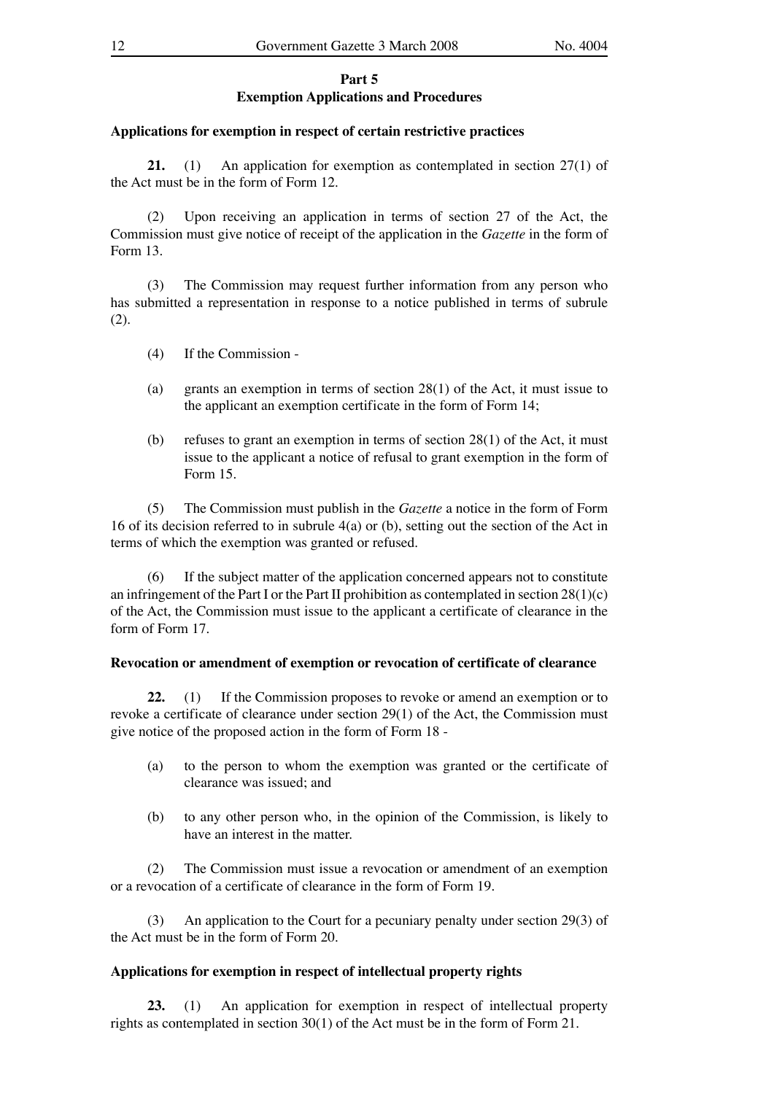### **Part 5 Exemption Applications and Procedures**

### **Applications for exemption in respect of certain restrictive practices**

 **21.** (1) An application for exemption as contemplated in section 27(1) of the Act must be in the form of Form 12.

 (2) Upon receiving an application in terms of section 27 of the Act, the Commission must give notice of receipt of the application in the *Gazette* in the form of Form 13.

 (3) The Commission may request further information from any person who has submitted a representation in response to a notice published in terms of subrule (2).

- (4) If the Commission -
- (a) grants an exemption in terms of section 28(1) of the Act, it must issue to the applicant an exemption certificate in the form of Form 14;
- (b) refuses to grant an exemption in terms of section  $28(1)$  of the Act, it must issue to the applicant a notice of refusal to grant exemption in the form of Form 15.

 (5) The Commission must publish in the *Gazette* a notice in the form of Form 16 of its decision referred to in subrule 4(a) or (b), setting out the section of the Act in terms of which the exemption was granted or refused.

 (6) If the subject matter of the application concerned appears not to constitute an infringement of the Part I or the Part II prohibition as contemplated in section  $28(1)(c)$ of the Act, the Commission must issue to the applicant a certificate of clearance in the form of Form 17.

### **Revocation or amendment of exemption or revocation of certificate of clearance**

 **22.** (1) If the Commission proposes to revoke or amend an exemption or to revoke a certificate of clearance under section 29(1) of the Act, the Commission must give notice of the proposed action in the form of Form 18 -

- (a) to the person to whom the exemption was granted or the certificate of clearance was issued; and
- (b) to any other person who, in the opinion of the Commission, is likely to have an interest in the matter.

 (2) The Commission must issue a revocation or amendment of an exemption or a revocation of a certificate of clearance in the form of Form 19.

 (3) An application to the Court for a pecuniary penalty under section 29(3) of the Act must be in the form of Form 20.

# **Applications for exemption in respect of intellectual property rights**

 **23.** (1) An application for exemption in respect of intellectual property rights as contemplated in section 30(1) of the Act must be in the form of Form 21.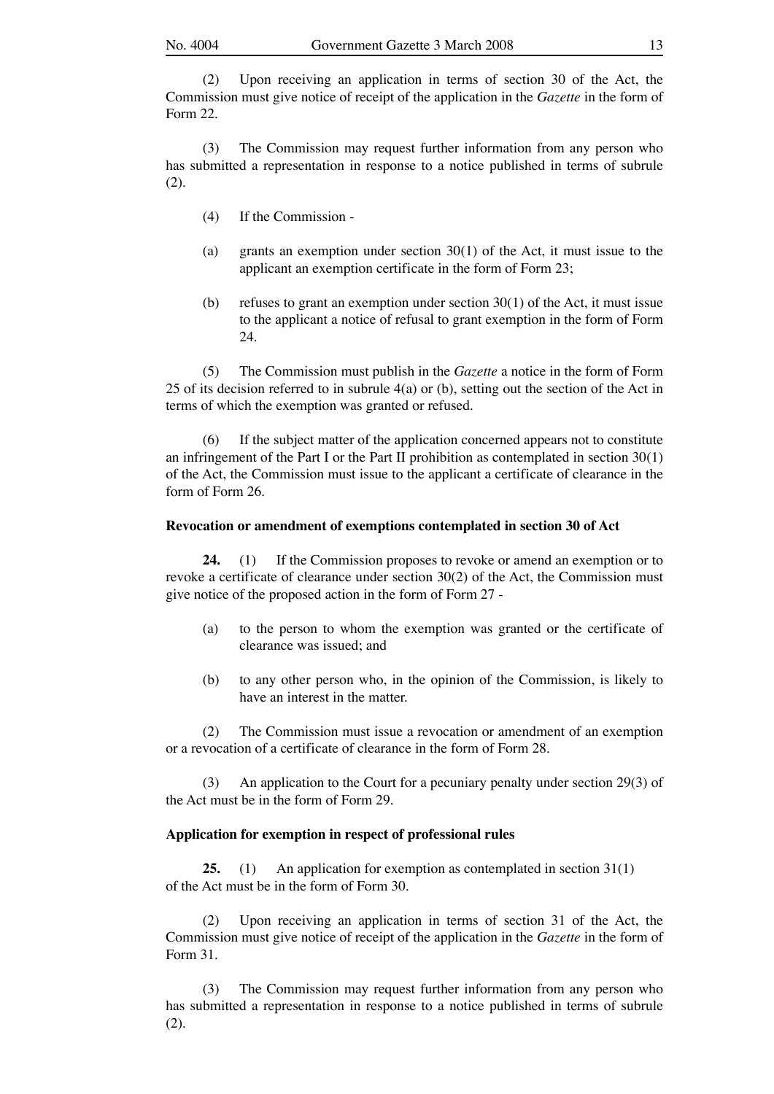(2) Upon receiving an application in terms of section 30 of the Act, the Commission must give notice of receipt of the application in the *Gazette* in the form of Form 22.

 (3) The Commission may request further information from any person who has submitted a representation in response to a notice published in terms of subrule (2).

- (4) If the Commission -
- (a) grants an exemption under section 30(1) of the Act, it must issue to the applicant an exemption certificate in the form of Form 23;
- (b) refuses to grant an exemption under section  $30(1)$  of the Act, it must issue to the applicant a notice of refusal to grant exemption in the form of Form 24.

 (5) The Commission must publish in the *Gazette* a notice in the form of Form 25 of its decision referred to in subrule 4(a) or (b), setting out the section of the Act in terms of which the exemption was granted or refused.

 (6) If the subject matter of the application concerned appears not to constitute an infringement of the Part I or the Part II prohibition as contemplated in section  $30(1)$ of the Act, the Commission must issue to the applicant a certificate of clearance in the form of Form 26.

### **Revocation or amendment of exemptions contemplated in section 30 of Act**

 **24.** (1) If the Commission proposes to revoke or amend an exemption or to revoke a certificate of clearance under section 30(2) of the Act, the Commission must give notice of the proposed action in the form of Form 27 -

- (a) to the person to whom the exemption was granted or the certificate of clearance was issued; and
- (b) to any other person who, in the opinion of the Commission, is likely to have an interest in the matter.

 (2) The Commission must issue a revocation or amendment of an exemption or a revocation of a certificate of clearance in the form of Form 28.

An application to the Court for a pecuniary penalty under section 29(3) of the Act must be in the form of Form 29.

### **Application for exemption in respect of professional rules**

 **25.** (1) An application for exemption as contemplated in section 31(1) of the Act must be in the form of Form 30.

 (2) Upon receiving an application in terms of section 31 of the Act, the Commission must give notice of receipt of the application in the *Gazette* in the form of Form 31.

 (3) The Commission may request further information from any person who has submitted a representation in response to a notice published in terms of subrule (2).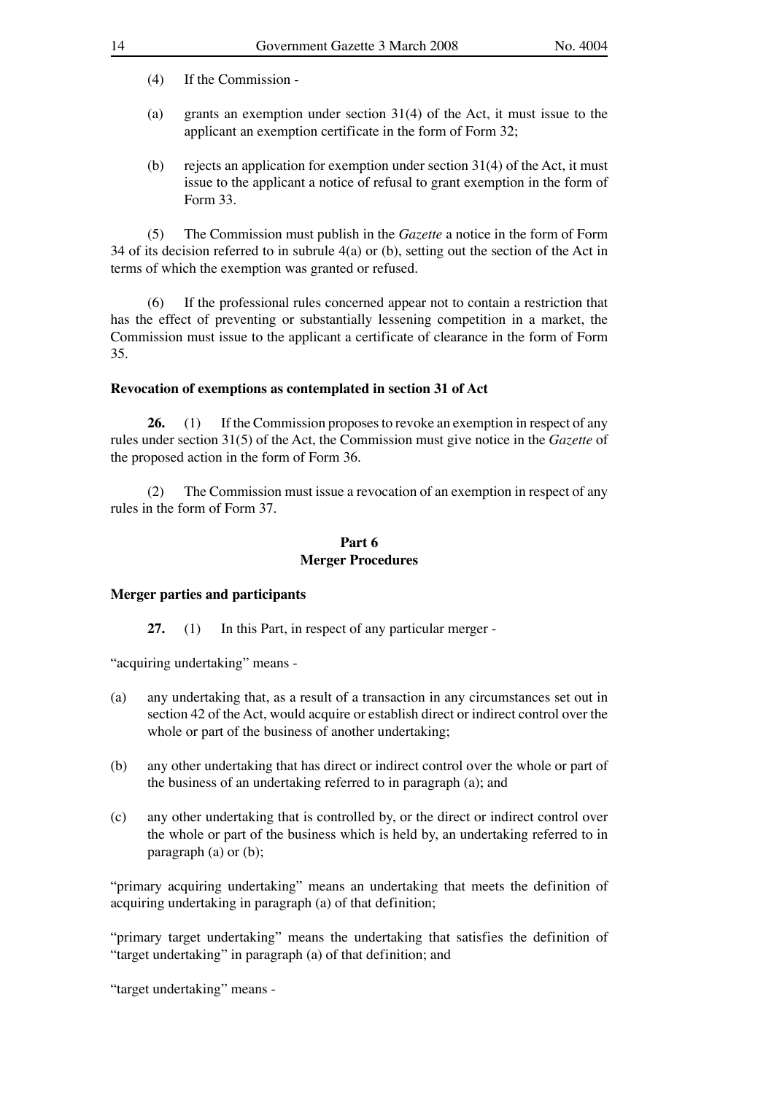- (a) grants an exemption under section 31(4) of the Act, it must issue to the applicant an exemption certificate in the form of Form 32;
- (b) rejects an application for exemption under section  $31(4)$  of the Act, it must issue to the applicant a notice of refusal to grant exemption in the form of Form 33.

 (5) The Commission must publish in the *Gazette* a notice in the form of Form 34 of its decision referred to in subrule 4(a) or (b), setting out the section of the Act in terms of which the exemption was granted or refused.

 (6) If the professional rules concerned appear not to contain a restriction that has the effect of preventing or substantially lessening competition in a market, the Commission must issue to the applicant a certificate of clearance in the form of Form 35.

### **Revocation of exemptions as contemplated in section 31 of Act**

26. (1) If the Commission proposes to revoke an exemption in respect of any rules under section 31(5) of the Act, the Commission must give notice in the *Gazette* of the proposed action in the form of Form 36.

 (2) The Commission must issue a revocation of an exemption in respect of any rules in the form of Form 37.

### **Part 6 Merger Procedures**

### **Merger parties and participants**

 **27.** (1) In this Part, in respect of any particular merger -

"acquiring undertaking" means -

- (a) any undertaking that, as a result of a transaction in any circumstances set out in section 42 of the Act, would acquire or establish direct or indirect control over the whole or part of the business of another undertaking;
- (b) any other undertaking that has direct or indirect control over the whole or part of the business of an undertaking referred to in paragraph (a); and
- (c) any other undertaking that is controlled by, or the direct or indirect control over the whole or part of the business which is held by, an undertaking referred to in paragraph (a) or (b);

"primary acquiring undertaking" means an undertaking that meets the definition of acquiring undertaking in paragraph (a) of that definition;

"primary target undertaking" means the undertaking that satisfies the definition of "target undertaking" in paragraph (a) of that definition; and

"target undertaking" means -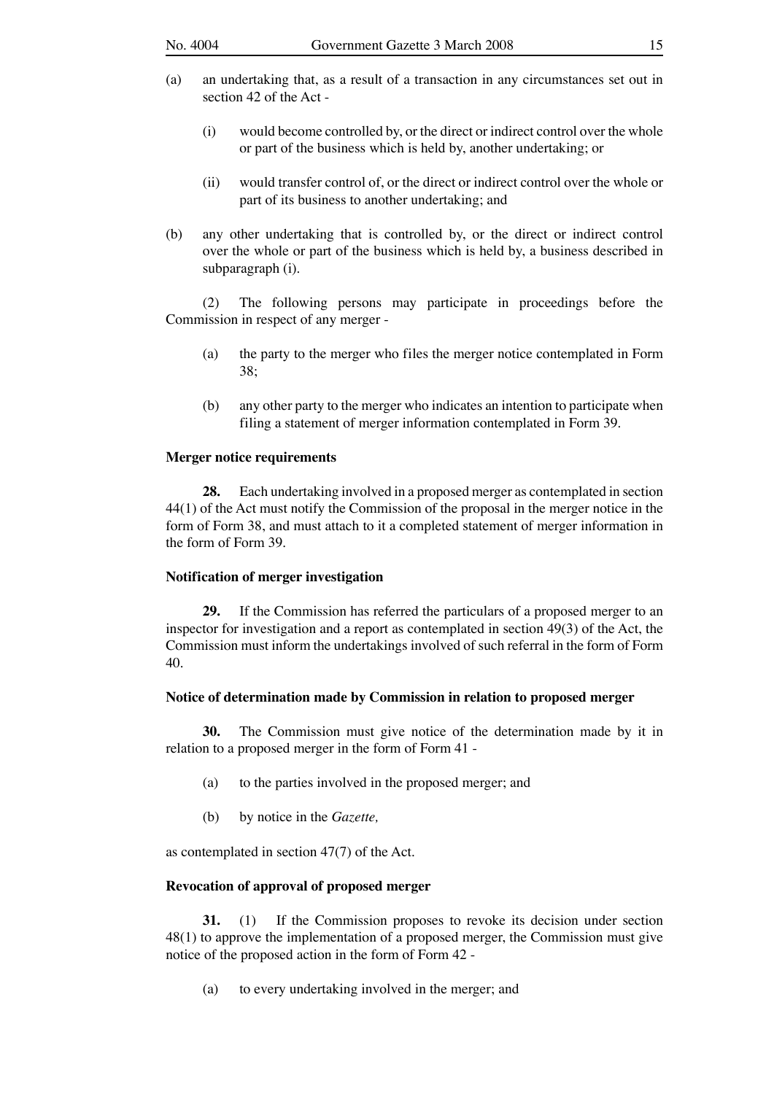- (a) an undertaking that, as a result of a transaction in any circumstances set out in section 42 of the Act -
	- (i) would become controlled by, or the direct or indirect control over the whole or part of the business which is held by, another undertaking; or
	- (ii) would transfer control of, or the direct or indirect control over the whole or part of its business to another undertaking; and
- (b) any other undertaking that is controlled by, or the direct or indirect control over the whole or part of the business which is held by, a business described in subparagraph (i).

 (2) The following persons may participate in proceedings before the Commission in respect of any merger -

- (a) the party to the merger who files the merger notice contemplated in Form 38;
- (b) any other party to the merger who indicates an intention to participate when filing a statement of merger information contemplated in Form 39.

### **Merger notice requirements**

 **28.** Each undertaking involved in a proposed merger as contemplated in section 44(1) of the Act must notify the Commission of the proposal in the merger notice in the form of Form 38, and must attach to it a completed statement of merger information in the form of Form 39.

### **Notification of merger investigation**

 **29.** If the Commission has referred the particulars of a proposed merger to an inspector for investigation and a report as contemplated in section 49(3) of the Act, the Commission must inform the undertakings involved of such referral in the form of Form 40.

### **Notice of determination made by Commission in relation to proposed merger**

 **30.** The Commission must give notice of the determination made by it in relation to a proposed merger in the form of Form 41 -

- (a) to the parties involved in the proposed merger; and
- (b) by notice in the *Gazette,*

as contemplated in section 47(7) of the Act.

#### **Revocation of approval of proposed merger**

 **31.** (1) If the Commission proposes to revoke its decision under section 48(1) to approve the implementation of a proposed merger, the Commission must give notice of the proposed action in the form of Form 42 -

(a) to every undertaking involved in the merger; and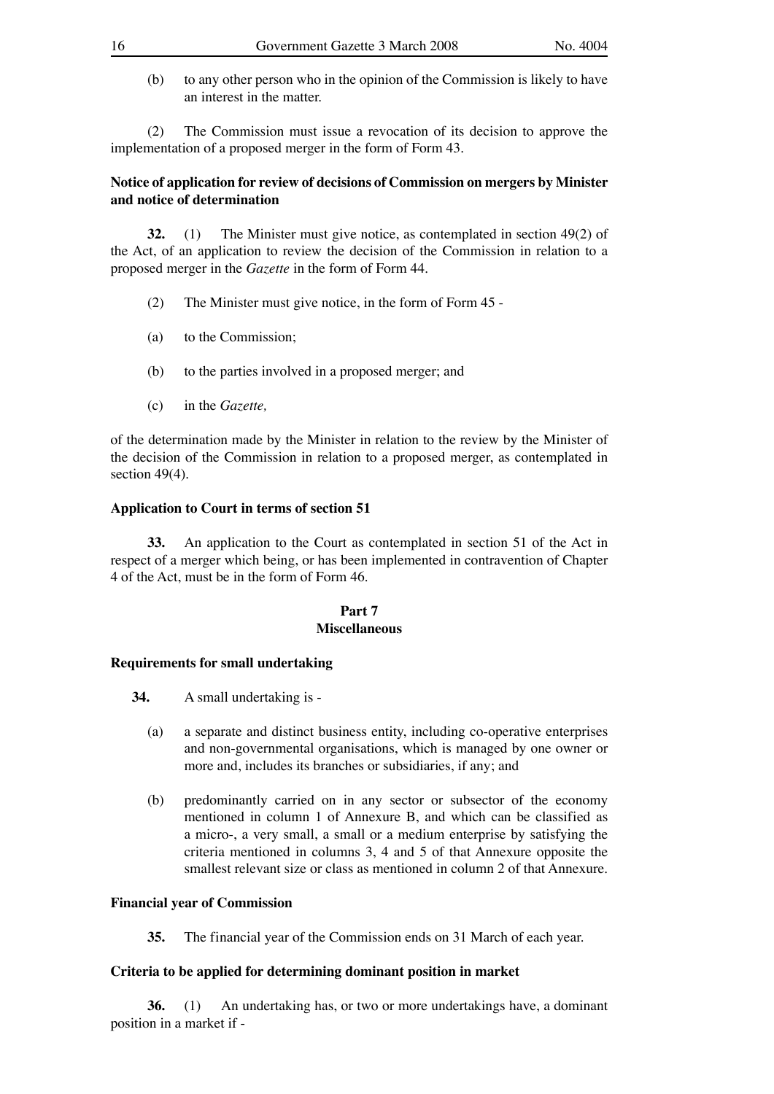- 
- (b) to any other person who in the opinion of the Commission is likely to have an interest in the matter.

 (2) The Commission must issue a revocation of its decision to approve the implementation of a proposed merger in the form of Form 43.

# **Notice of application for review of decisions of Commission on mergers by Minister and notice of determination**

 **32.** (1) The Minister must give notice, as contemplated in section 49(2) of the Act, of an application to review the decision of the Commission in relation to a proposed merger in the *Gazette* in the form of Form 44.

- (2) The Minister must give notice, in the form of Form 45 -
- (a) to the Commission;
- (b) to the parties involved in a proposed merger; and
- (c) in the *Gazette,*

of the determination made by the Minister in relation to the review by the Minister of the decision of the Commission in relation to a proposed merger, as contemplated in section 49(4).

# **Application to Court in terms of section 51**

 **33.** An application to the Court as contemplated in section 51 of the Act in respect of a merger which being, or has been implemented in contravention of Chapter 4 of the Act, must be in the form of Form 46.

# **Part 7**

# **Miscellaneous**

# **Requirements for small undertaking**

- **34.** A small undertaking is
	- (a) a separate and distinct business entity, including co-operative enterprises and non-governmental organisations, which is managed by one owner or more and, includes its branches or subsidiaries, if any; and
	- (b) predominantly carried on in any sector or subsector of the economy mentioned in column 1 of Annexure B, and which can be classified as a micro-, a very small, a small or a medium enterprise by satisfying the criteria mentioned in columns 3, 4 and 5 of that Annexure opposite the smallest relevant size or class as mentioned in column 2 of that Annexure.

# **Financial year of Commission**

 **35.** The financial year of the Commission ends on 31 March of each year.

# **Criteria to be applied for determining dominant position in market**

 **36.** (1) An undertaking has, or two or more undertakings have, a dominant position in a market if -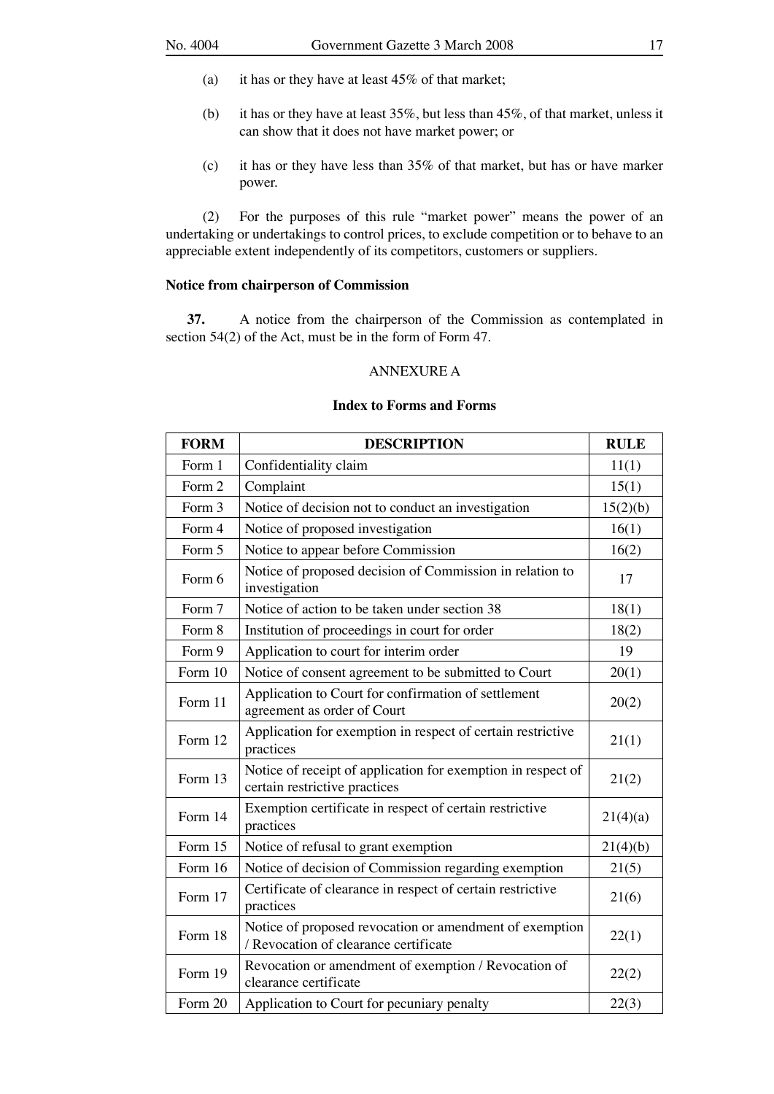- (a) it has or they have at least 45% of that market;
- (b) it has or they have at least 35%, but less than 45%, of that market, unless it can show that it does not have market power; or
- (c) it has or they have less than 35% of that market, but has or have marker power.

 (2) For the purposes of this rule "market power" means the power of an undertaking or undertakings to control prices, to exclude competition or to behave to an appreciable extent independently of its competitors, customers or suppliers.

# **Notice from chairperson of Commission**

 **37.** A notice from the chairperson of the Commission as contemplated in section 54(2) of the Act, must be in the form of Form 47.

### ANNEXURE A

### **Index to Forms and Forms**

| <b>FORM</b> | <b>DESCRIPTION</b>                                                                               | <b>RULE</b> |
|-------------|--------------------------------------------------------------------------------------------------|-------------|
| Form 1      | Confidentiality claim                                                                            | 11(1)       |
| Form 2      | Complaint                                                                                        | 15(1)       |
| Form 3      | Notice of decision not to conduct an investigation                                               | 15(2)(b)    |
| Form 4      | Notice of proposed investigation                                                                 | 16(1)       |
| Form 5      | Notice to appear before Commission                                                               | 16(2)       |
| Form 6      | Notice of proposed decision of Commission in relation to<br>investigation                        | 17          |
| Form 7      | Notice of action to be taken under section 38                                                    | 18(1)       |
| Form 8      | Institution of proceedings in court for order                                                    | 18(2)       |
| Form 9      | Application to court for interim order                                                           | 19          |
| Form 10     | Notice of consent agreement to be submitted to Court                                             | 20(1)       |
| Form 11     | Application to Court for confirmation of settlement<br>agreement as order of Court               | 20(2)       |
| Form 12     | Application for exemption in respect of certain restrictive<br>practices                         | 21(1)       |
| Form 13     | Notice of receipt of application for exemption in respect of<br>certain restrictive practices    | 21(2)       |
| Form 14     | Exemption certificate in respect of certain restrictive<br>practices                             | 21(4)(a)    |
| Form 15     | Notice of refusal to grant exemption                                                             | 21(4)(b)    |
| Form 16     | Notice of decision of Commission regarding exemption                                             | 21(5)       |
| Form 17     | Certificate of clearance in respect of certain restrictive<br>practices                          | 21(6)       |
| Form 18     | Notice of proposed revocation or amendment of exemption<br>/ Revocation of clearance certificate | 22(1)       |
| Form 19     | Revocation or amendment of exemption / Revocation of<br>clearance certificate                    | 22(2)       |
| Form 20     | Application to Court for pecuniary penalty                                                       | 22(3)       |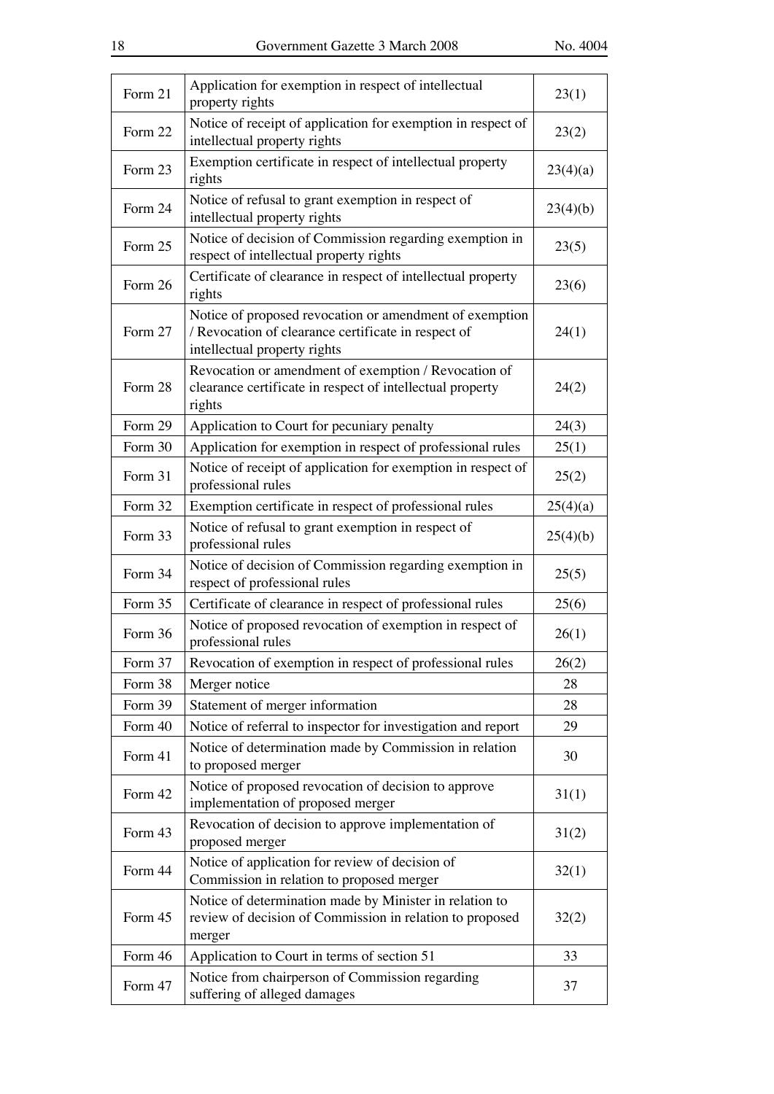| Form 21 | Application for exemption in respect of intellectual<br>property rights                                                                        | 23(1)    |
|---------|------------------------------------------------------------------------------------------------------------------------------------------------|----------|
| Form 22 | Notice of receipt of application for exemption in respect of<br>intellectual property rights                                                   | 23(2)    |
| Form 23 | Exemption certificate in respect of intellectual property<br>rights                                                                            | 23(4)(a) |
| Form 24 | Notice of refusal to grant exemption in respect of<br>intellectual property rights                                                             | 23(4)(b) |
| Form 25 | Notice of decision of Commission regarding exemption in<br>respect of intellectual property rights                                             | 23(5)    |
| Form 26 | Certificate of clearance in respect of intellectual property<br>rights                                                                         | 23(6)    |
| Form 27 | Notice of proposed revocation or amendment of exemption<br>/ Revocation of clearance certificate in respect of<br>intellectual property rights | 24(1)    |
| Form 28 | Revocation or amendment of exemption / Revocation of<br>clearance certificate in respect of intellectual property<br>rights                    | 24(2)    |
| Form 29 | Application to Court for pecuniary penalty                                                                                                     | 24(3)    |
| Form 30 | Application for exemption in respect of professional rules                                                                                     | 25(1)    |
| Form 31 | Notice of receipt of application for exemption in respect of<br>professional rules                                                             | 25(2)    |
| Form 32 | Exemption certificate in respect of professional rules                                                                                         | 25(4)(a) |
| Form 33 | Notice of refusal to grant exemption in respect of<br>professional rules                                                                       | 25(4)(b) |
| Form 34 | Notice of decision of Commission regarding exemption in<br>respect of professional rules                                                       | 25(5)    |
| Form 35 | Certificate of clearance in respect of professional rules                                                                                      | 25(6)    |
| Form 36 | Notice of proposed revocation of exemption in respect of<br>professional rules                                                                 | 26(1)    |
| Form 37 | Revocation of exemption in respect of professional rules                                                                                       | 26(2)    |
| Form 38 | Merger notice                                                                                                                                  | 28       |
| Form 39 | Statement of merger information                                                                                                                | 28       |
| Form 40 | Notice of referral to inspector for investigation and report                                                                                   | 29       |
| Form 41 | Notice of determination made by Commission in relation<br>to proposed merger                                                                   | 30       |
| Form 42 | Notice of proposed revocation of decision to approve<br>implementation of proposed merger                                                      | 31(1)    |
| Form 43 | Revocation of decision to approve implementation of<br>proposed merger                                                                         | 31(2)    |
| Form 44 | Notice of application for review of decision of<br>Commission in relation to proposed merger                                                   | 32(1)    |
| Form 45 | Notice of determination made by Minister in relation to<br>review of decision of Commission in relation to proposed<br>merger                  | 32(2)    |
| Form 46 | Application to Court in terms of section 51                                                                                                    | 33       |
| Form 47 | Notice from chairperson of Commission regarding<br>suffering of alleged damages                                                                | 37       |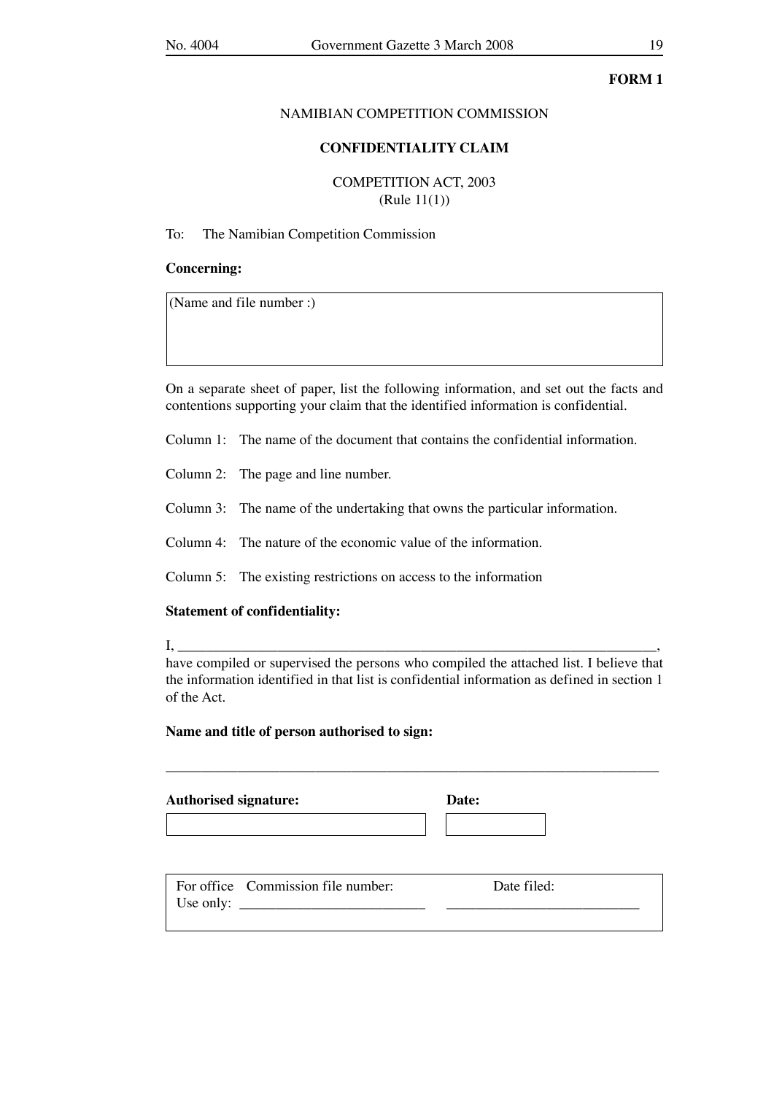### NAMIBIAN COMPETITION COMMISSION

### **CONFIDENTIALITY CLAIM**

COMPETITION ACT, 2003 (Rule 11(1))

# To: The Namibian Competition Commission

### **Concerning:**

(Name and file number :)

On a separate sheet of paper, list the following information, and set out the facts and contentions supporting your claim that the identified information is confidential.

Column 1: The name of the document that contains the confidential information.

Column 2: The page and line number.

Column 3: The name of the undertaking that owns the particular information.

Column 4: The nature of the economic value of the information.

Column 5: The existing restrictions on access to the information

### **Statement of confidentiality:**

I, \_\_\_\_\_\_\_\_\_\_\_\_\_\_\_\_\_\_\_\_\_\_\_\_\_\_\_\_\_\_\_\_\_\_\_\_\_\_\_\_\_\_\_\_\_\_\_\_\_\_\_\_\_\_\_\_\_\_\_\_\_\_\_\_\_\_\_,

have compiled or supervised the persons who compiled the attached list. I believe that the information identified in that list is confidential information as defined in section 1 of the Act.

\_\_\_\_\_\_\_\_\_\_\_\_\_\_\_\_\_\_\_\_\_\_\_\_\_\_\_\_\_\_\_\_\_\_\_\_\_\_\_\_\_\_\_\_\_\_\_\_\_\_\_\_\_\_\_\_\_\_\_\_\_\_\_\_\_\_\_\_\_

### **Name and title of person authorised to sign:**

**Authorised signature: Date:**

|           | For office Commission file number: | Date filed: |
|-----------|------------------------------------|-------------|
| Use only: |                                    |             |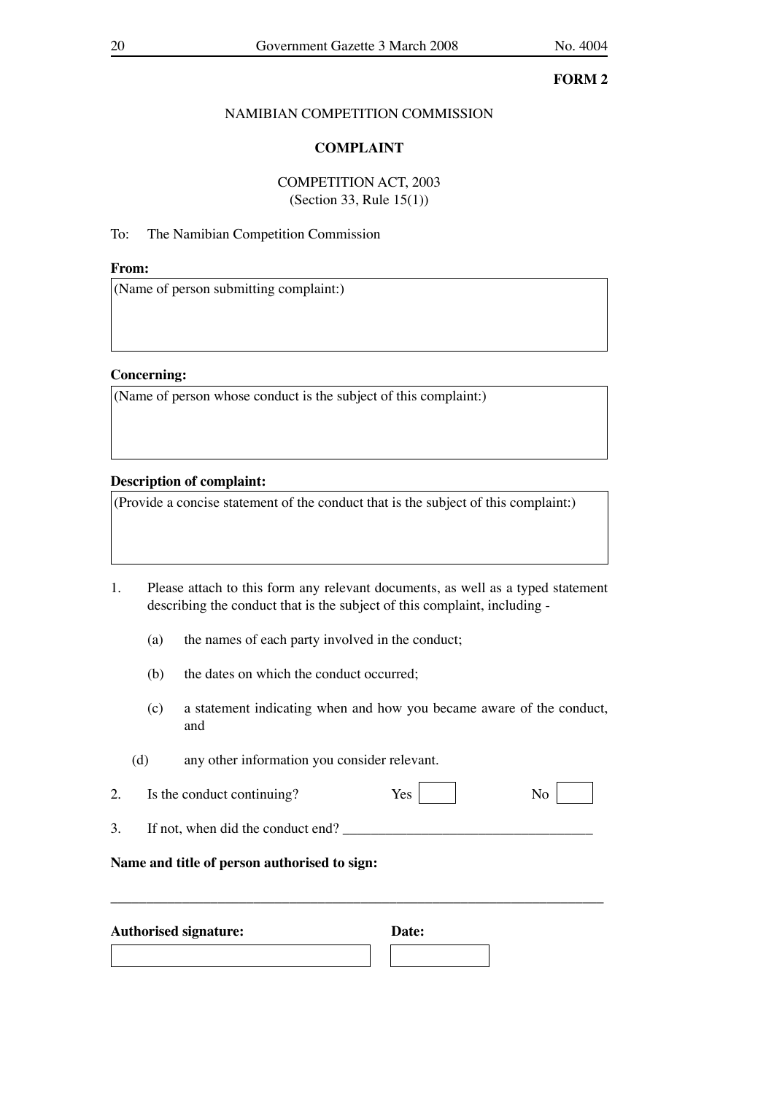# NAMIBIAN COMPETITION COMMISSION

# **COMPLAINT**

# COMPETITION ACT, 2003 (Section 33, Rule 15(1))

# To: The Namibian Competition Commission

# **From:**

(Name of person submitting complaint:)

# **Concerning:**

(Name of person whose conduct is the subject of this complaint:)

# **Description of complaint:**

(Provide a concise statement of the conduct that is the subject of this complaint:)

# 1. Please attach to this form any relevant documents, as well as a typed statement describing the conduct that is the subject of this complaint, including -

- (a) the names of each party involved in the conduct;
- (b) the dates on which the conduct occurred;
- (c) a statement indicating when and how you became aware of the conduct, and
- (d) any other information you consider relevant.

| Is the conduct continuing?<br>∼ | ັ |  |
|---------------------------------|---|--|
|---------------------------------|---|--|

\_\_\_\_\_\_\_\_\_\_\_\_\_\_\_\_\_\_\_\_\_\_\_\_\_\_\_\_\_\_\_\_\_\_\_\_\_\_\_\_\_\_\_\_\_\_\_\_\_\_\_\_\_\_\_\_\_\_\_\_\_\_\_\_\_\_\_\_\_

3. If not, when did the conduct end? \_\_\_\_\_\_\_\_\_\_\_\_\_\_\_\_\_\_\_\_\_\_\_\_\_\_\_\_\_\_\_\_\_\_\_

# **Name and title of person authorised to sign:**

| <b>Authorised signature:</b> | Date: |
|------------------------------|-------|
|                              |       |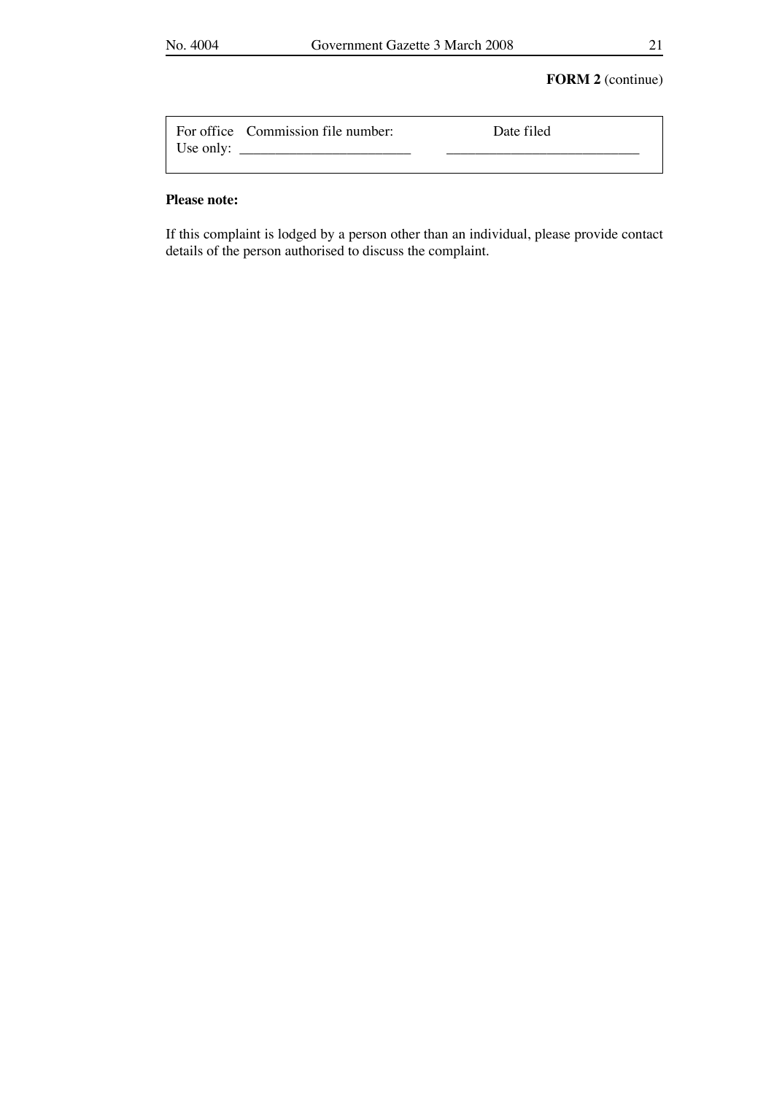# **FORM 2** (continue)

|           | For office Commission file number: | Date filed |
|-----------|------------------------------------|------------|
| Use only: |                                    |            |

### **Please note:**

If this complaint is lodged by a person other than an individual, please provide contact details of the person authorised to discuss the complaint.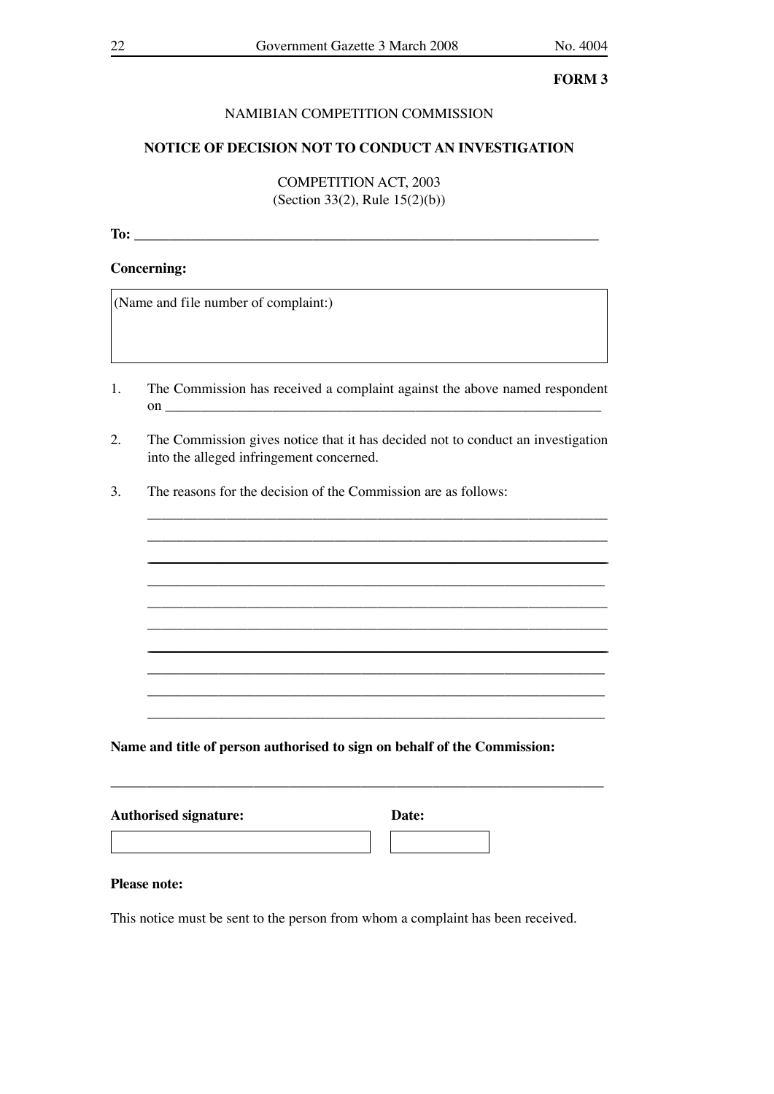# NAMIBIAN COMPETITION COMMISSION

### NOTICE OF DECISION NOT TO CONDUCT AN INVESTIGATION

**COMPETITION ACT. 2003** (Section 33(2), Rule  $15(2)(b)$ )

### **Concerning:**

(Name and file number of complaint:)

- The Commission has received a complaint against the above named respondent 1. on  $\qquad \qquad$   $\qquad$   $\qquad$   $\qquad$   $\qquad$   $\qquad$   $\qquad$   $\qquad$   $\qquad$   $\qquad$   $\qquad$   $\qquad$   $\qquad$   $\qquad$   $\qquad$   $\qquad$   $\qquad$   $\qquad$   $\qquad$   $\qquad$   $\qquad$   $\qquad$   $\qquad$   $\qquad$   $\qquad$   $\qquad$   $\qquad$   $\qquad$   $\qquad$   $\qquad$   $\qquad$   $\qquad$   $\qquad$   $\qquad$   $\qquad$   $\qquad$
- $\overline{2}$ . The Commission gives notice that it has decided not to conduct an investigation into the alleged infringement concerned.
- $3.$ The reasons for the decision of the Commission are as follows:

Name and title of person authorised to sign on behalf of the Commission:

| <b>Authorised signature:</b> |  | Date: |  |  |
|------------------------------|--|-------|--|--|
|                              |  |       |  |  |

### **Please note:**

This notice must be sent to the person from whom a complaint has been received.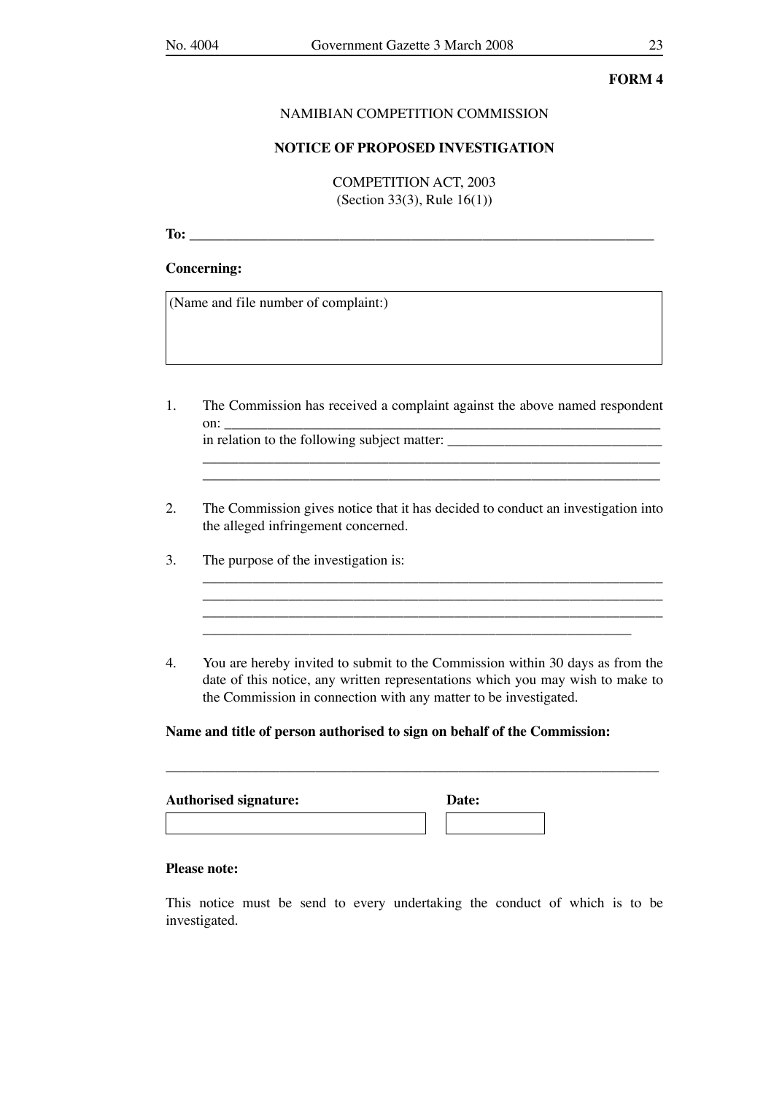### NAMIBIAN COMPETITION COMMISSION

### **NOTICE OF PROPOSED INVESTIGATION**

COMPETITION ACT, 2003 (Section 33(3), Rule 16(1))

**To:** \_\_\_\_\_\_\_\_\_\_\_\_\_\_\_\_\_\_\_\_\_\_\_\_\_\_\_\_\_\_\_\_\_\_\_\_\_\_\_\_\_\_\_\_\_\_\_\_\_\_\_\_\_\_\_\_\_\_\_\_\_\_\_\_\_

### **Concerning:**

(Name and file number of complaint:)

- 1. The Commission has received a complaint against the above named respondent on: \_\_\_\_\_\_\_\_\_\_\_\_\_\_\_\_\_\_\_\_\_\_\_\_\_\_\_\_\_\_\_\_\_\_\_\_\_\_\_\_\_\_\_\_\_\_\_\_\_\_\_\_\_\_\_\_\_\_\_\_\_ in relation to the following subject matter:
- 2. The Commission gives notice that it has decided to conduct an investigation into the alleged infringement concerned.

\_\_\_\_\_\_\_\_\_\_\_\_\_\_\_\_\_\_\_\_\_\_\_\_\_\_\_\_\_\_\_\_\_\_\_\_\_\_\_\_\_\_\_\_\_\_\_\_\_\_\_\_\_\_\_\_\_\_\_\_\_\_\_\_

 $\mathcal{L}_\text{max} = \frac{1}{2} \sum_{i=1}^n \mathcal{L}_\text{max}(\mathbf{z}_i - \mathbf{z}_i)$ \_\_\_\_\_\_\_\_\_\_\_\_\_\_\_\_\_\_\_\_\_\_\_\_\_\_\_\_\_\_\_\_\_\_\_\_\_\_\_\_\_\_\_\_\_\_\_\_\_\_\_\_\_\_\_\_\_\_\_\_

\_\_\_\_\_\_\_\_\_\_\_\_\_\_\_\_\_\_\_\_\_\_\_\_\_\_\_\_\_\_\_\_\_\_\_\_\_\_\_\_\_\_\_\_\_\_\_\_\_\_\_\_\_\_\_\_\_\_\_\_\_\_\_\_

- 3. The purpose of the investigation is:
- 4. You are hereby invited to submit to the Commission within 30 days as from the date of this notice, any written representations which you may wish to make to the Commission in connection with any matter to be investigated.

\_\_\_\_\_\_\_\_\_\_\_\_\_\_\_\_\_\_\_\_\_\_\_\_\_\_\_\_\_\_\_\_\_\_\_\_\_\_\_\_\_\_\_\_\_\_\_\_\_\_\_\_\_\_\_\_\_\_\_\_\_\_\_\_\_\_\_\_\_

# **Name and title of person authorised to sign on behalf of the Commission:**

| <b>Authorised signature:</b> | Date: |  |
|------------------------------|-------|--|
|                              |       |  |

### **Please note:**

This notice must be send to every undertaking the conduct of which is to be investigated.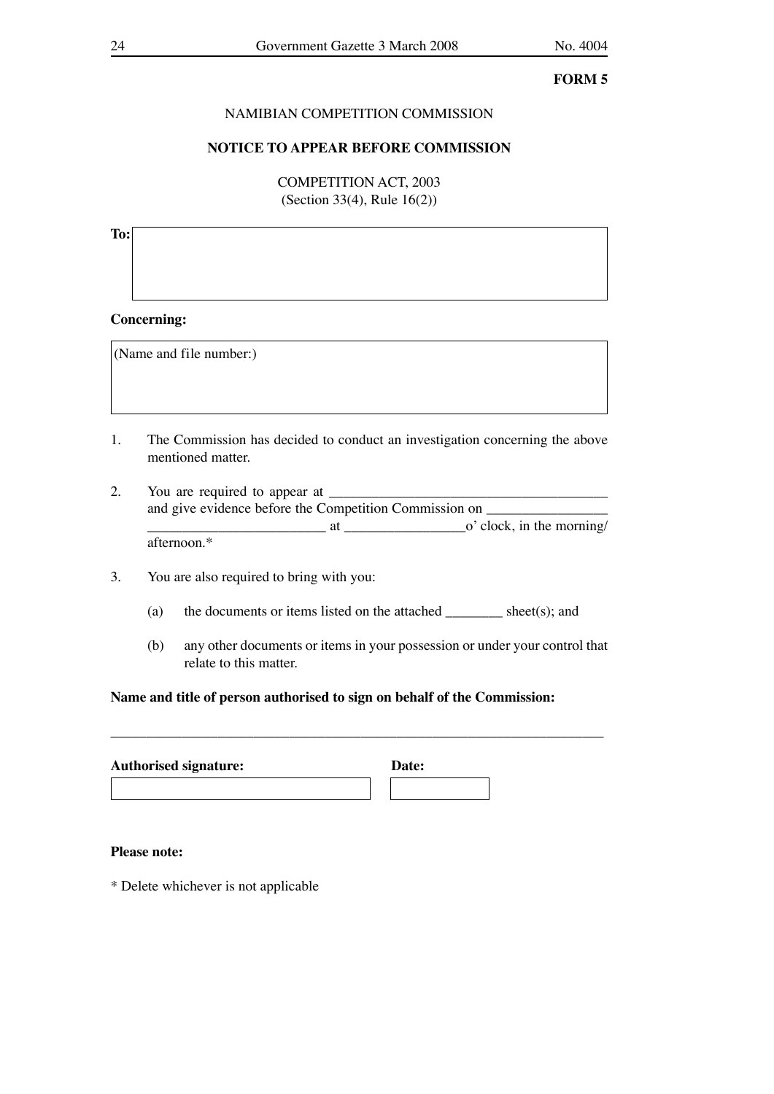# NAMIBIAN COMPETITION COMMISSION

# **NOTICE TO APPEAR BEFORE COMMISSION**

COMPETITION ACT, 2003 (Section 33(4), Rule 16(2))

# **To:**

# **Concerning:**

(Name and file number:)

- 1. The Commission has decided to conduct an investigation concerning the above mentioned matter.
- 2. You are required to appear at and give evidence before the Competition Commission on \_\_\_\_\_\_\_\_\_\_\_\_\_\_\_\_\_\_\_\_\_\_\_\_\_  $\frac{1}{\sqrt{1-\frac{1}{2}}\sqrt{1-\frac{1}{2}}\sqrt{1-\frac{1}{2}}\sqrt{1-\frac{1}{2}}\sqrt{1-\frac{1}{2}}\sqrt{1-\frac{1}{2}}\sqrt{1-\frac{1}{2}}\sqrt{1-\frac{1}{2}}\sqrt{1-\frac{1}{2}}\sqrt{1-\frac{1}{2}}\sqrt{1-\frac{1}{2}}\sqrt{1-\frac{1}{2}}\sqrt{1-\frac{1}{2}}\sqrt{1-\frac{1}{2}}\sqrt{1-\frac{1}{2}}\sqrt{1-\frac{1}{2}}\sqrt{1-\frac{1}{2}}\sqrt{1-\frac{1}{2}}\sqrt{1-\frac{1}{2}}\sqrt{1-\frac$ afternoon.\*
- 3. You are also required to bring with you:
	- (a) the documents or items listed on the attached sheet(s); and
	- (b) any other documents or items in your possession or under your control that relate to this matter.

# **Name and title of person authorised to sign on behalf of the Commission:**

\_\_\_\_\_\_\_\_\_\_\_\_\_\_\_\_\_\_\_\_\_\_\_\_\_\_\_\_\_\_\_\_\_\_\_\_\_\_\_\_\_\_\_\_\_\_\_\_\_\_\_\_\_\_\_\_\_\_\_\_\_\_\_\_\_\_\_\_\_

| <b>Authorised signature:</b> | Date: |  |
|------------------------------|-------|--|
|                              |       |  |

# **Please note:**

\* Delete whichever is not applicable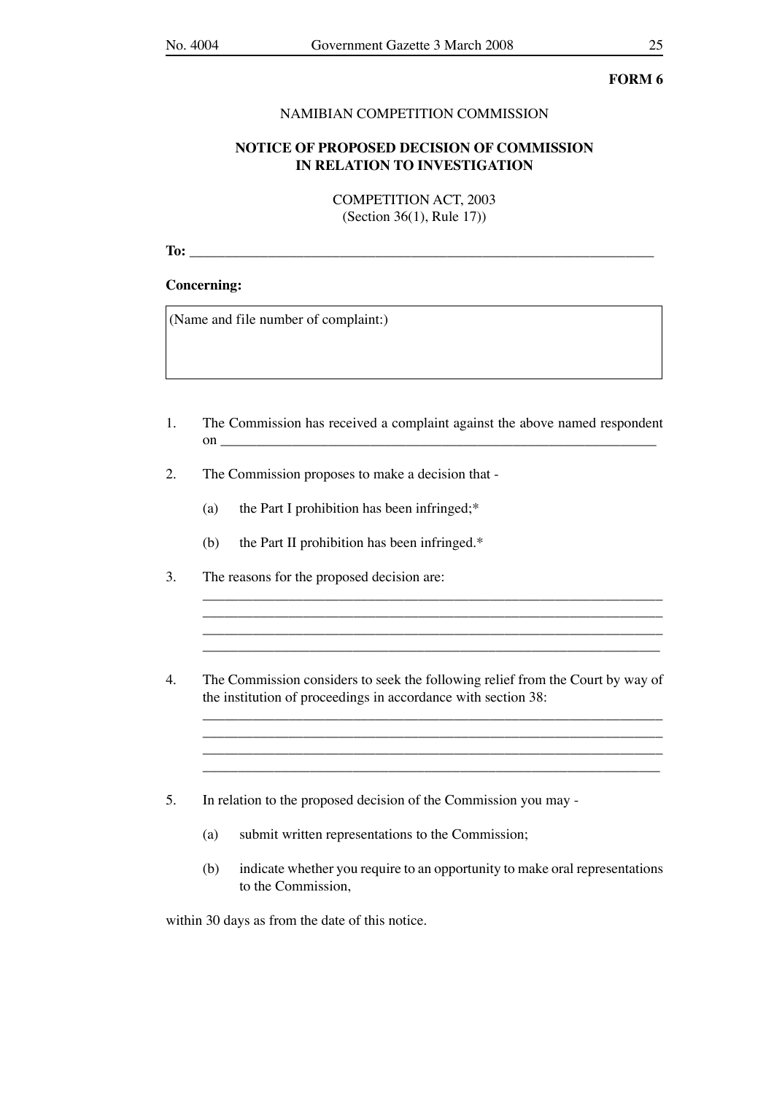### NAMIBIAN COMPETITION COMMISSION

# **NOTICE OF PROPOSED DECISION OF COMMISSION IN RELATION TO INVESTIGATION**

COMPETITION ACT, 2003 (Section 36(1), Rule 17))

**To:** \_\_\_\_\_\_\_\_\_\_\_\_\_\_\_\_\_\_\_\_\_\_\_\_\_\_\_\_\_\_\_\_\_\_\_\_\_\_\_\_\_\_\_\_\_\_\_\_\_\_\_\_\_\_\_\_\_\_\_\_\_\_\_\_\_

### **Concerning:**

(Name and file number of complaint:)

- 1. The Commission has received a complaint against the above named respondent on question  $\mathfrak{g}$  and  $\mathfrak{g}$  and  $\mathfrak{g}$  and  $\mathfrak{g}$  are  $\mathfrak{g}$  and  $\mathfrak{g}$  and  $\mathfrak{g}$  are  $\mathfrak{g}$  and  $\mathfrak{g}$  are  $\mathfrak{g}$  and  $\mathfrak{g}$  are  $\mathfrak{g}$  and  $\mathfrak{g}$  are  $\mathfrak{g}$  and  $\mathfrak{g}$  are
- 2. The Commission proposes to make a decision that
	- (a) the Part I prohibition has been infringed;\*
	- (b) the Part II prohibition has been infringed.\*
- 3. The reasons for the proposed decision are:
- 4. The Commission considers to seek the following relief from the Court by way of the institution of proceedings in accordance with section 38:  $\overline{\phantom{a}}$  ,  $\overline{\phantom{a}}$  ,  $\overline{\phantom{a}}$  ,  $\overline{\phantom{a}}$  ,  $\overline{\phantom{a}}$  ,  $\overline{\phantom{a}}$  ,  $\overline{\phantom{a}}$  ,  $\overline{\phantom{a}}$  ,  $\overline{\phantom{a}}$  ,  $\overline{\phantom{a}}$  ,  $\overline{\phantom{a}}$  ,  $\overline{\phantom{a}}$  ,  $\overline{\phantom{a}}$  ,  $\overline{\phantom{a}}$  ,  $\overline{\phantom{a}}$  ,  $\overline{\phantom{a}}$

\_\_\_\_\_\_\_\_\_\_\_\_\_\_\_\_\_\_\_\_\_\_\_\_\_\_\_\_\_\_\_\_\_\_\_\_\_\_\_\_\_\_\_\_\_\_\_\_\_\_\_\_\_\_\_\_\_\_\_\_\_\_\_\_

\_\_\_\_\_\_\_\_\_\_\_\_\_\_\_\_\_\_\_\_\_\_\_\_\_\_\_\_\_\_\_\_\_\_\_\_\_\_\_\_\_\_\_\_\_\_\_\_\_\_\_\_\_\_\_\_\_\_\_\_\_\_\_\_

\_\_\_\_\_\_\_\_\_\_\_\_\_\_\_\_\_\_\_\_\_\_\_\_\_\_\_\_\_\_\_\_\_\_\_\_\_\_\_\_\_\_\_\_\_\_\_\_\_\_\_\_\_\_\_\_\_\_\_\_\_\_\_\_

 $\mathcal{L}_\text{max}$  $\mathcal{L}_\text{max} = \mathcal{L}_\text{max} = \mathcal{L}_\text{max} = \mathcal{L}_\text{max} = \mathcal{L}_\text{max} = \mathcal{L}_\text{max} = \mathcal{L}_\text{max} = \mathcal{L}_\text{max} = \mathcal{L}_\text{max} = \mathcal{L}_\text{max} = \mathcal{L}_\text{max} = \mathcal{L}_\text{max} = \mathcal{L}_\text{max} = \mathcal{L}_\text{max} = \mathcal{L}_\text{max} = \mathcal{L}_\text{max} = \mathcal{L}_\text{max} = \mathcal{L}_\text{max} = \mathcal{$ \_\_\_\_\_\_\_\_\_\_\_\_\_\_\_\_\_\_\_\_\_\_\_\_\_\_\_\_\_\_\_\_\_\_\_\_\_\_\_\_\_\_\_\_\_\_\_\_\_\_\_\_\_\_\_\_\_\_\_\_\_\_\_\_

- 5. In relation to the proposed decision of the Commission you may
	- (a) submit written representations to the Commission;
	- (b) indicate whether you require to an opportunity to make oral representations to the Commission,

within 30 days as from the date of this notice.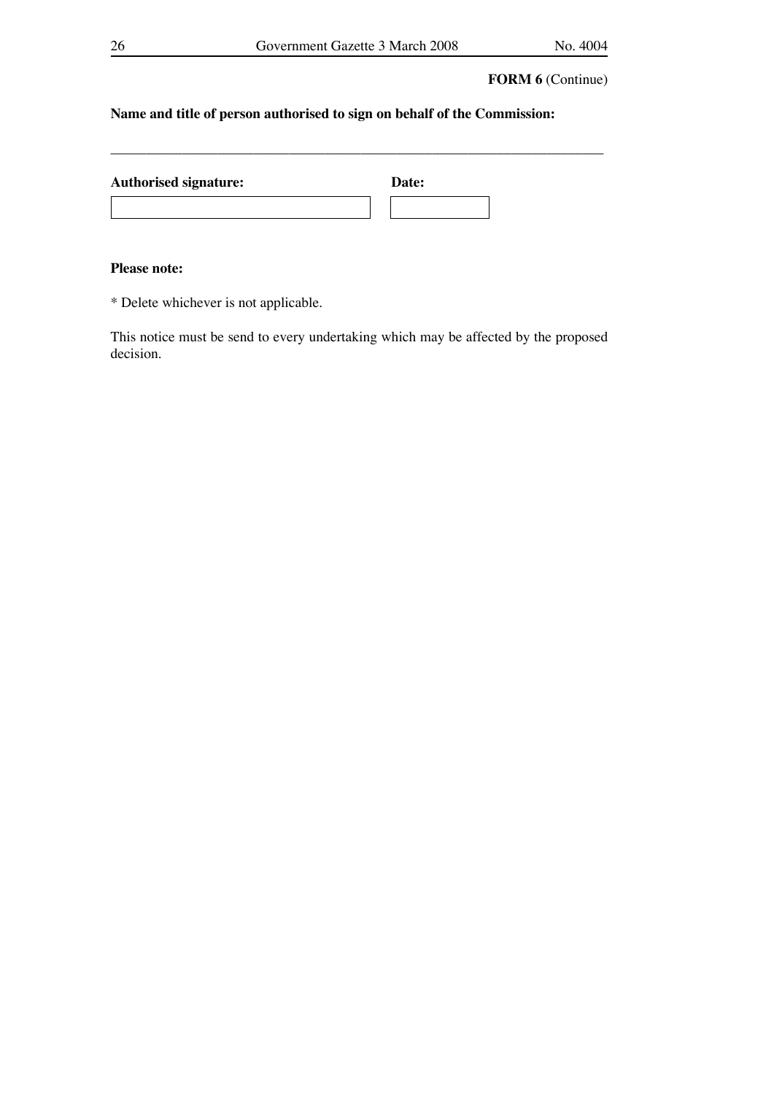\_\_\_\_\_\_\_\_\_\_\_\_\_\_\_\_\_\_\_\_\_\_\_\_\_\_\_\_\_\_\_\_\_\_\_\_\_\_\_\_\_\_\_\_\_\_\_\_\_\_\_\_\_\_\_\_\_\_\_\_\_\_\_\_\_\_\_\_\_

# **FORM 6** (Continue)

# **Name and title of person authorised to sign on behalf of the Commission:**

| <b>Authorised signature:</b> | Date: |  |
|------------------------------|-------|--|
|                              |       |  |

# **Please note:**

\* Delete whichever is not applicable.

This notice must be send to every undertaking which may be affected by the proposed decision.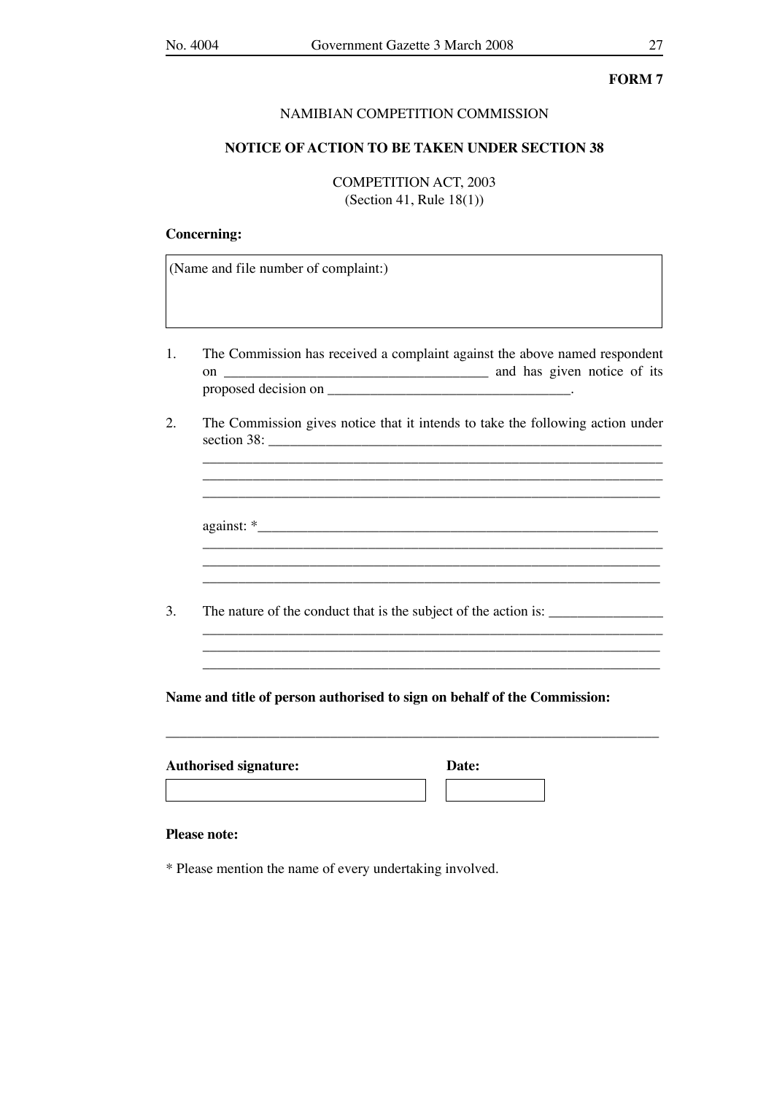### NAMIBIAN COMPETITION COMMISSION

## **NOTICE OF ACTION TO BE TAKEN UNDER SECTION 38**

COMPETITION ACT, 2003 (Section 41, Rule 18(1))

# **Concerning:**

(Name and file number of complaint:)

- 1. The Commission has received a complaint against the above named respondent on \_\_\_\_\_\_\_\_\_\_\_\_\_\_\_\_\_\_\_\_\_\_\_\_\_\_\_\_\_\_\_\_\_\_\_\_\_ and has given notice of its proposed decision on \_\_\_\_\_\_\_\_\_\_\_\_\_\_\_\_\_\_\_\_\_\_\_\_\_\_\_\_\_\_\_\_\_\_.
- 2. The Commission gives notice that it intends to take the following action under section 38: \_\_\_\_\_\_\_\_\_\_\_\_\_\_\_\_\_\_\_\_\_\_\_\_\_\_\_\_\_\_\_\_\_\_\_\_\_\_\_\_\_\_\_\_\_\_\_\_\_\_\_\_\_\_\_

\_\_\_\_\_\_\_\_\_\_\_\_\_\_\_\_\_\_\_\_\_\_\_\_\_\_\_\_\_\_\_\_\_\_\_\_\_\_\_\_\_\_\_\_\_\_\_\_\_\_\_\_\_\_\_\_\_\_\_\_\_\_\_\_ \_\_\_\_\_\_\_\_\_\_\_\_\_\_\_\_\_\_\_\_\_\_\_\_\_\_\_\_\_\_\_\_\_\_\_\_\_\_\_\_\_\_\_\_\_\_\_\_\_\_\_\_\_\_\_\_\_\_\_\_\_\_\_\_

against: \*\_\_\_\_\_\_\_\_\_\_\_\_\_\_\_\_\_\_\_\_\_\_\_\_\_\_\_\_\_\_\_\_\_\_\_\_\_\_\_\_\_\_\_\_\_\_\_\_\_\_\_\_\_\_\_\_

\_\_\_\_\_\_\_\_\_\_\_\_\_\_\_\_\_\_\_\_\_\_\_\_\_\_\_\_\_\_\_\_\_\_\_\_\_\_\_\_\_\_\_\_\_\_\_\_\_\_\_\_\_\_\_\_\_\_\_\_\_\_\_\_

\_\_\_\_\_\_\_\_\_\_\_\_\_\_\_\_\_\_\_\_\_\_\_\_\_\_\_\_\_\_\_\_\_\_\_\_\_\_\_\_\_\_\_\_\_\_\_\_\_\_\_\_\_\_\_\_\_\_\_\_\_\_\_\_ \_\_\_\_\_\_\_\_\_\_\_\_\_\_\_\_\_\_\_\_\_\_\_\_\_\_\_\_\_\_\_\_\_\_\_\_\_\_\_\_\_\_\_\_\_\_\_\_\_\_\_\_\_\_\_\_\_\_\_\_\_\_\_\_

3. The nature of the conduct that is the subject of the action is:

**Name and title of person authorised to sign on behalf of the Commission:**

\_\_\_\_\_\_\_\_\_\_\_\_\_\_\_\_\_\_\_\_\_\_\_\_\_\_\_\_\_\_\_\_\_\_\_\_\_\_\_\_\_\_\_\_\_\_\_\_\_\_\_\_\_\_\_\_\_\_\_\_\_\_\_\_\_\_\_\_\_

| <b>Authorised signature:</b> | Date: |  |
|------------------------------|-------|--|
|                              |       |  |

### **Please note:**

\* Please mention the name of every undertaking involved.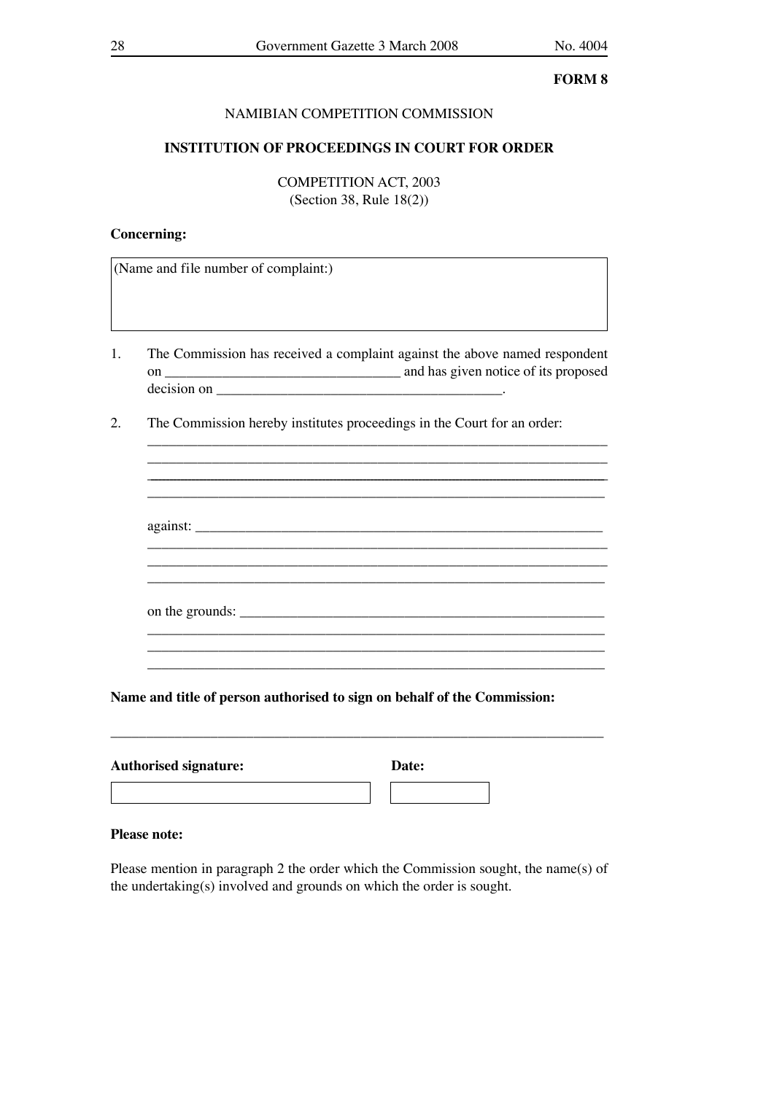# NAMIBIAN COMPETITION COMMISSION

# **INSTITUTION OF PROCEEDINGS IN COURT FOR ORDER**

COMPETITION ACT, 2003 (Section 38, Rule 18(2))

## **Concerning:**

(Name and file number of complaint:)

1. The Commission has received a complaint against the above named respondent on \_\_\_\_\_\_\_\_\_\_\_\_\_\_\_\_\_\_\_\_\_\_\_\_\_\_\_\_\_\_\_\_\_ and has given notice of its proposed  $\Delta$  decision on  $\Box$ 

 $\mathcal{L}_\text{max}$  , and the set of the set of the set of the set of the set of the set of the set of the set of the set of the set of the set of the set of the set of the set of the set of the set of the set of the set of the \_\_\_\_\_\_\_\_\_\_\_\_\_\_\_\_\_\_\_\_\_\_\_\_\_\_\_\_\_\_\_\_\_\_\_\_\_\_\_\_\_\_\_\_\_\_\_\_\_\_\_\_\_\_\_\_\_\_\_\_\_\_\_\_\_\_\_\_\_\_\_\_\_\_\_\_\_\_\_\_\_\_\_\_\_\_\_\_\_\_\_\_\_\_\_\_\_\_\_\_\_\_\_\_\_\_\_\_\_\_\_\_\_\_\_\_\_\_\_\_\_\_\_ \_\_\_\_\_\_\_\_\_\_\_\_\_\_\_\_\_\_\_\_\_\_\_\_\_\_\_\_\_\_\_\_\_\_\_\_\_\_\_\_\_\_\_\_\_\_\_\_\_\_\_\_\_\_\_\_\_\_\_\_\_\_\_\_

against: \_\_\_\_\_\_\_\_\_\_\_\_\_\_\_\_\_\_\_\_\_\_\_\_\_\_\_\_\_\_\_\_\_\_\_\_\_\_\_\_\_\_\_\_\_\_\_\_\_\_\_\_\_\_\_\_\_

\_\_\_\_\_\_\_\_\_\_\_\_\_\_\_\_\_\_\_\_\_\_\_\_\_\_\_\_\_\_\_\_\_\_\_\_\_\_\_\_\_\_\_\_\_\_\_\_\_\_\_\_\_\_\_\_\_\_\_\_\_\_\_\_

on the grounds:

\_\_\_\_\_\_\_\_\_\_\_\_\_\_\_\_\_\_\_\_\_\_\_\_\_\_\_\_\_\_\_\_\_\_\_\_\_\_\_\_\_\_\_\_\_\_\_\_\_\_\_\_\_\_\_\_\_\_\_\_\_\_\_\_ \_\_\_\_\_\_\_\_\_\_\_\_\_\_\_\_\_\_\_\_\_\_\_\_\_\_\_\_\_\_\_\_\_\_\_\_\_\_\_\_\_\_\_\_\_\_\_\_\_\_\_\_\_\_\_\_\_\_\_\_\_\_\_\_

 $\mathcal{L}_\text{max} = \mathcal{L}_\text{max} = \mathcal{L}_\text{max} = \mathcal{L}_\text{max} = \mathcal{L}_\text{max} = \mathcal{L}_\text{max} = \mathcal{L}_\text{max} = \mathcal{L}_\text{max} = \mathcal{L}_\text{max} = \mathcal{L}_\text{max} = \mathcal{L}_\text{max} = \mathcal{L}_\text{max} = \mathcal{L}_\text{max} = \mathcal{L}_\text{max} = \mathcal{L}_\text{max} = \mathcal{L}_\text{max} = \mathcal{L}_\text{max} = \mathcal{L}_\text{max} = \mathcal{$ 

2. The Commission hereby institutes proceedings in the Court for an order:

**Name and title of person authorised to sign on behalf of the Commission:**

\_\_\_\_\_\_\_\_\_\_\_\_\_\_\_\_\_\_\_\_\_\_\_\_\_\_\_\_\_\_\_\_\_\_\_\_\_\_\_\_\_\_\_\_\_\_\_\_\_\_\_\_\_\_\_\_\_\_\_\_\_\_\_\_\_\_\_\_\_

| <b>Authorised signature:</b> | Date: |  |
|------------------------------|-------|--|
|                              |       |  |

### **Please note:**

Please mention in paragraph 2 the order which the Commission sought, the name(s) of the undertaking(s) involved and grounds on which the order is sought.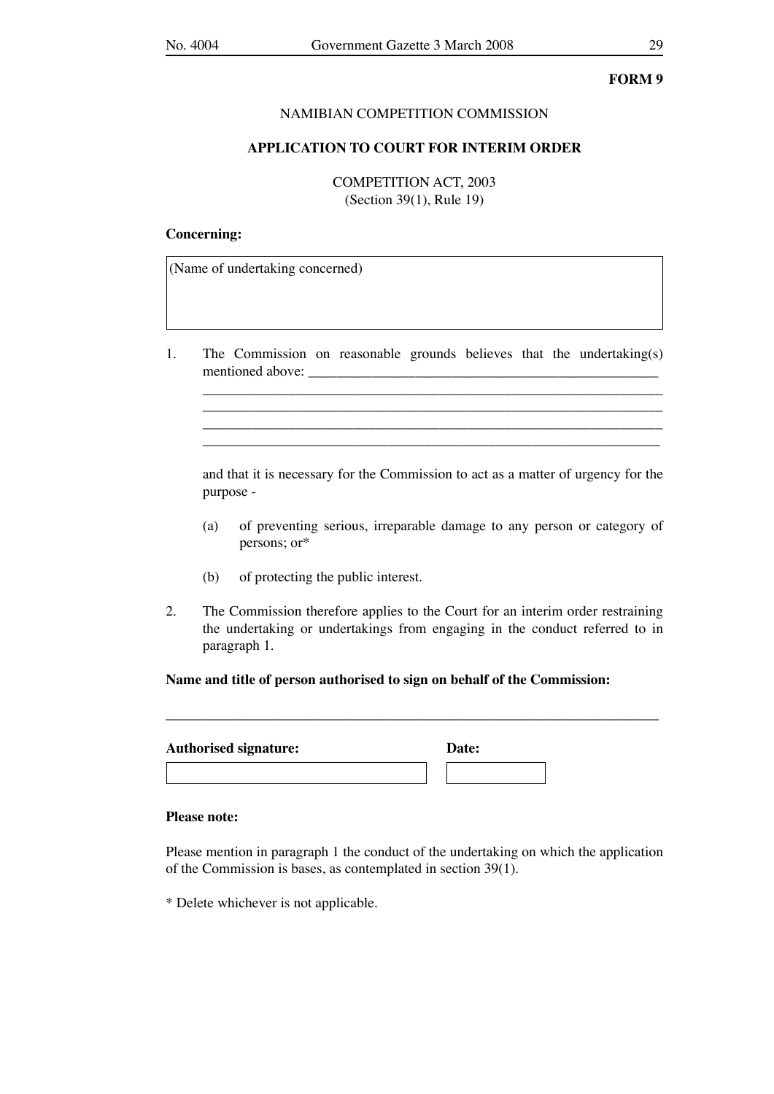### NAMIBIAN COMPETITION COMMISSION

### **APPLICATION TO COURT FOR INTERIM ORDER**

COMPETITION ACT, 2003 (Section 39(1), Rule 19)

# **Concerning:**

(Name of undertaking concerned)

1. The Commission on reasonable grounds believes that the undertaking(s) mentioned above:

 $\overline{\phantom{a}}$  ,  $\overline{\phantom{a}}$  ,  $\overline{\phantom{a}}$  ,  $\overline{\phantom{a}}$  ,  $\overline{\phantom{a}}$  ,  $\overline{\phantom{a}}$  ,  $\overline{\phantom{a}}$  ,  $\overline{\phantom{a}}$  ,  $\overline{\phantom{a}}$  ,  $\overline{\phantom{a}}$  ,  $\overline{\phantom{a}}$  ,  $\overline{\phantom{a}}$  ,  $\overline{\phantom{a}}$  ,  $\overline{\phantom{a}}$  ,  $\overline{\phantom{a}}$  ,  $\overline{\phantom{a}}$ \_\_\_\_\_\_\_\_\_\_\_\_\_\_\_\_\_\_\_\_\_\_\_\_\_\_\_\_\_\_\_\_\_\_\_\_\_\_\_\_\_\_\_\_\_\_\_\_\_\_\_\_\_\_\_\_\_\_\_\_\_\_\_\_ \_\_\_\_\_\_\_\_\_\_\_\_\_\_\_\_\_\_\_\_\_\_\_\_\_\_\_\_\_\_\_\_\_\_\_\_\_\_\_\_\_\_\_\_\_\_\_\_\_\_\_\_\_\_\_\_\_\_\_\_\_\_\_\_ \_\_\_\_\_\_\_\_\_\_\_\_\_\_\_\_\_\_\_\_\_\_\_\_\_\_\_\_\_\_\_\_\_\_\_\_\_\_\_\_\_\_\_\_\_\_\_\_\_\_\_\_\_\_\_\_\_\_\_\_\_\_\_\_

 and that it is necessary for the Commission to act as a matter of urgency for the purpose -

- (a) of preventing serious, irreparable damage to any person or category of persons; or\*
- (b) of protecting the public interest.
- 2. The Commission therefore applies to the Court for an interim order restraining the undertaking or undertakings from engaging in the conduct referred to in paragraph 1.

\_\_\_\_\_\_\_\_\_\_\_\_\_\_\_\_\_\_\_\_\_\_\_\_\_\_\_\_\_\_\_\_\_\_\_\_\_\_\_\_\_\_\_\_\_\_\_\_\_\_\_\_\_\_\_\_\_\_\_\_\_\_\_\_\_\_\_\_\_

### **Name and title of person authorised to sign on behalf of the Commission:**

| <b>Authorised signature:</b> | Date: |  |
|------------------------------|-------|--|
|                              |       |  |

### **Please note:**

Please mention in paragraph 1 the conduct of the undertaking on which the application of the Commission is bases, as contemplated in section 39(1).

\* Delete whichever is not applicable.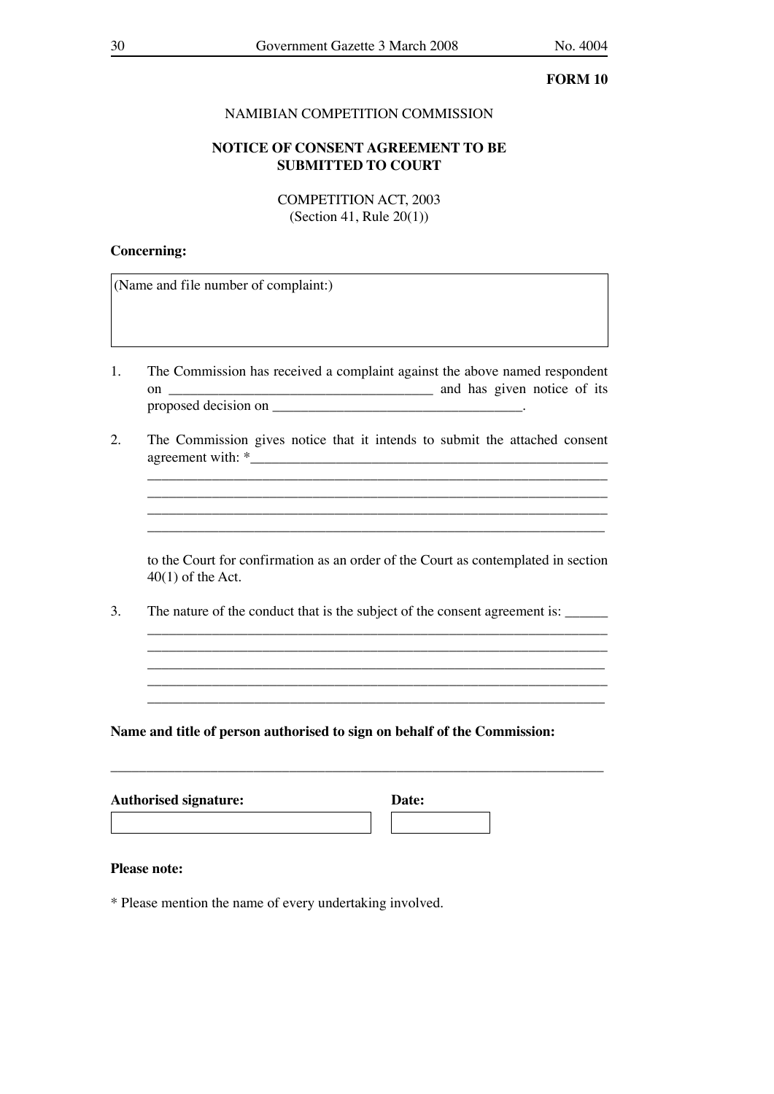# NAMIBIAN COMPETITION COMMISSION

# **NOTICE OF CONSENT AGREEMENT TO BE SUBMITTED TO COURT**

COMPETITION ACT, 2003 (Section 41, Rule 20(1))

### **Concerning:**

(Name and file number of complaint:)

- 1. The Commission has received a complaint against the above named respondent on \_\_\_\_\_\_\_\_\_\_\_\_\_\_\_\_\_\_\_\_\_\_\_\_\_\_\_\_\_\_\_\_\_\_\_\_\_ and has given notice of its proposed decision on
- 2. The Commission gives notice that it intends to submit the attached consent  $a$ greement with:  $*$

 $\overline{\phantom{a}}$  ,  $\overline{\phantom{a}}$  ,  $\overline{\phantom{a}}$  ,  $\overline{\phantom{a}}$  ,  $\overline{\phantom{a}}$  ,  $\overline{\phantom{a}}$  ,  $\overline{\phantom{a}}$  ,  $\overline{\phantom{a}}$  ,  $\overline{\phantom{a}}$  ,  $\overline{\phantom{a}}$  ,  $\overline{\phantom{a}}$  ,  $\overline{\phantom{a}}$  ,  $\overline{\phantom{a}}$  ,  $\overline{\phantom{a}}$  ,  $\overline{\phantom{a}}$  ,  $\overline{\phantom{a}}$ \_\_\_\_\_\_\_\_\_\_\_\_\_\_\_\_\_\_\_\_\_\_\_\_\_\_\_\_\_\_\_\_\_\_\_\_\_\_\_\_\_\_\_\_\_\_\_\_\_\_\_\_\_\_\_\_\_\_\_\_\_\_\_\_ \_\_\_\_\_\_\_\_\_\_\_\_\_\_\_\_\_\_\_\_\_\_\_\_\_\_\_\_\_\_\_\_\_\_\_\_\_\_\_\_\_\_\_\_\_\_\_\_\_\_\_\_\_\_\_\_\_\_\_\_\_\_\_\_  $\mathcal{L}_\text{max} = \frac{1}{2} \sum_{i=1}^n \mathcal{L}_\text{max}(\mathbf{z}_i - \mathbf{z}_i)$ 

 to the Court for confirmation as an order of the Court as contemplated in section 40(1) of the Act.

3. The nature of the conduct that is the subject of the consent agreement is:

 \_\_\_\_\_\_\_\_\_\_\_\_\_\_\_\_\_\_\_\_\_\_\_\_\_\_\_\_\_\_\_\_\_\_\_\_\_\_\_\_\_\_\_\_\_\_\_\_\_\_\_\_\_\_\_\_\_\_\_\_\_\_\_\_ \_\_\_\_\_\_\_\_\_\_\_\_\_\_\_\_\_\_\_\_\_\_\_\_\_\_\_\_\_\_\_\_\_\_\_\_\_\_\_\_\_\_\_\_\_\_\_\_\_\_\_\_\_\_\_\_\_\_\_\_\_\_\_\_ \_\_\_\_\_\_\_\_\_\_\_\_\_\_\_\_\_\_\_\_\_\_\_\_\_\_\_\_\_\_\_\_\_\_\_\_\_\_\_\_\_\_\_\_\_\_\_\_\_\_\_\_\_\_\_\_\_\_\_\_\_\_\_\_ \_\_\_\_\_\_\_\_\_\_\_\_\_\_\_\_\_\_\_\_\_\_\_\_\_\_\_\_\_\_\_\_\_\_\_\_\_\_\_\_\_\_\_\_\_\_\_\_\_\_\_\_\_\_\_\_\_\_\_\_\_\_\_\_ \_\_\_\_\_\_\_\_\_\_\_\_\_\_\_\_\_\_\_\_\_\_\_\_\_\_\_\_\_\_\_\_\_\_\_\_\_\_\_\_\_\_\_\_\_\_\_\_\_\_\_\_\_\_\_\_\_\_\_\_\_\_\_\_

\_\_\_\_\_\_\_\_\_\_\_\_\_\_\_\_\_\_\_\_\_\_\_\_\_\_\_\_\_\_\_\_\_\_\_\_\_\_\_\_\_\_\_\_\_\_\_\_\_\_\_\_\_\_\_\_\_\_\_\_\_\_\_\_\_\_\_\_\_

# **Name and title of person authorised to sign on behalf of the Commission:**

| <b>Authorised signature:</b> | Date: |  |
|------------------------------|-------|--|
|                              |       |  |

# **Please note:**

\* Please mention the name of every undertaking involved.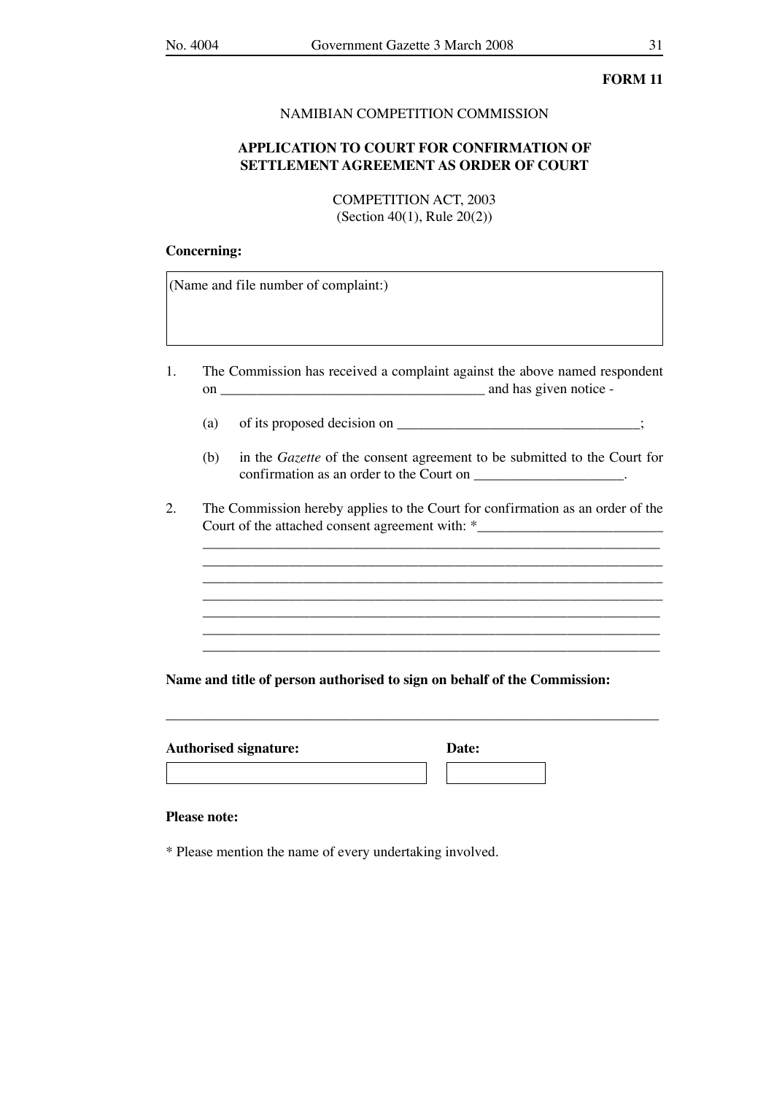### NAMIBIAN COMPETITION COMMISSION

# **APPLICATION TO COURT FOR CONFIRMATION OF SETTLEMENT AGREEMENT AS ORDER OF COURT**

COMPETITION ACT, 2003 (Section 40(1), Rule 20(2))

### **Concerning:**

(Name and file number of complaint:)

- 1. The Commission has received a complaint against the above named respondent on \_\_\_\_\_\_\_\_\_\_\_\_\_\_\_\_\_\_\_\_\_\_\_\_\_\_\_\_\_\_\_\_\_\_\_\_\_ and has given notice -
	- (a) of its proposed decision on  $\overline{\phantom{a}}$ ;
	- (b) in the *Gazette* of the consent agreement to be submitted to the Court for confirmation as an order to the Court on \_\_\_\_\_\_\_\_\_\_\_\_\_\_\_\_\_\_\_\_.

\_\_\_\_\_\_\_\_\_\_\_\_\_\_\_\_\_\_\_\_\_\_\_\_\_\_\_\_\_\_\_\_\_\_\_\_\_\_\_\_\_\_\_\_\_\_\_\_\_\_\_\_\_\_\_\_\_\_\_\_\_\_\_\_ \_\_\_\_\_\_\_\_\_\_\_\_\_\_\_\_\_\_\_\_\_\_\_\_\_\_\_\_\_\_\_\_\_\_\_\_\_\_\_\_\_\_\_\_\_\_\_\_\_\_\_\_\_\_\_\_\_\_\_\_\_\_\_\_

2. The Commission hereby applies to the Court for confirmation as an order of the Court of the attached consent agreement with: \*

 \_\_\_\_\_\_\_\_\_\_\_\_\_\_\_\_\_\_\_\_\_\_\_\_\_\_\_\_\_\_\_\_\_\_\_\_\_\_\_\_\_\_\_\_\_\_\_\_\_\_\_\_\_\_\_\_\_\_\_\_\_\_\_\_  $\overline{\phantom{a}}$  ,  $\overline{\phantom{a}}$  ,  $\overline{\phantom{a}}$  ,  $\overline{\phantom{a}}$  ,  $\overline{\phantom{a}}$  ,  $\overline{\phantom{a}}$  ,  $\overline{\phantom{a}}$  ,  $\overline{\phantom{a}}$  ,  $\overline{\phantom{a}}$  ,  $\overline{\phantom{a}}$  ,  $\overline{\phantom{a}}$  ,  $\overline{\phantom{a}}$  ,  $\overline{\phantom{a}}$  ,  $\overline{\phantom{a}}$  ,  $\overline{\phantom{a}}$  ,  $\overline{\phantom{a}}$ 

\_\_\_\_\_\_\_\_\_\_\_\_\_\_\_\_\_\_\_\_\_\_\_\_\_\_\_\_\_\_\_\_\_\_\_\_\_\_\_\_\_\_\_\_\_\_\_\_\_\_\_\_\_\_\_\_\_\_\_\_\_\_\_\_\_\_\_\_\_

## **Name and title of person authorised to sign on behalf of the Commission:**

| <b>Authorised signature:</b> | Date: |
|------------------------------|-------|
|------------------------------|-------|

| <b>Date:</b> |  |  |
|--------------|--|--|
|              |  |  |

### **Please note:**

\* Please mention the name of every undertaking involved.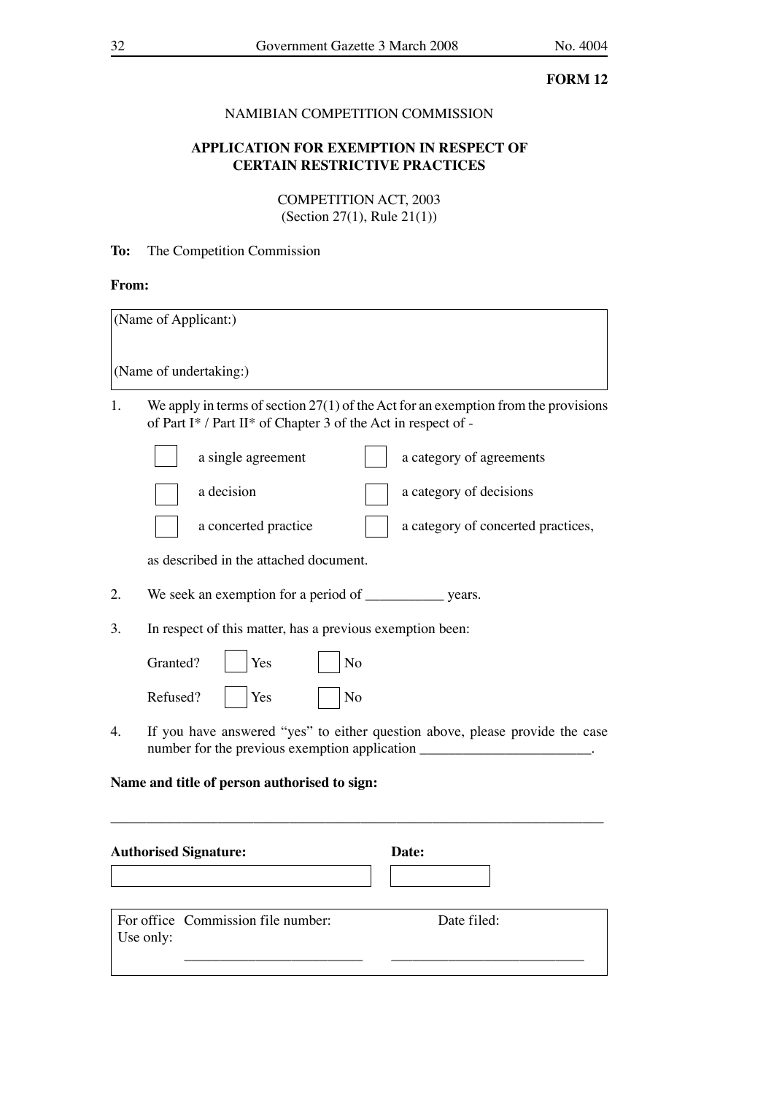# NAMIBIAN COMPETITION COMMISSION

# **APPLICATION FOR EXEMPTION IN RESPECT OF CERTAIN RESTRICTIVE PRACTICES**

COMPETITION ACT, 2003 (Section 27(1), Rule 21(1))

# **To:** The Competition Commission

# **From:**

Use only:

|    | (Name of Applicant:)                                                                                                                                              |
|----|-------------------------------------------------------------------------------------------------------------------------------------------------------------------|
|    | (Name of undertaking:)                                                                                                                                            |
| 1. | We apply in terms of section $27(1)$ of the Act for an exemption from the provisions<br>of Part I* / Part II* of Chapter 3 of the Act in respect of -             |
|    | a single agreement<br>a category of agreements                                                                                                                    |
|    | a decision<br>a category of decisions                                                                                                                             |
|    | a concerted practice<br>a category of concerted practices,                                                                                                        |
|    | as described in the attached document.                                                                                                                            |
| 2. |                                                                                                                                                                   |
| 3. | In respect of this matter, has a previous exemption been:                                                                                                         |
|    | Granted?<br>Yes<br>No                                                                                                                                             |
|    | Refused?<br>Yes<br>No                                                                                                                                             |
| 4. | If you have answered "yes" to either question above, please provide the case<br>number for the previous exemption application ___________________________________ |
|    | Name and title of person authorised to sign:                                                                                                                      |
|    | <b>Authorised Signature:</b><br>Date:                                                                                                                             |
|    |                                                                                                                                                                   |
|    | For office Commission file number:<br>Date filed:                                                                                                                 |

\_\_\_\_\_\_\_\_\_\_\_\_\_\_\_\_\_\_\_\_\_\_\_\_\_ \_\_\_\_\_\_\_\_\_\_\_\_\_\_\_\_\_\_\_\_\_\_\_\_\_\_\_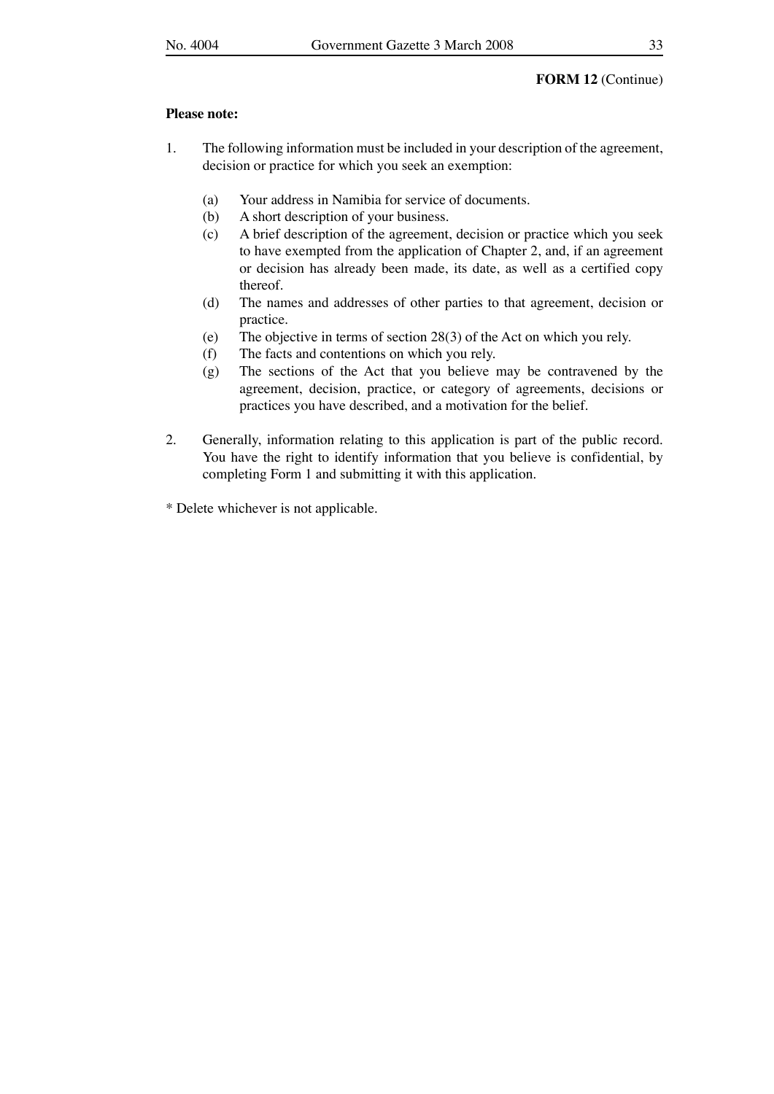### **FORM 12** (Continue)

### **Please note:**

- 1. The following information must be included in your description of the agreement, decision or practice for which you seek an exemption:
	- (a) Your address in Namibia for service of documents.
	- (b) A short description of your business.
	- (c) A brief description of the agreement, decision or practice which you seek to have exempted from the application of Chapter 2, and, if an agreement or decision has already been made, its date, as well as a certified copy thereof.
	- (d) The names and addresses of other parties to that agreement, decision or practice.
	- (e) The objective in terms of section 28(3) of the Act on which you rely.
	- (f) The facts and contentions on which you rely.
	- (g) The sections of the Act that you believe may be contravened by the agreement, decision, practice, or category of agreements, decisions or practices you have described, and a motivation for the belief.
- 2. Generally, information relating to this application is part of the public record. You have the right to identify information that you believe is confidential, by completing Form 1 and submitting it with this application.
- \* Delete whichever is not applicable.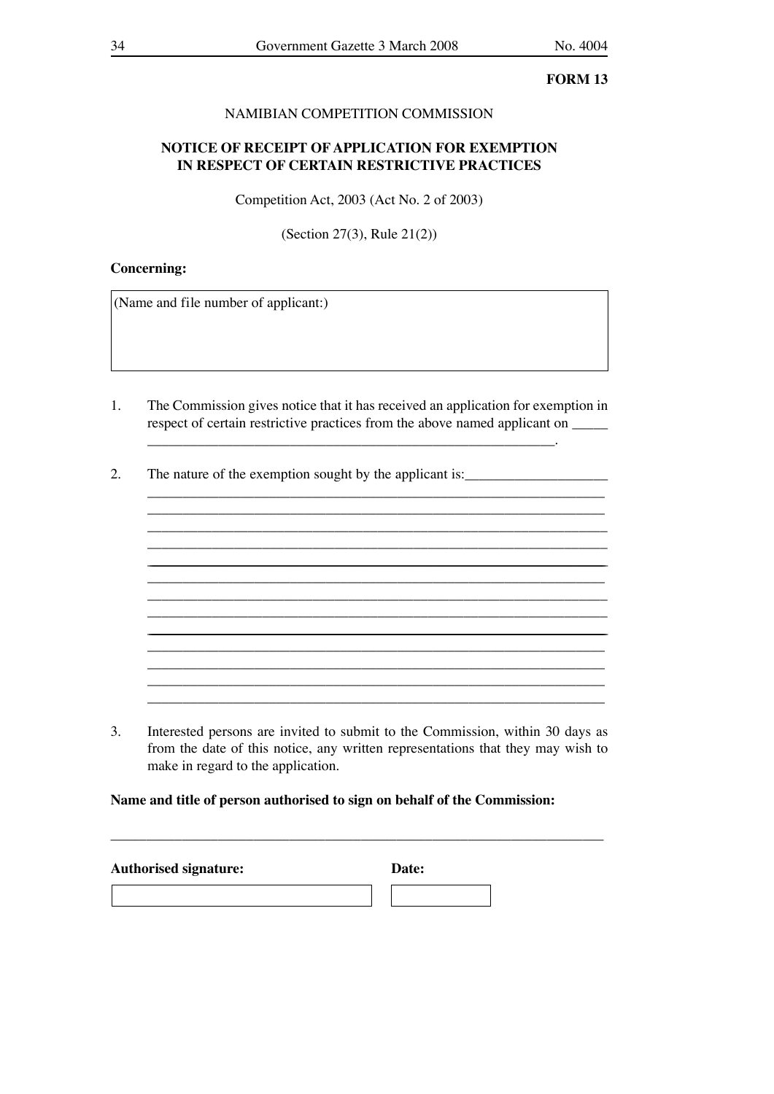# NAMIBIAN COMPETITION COMMISSION

# **NOTICE OF RECEIPT OF APPLICATION FOR EXEMPTION IN RESPECT OF CERTAIN RESTRICTIVE PRACTICES**

Competition Act, 2003 (Act No. 2 of 2003)

(Section 27(3), Rule 21(2))

### **Concerning:**

(Name and file number of applicant:)

1. The Commission gives notice that it has received an application for exemption in respect of certain restrictive practices from the above named applicant on  $\qquad$ 

\_\_\_\_\_\_\_\_\_\_\_\_\_\_\_\_\_\_\_\_\_\_\_\_\_\_\_\_\_\_\_\_\_\_\_\_\_\_\_\_\_\_\_\_\_\_\_\_\_\_\_\_\_\_\_\_\_\_\_\_\_\_\_\_ \_\_\_\_\_\_\_\_\_\_\_\_\_\_\_\_\_\_\_\_\_\_\_\_\_\_\_\_\_\_\_\_\_\_\_\_\_\_\_\_\_\_\_\_\_\_\_\_\_\_\_\_\_\_\_\_\_\_\_\_\_\_\_\_

\_\_\_\_\_\_\_\_\_\_\_\_\_\_\_\_\_\_\_\_\_\_\_\_\_\_\_\_\_\_\_\_\_\_\_\_\_\_\_\_\_\_\_\_\_\_\_\_\_\_\_\_\_\_\_\_\_\_\_\_\_\_\_\_

\_\_\_\_\_\_\_\_\_\_\_\_\_\_\_\_\_\_\_\_\_\_\_\_\_\_\_\_\_\_\_\_\_\_\_\_\_\_\_\_\_\_\_\_\_\_\_\_\_\_\_\_\_\_\_\_\_\_\_\_\_\_\_\_ \_\_\_\_\_\_\_\_\_\_\_\_\_\_\_\_\_\_\_\_\_\_\_\_\_\_\_\_\_\_\_\_\_\_\_\_\_\_\_\_\_\_\_\_\_\_\_\_\_\_\_\_\_\_\_\_\_\_\_\_\_\_\_\_

\_\_\_\_\_\_\_\_\_\_\_\_\_\_\_\_\_\_\_\_\_\_\_\_\_\_\_\_\_\_\_\_\_\_\_\_\_\_\_\_\_\_\_\_\_\_\_\_\_\_\_\_\_\_\_\_\_\_\_\_\_\_\_\_ \_\_\_\_\_\_\_\_\_\_\_\_\_\_\_\_\_\_\_\_\_\_\_\_\_\_\_\_\_\_\_\_\_\_\_\_\_\_\_\_\_\_\_\_\_\_\_\_\_\_\_\_\_\_\_\_\_\_\_\_\_\_\_\_

 $\mathcal{L}_\text{max} = \mathcal{L}_\text{max} = \mathcal{L}_\text{max} = \mathcal{L}_\text{max} = \mathcal{L}_\text{max} = \mathcal{L}_\text{max} = \mathcal{L}_\text{max} = \mathcal{L}_\text{max} = \mathcal{L}_\text{max} = \mathcal{L}_\text{max} = \mathcal{L}_\text{max} = \mathcal{L}_\text{max} = \mathcal{L}_\text{max} = \mathcal{L}_\text{max} = \mathcal{L}_\text{max} = \mathcal{L}_\text{max} = \mathcal{L}_\text{max} = \mathcal{L}_\text{max} = \mathcal{$ 

2. The nature of the exemption sought by the applicant is:\_\_\_\_\_\_\_\_\_\_\_\_\_\_\_\_\_\_\_\_\_\_

3. Interested persons are invited to submit to the Commission, within 30 days as from the date of this notice, any written representations that they may wish to make in regard to the application.

\_\_\_\_\_\_\_\_\_\_\_\_\_\_\_\_\_\_\_\_\_\_\_\_\_\_\_\_\_\_\_\_\_\_\_\_\_\_\_\_\_\_\_\_\_\_\_\_\_\_\_\_\_\_\_\_\_\_\_\_\_\_\_\_

**Name and title of person authorised to sign on behalf of the Commission:**

| <b>Authorised signature:</b> | Date: |
|------------------------------|-------|
|                              |       |
|                              |       |

\_\_\_\_\_\_\_\_\_\_\_\_\_\_\_\_\_\_\_\_\_\_\_\_\_\_\_\_\_\_\_\_\_\_\_\_\_\_\_\_\_\_\_\_\_\_\_\_\_\_\_\_\_\_\_\_\_\_\_\_\_\_\_\_\_\_\_\_\_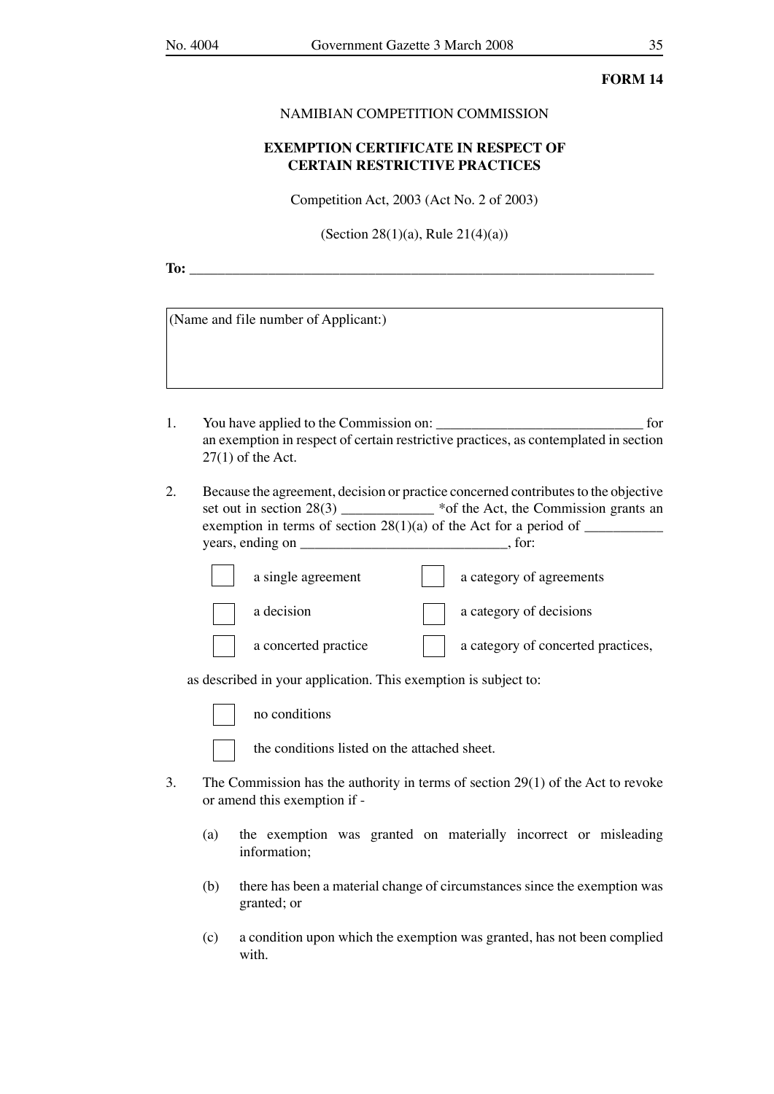### NAMIBIAN COMPETITION COMMISSION

# **EXEMPTION CERTIFICATE IN RESPECT OF CERTAIN RESTRICTIVE PRACTICES**

Competition Act, 2003 (Act No. 2 of 2003)

(Section 28(1)(a), Rule 21(4)(a))

**To:** \_\_\_\_\_\_\_\_\_\_\_\_\_\_\_\_\_\_\_\_\_\_\_\_\_\_\_\_\_\_\_\_\_\_\_\_\_\_\_\_\_\_\_\_\_\_\_\_\_\_\_\_\_\_\_\_\_\_\_\_\_\_\_\_\_

(Name and file number of Applicant:)

- 1. You have applied to the Commission on: \_\_\_\_\_\_\_\_\_\_\_\_\_\_\_\_\_\_\_\_\_\_\_\_\_\_\_\_\_ for an exemption in respect of certain restrictive practices, as contemplated in section  $27(1)$  of the Act.
- 2. Because the agreement, decision or practice concerned contributes to the objective set out in section  $28(3)$   $\qquad \qquad$  \*of the Act, the Commission grants an exemption in terms of section 28(1)(a) of the Act for a period of \_\_\_\_\_\_\_\_\_\_\_ years, ending on \_\_\_\_\_\_\_\_\_\_\_\_\_\_\_\_\_\_\_\_\_\_\_\_\_\_\_\_\_\_\_\_\_, for:

| a single agreement   | a category of agreements           |
|----------------------|------------------------------------|
| a decision           | a category of decisions            |
| a concerted practice | a category of concerted practices, |

as described in your application. This exemption is subject to:

conditions

the conditions listed on the attached sheet.

- 3. The Commission has the authority in terms of section 29(1) of the Act to revoke or amend this exemption if -
	- (a) the exemption was granted on materially incorrect or misleading information;
	- (b) there has been a material change of circumstances since the exemption was granted; or
	- (c) a condition upon which the exemption was granted, has not been complied with.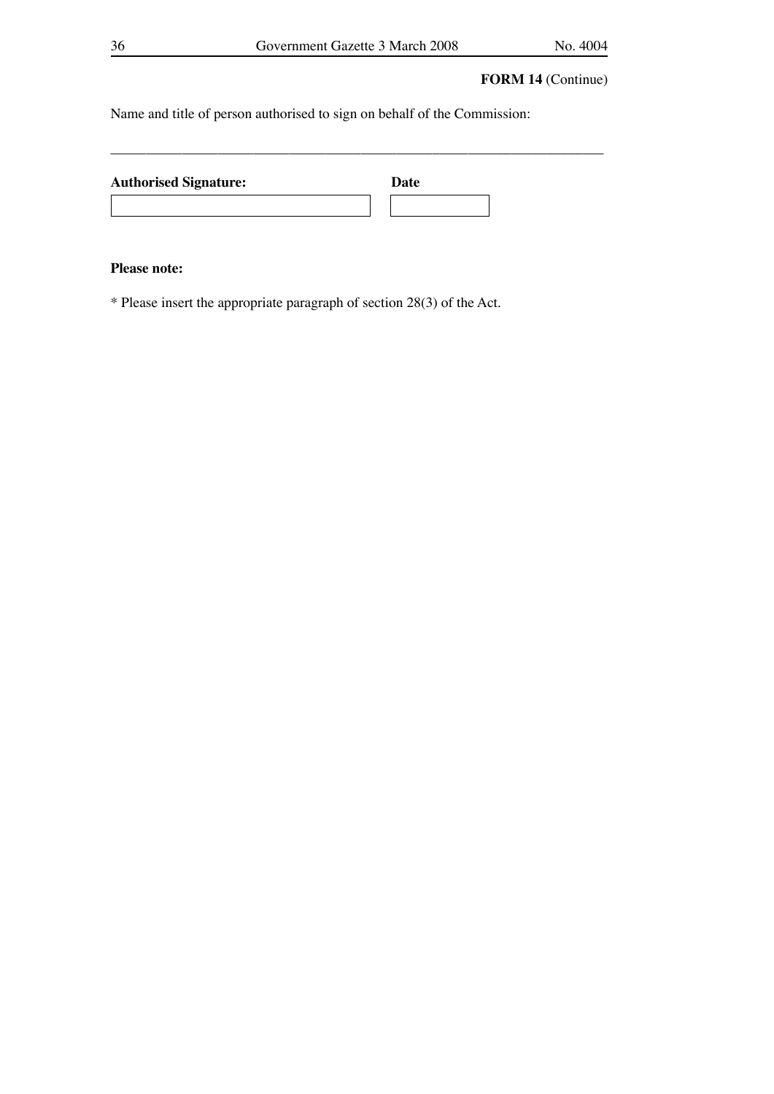\_\_\_\_\_\_\_\_\_\_\_\_\_\_\_\_\_\_\_\_\_\_\_\_\_\_\_\_\_\_\_\_\_\_\_\_\_\_\_\_\_\_\_\_\_\_\_\_\_\_\_\_\_\_\_\_\_\_\_\_\_\_\_\_\_\_\_\_\_

# **FORM 14** (Continue)

Name and title of person authorised to sign on behalf of the Commission:

| <b>Authorised Signature:</b> | Date |
|------------------------------|------|
|                              |      |

# **Please note:**

\* Please insert the appropriate paragraph of section 28(3) of the Act.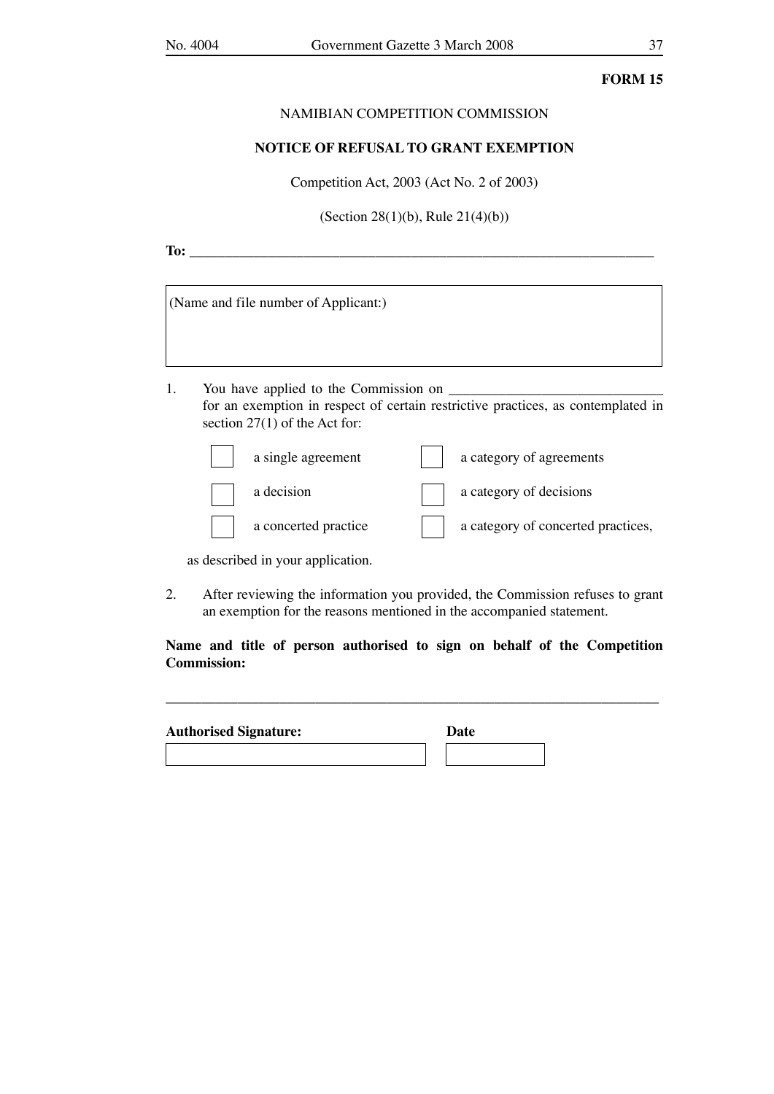#### NAMIBIAN COMPETITION COMMISSION

#### **NOTICE OF REFUSAL TO GRANT EXEMPTION**

Competition Act, 2003 (Act No. 2 of 2003)

(Section 28(1)(b), Rule 21(4)(b))

**To:** \_\_\_\_\_\_\_\_\_\_\_\_\_\_\_\_\_\_\_\_\_\_\_\_\_\_\_\_\_\_\_\_\_\_\_\_\_\_\_\_\_\_\_\_\_\_\_\_\_\_\_\_\_\_\_\_\_\_\_\_\_\_\_\_\_

|                                                                                                                                                                    | (Name and file number of Applicant:) |  |                          |  |  |
|--------------------------------------------------------------------------------------------------------------------------------------------------------------------|--------------------------------------|--|--------------------------|--|--|
|                                                                                                                                                                    |                                      |  |                          |  |  |
| 1.<br>You have applied to the Commission on<br>for an exemption in respect of certain restrictive practices, as contemplated in<br>section $27(1)$ of the Act for: |                                      |  |                          |  |  |
|                                                                                                                                                                    | a single agreement                   |  | a category of agreements |  |  |
|                                                                                                                                                                    | a decision                           |  | a category of decisions  |  |  |

as described in your application.

2. After reviewing the information you provided, the Commission refuses to grant an exemption for the reasons mentioned in the accompanied statement.

a concerted practice a category of concerted practices,

**Name and title of person authorised to sign on behalf of the Competition Commission:**

\_\_\_\_\_\_\_\_\_\_\_\_\_\_\_\_\_\_\_\_\_\_\_\_\_\_\_\_\_\_\_\_\_\_\_\_\_\_\_\_\_\_\_\_\_\_\_\_\_\_\_\_\_\_\_\_\_\_\_\_\_\_\_\_\_\_\_\_\_

| <b>Authorised Signature:</b> | Date |  |
|------------------------------|------|--|
|                              |      |  |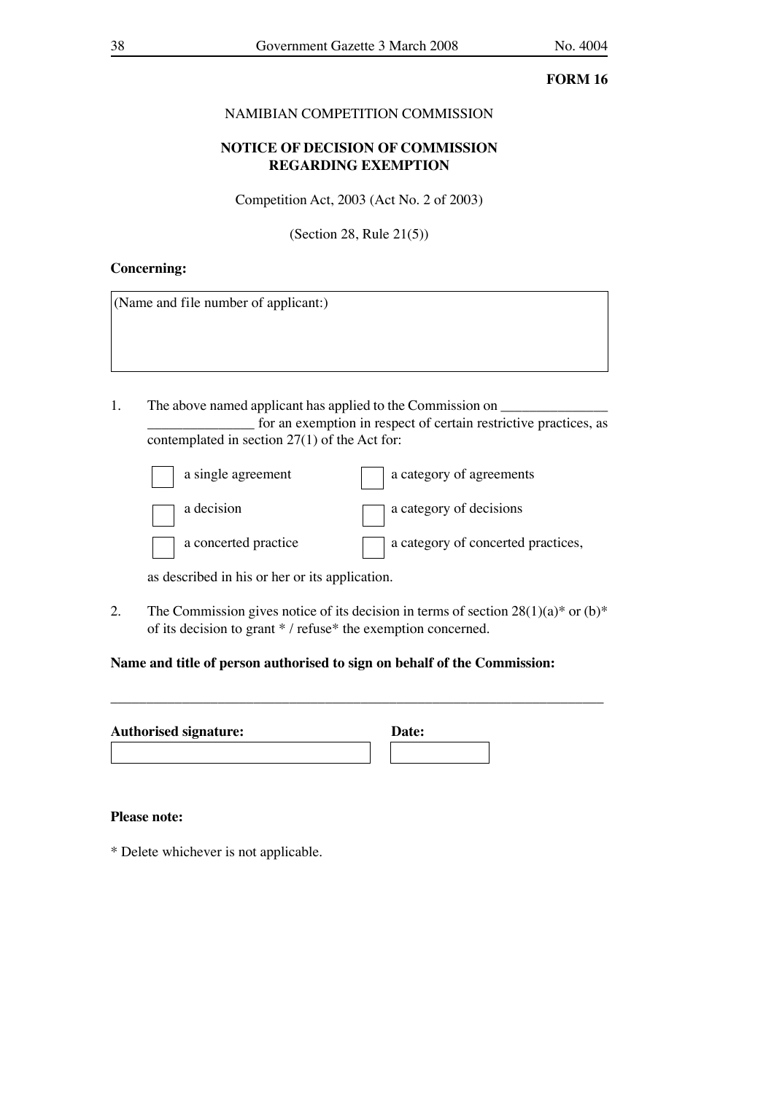## NAMIBIAN COMPETITION COMMISSION

## **NOTICE OF DECISION OF COMMISSION REGARDING EXEMPTION**

Competition Act, 2003 (Act No. 2 of 2003)

(Section 28, Rule 21(5))

### **Concerning:**

(Name and file number of applicant:)

1. The above named applicant has applied to the Commission on \_\_\_\_\_\_\_\_\_\_\_\_\_\_\_ for an exemption in respect of certain restrictive practices, as contemplated in section 27(1) of the Act for:

| a single agreement   | a category of agreements           |
|----------------------|------------------------------------|
| a decision           | a category of decisions            |
| a concerted practice | a category of concerted practices, |

as described in his or her or its application.

2. The Commission gives notice of its decision in terms of section  $28(1)(a)$ <sup>\*</sup> or (b)<sup>\*</sup> of its decision to grant \* / refuse\* the exemption concerned.

\_\_\_\_\_\_\_\_\_\_\_\_\_\_\_\_\_\_\_\_\_\_\_\_\_\_\_\_\_\_\_\_\_\_\_\_\_\_\_\_\_\_\_\_\_\_\_\_\_\_\_\_\_\_\_\_\_\_\_\_\_\_\_\_\_\_\_\_\_

## **Name and title of person authorised to sign on behalf of the Commission:**

| <b>Authorised signature:</b> |  | Date: |  |
|------------------------------|--|-------|--|
|                              |  |       |  |

#### **Please note:**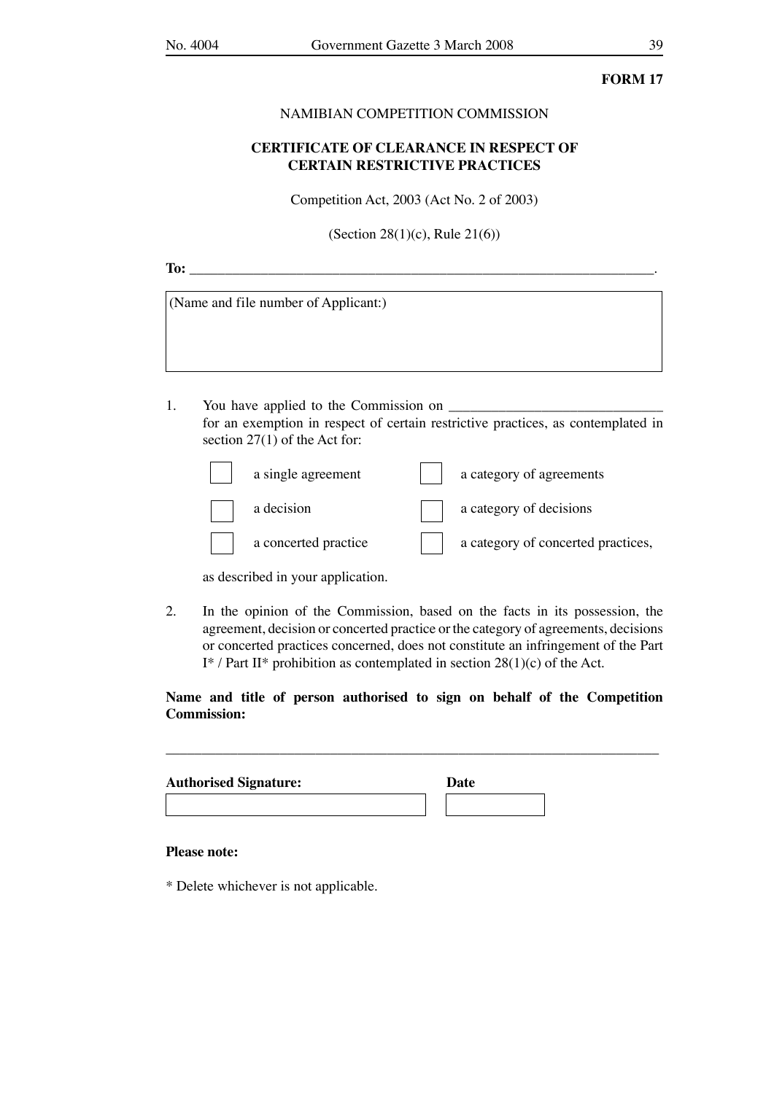### NAMIBIAN COMPETITION COMMISSION

## **CERTIFICATE OF CLEARANCE IN RESPECT OF CERTAIN RESTRICTIVE PRACTICES**

Competition Act, 2003 (Act No. 2 of 2003)

(Section 28(1)(c), Rule 21(6))

**To: To: Contract the contract of**  $\overline{C}$ 

| (Name and file number of Applicant:) |  |  |
|--------------------------------------|--|--|
|                                      |  |  |
|                                      |  |  |

1. You have applied to the Commission on  $\Box$ for an exemption in respect of certain restrictive practices, as contemplated in section 27(1) of the Act for:

| a single agreement   | a category of agreements           |
|----------------------|------------------------------------|
| a decision           | a category of decisions            |
| a concerted practice | a category of concerted practices, |

as described in your application.

2. In the opinion of the Commission, based on the facts in its possession, the agreement, decision or concerted practice or the category of agreements, decisions or concerted practices concerned, does not constitute an infringement of the Part I<sup>\*</sup> / Part II<sup>\*</sup> prohibition as contemplated in section  $28(1)(c)$  of the Act.

## **Name and title of person authorised to sign on behalf of the Competition Commission:**

\_\_\_\_\_\_\_\_\_\_\_\_\_\_\_\_\_\_\_\_\_\_\_\_\_\_\_\_\_\_\_\_\_\_\_\_\_\_\_\_\_\_\_\_\_\_\_\_\_\_\_\_\_\_\_\_\_\_\_\_\_\_\_\_\_\_\_\_\_

| <b>Authorised Signature:</b> | Date |  |
|------------------------------|------|--|
|                              |      |  |

#### **Please note:**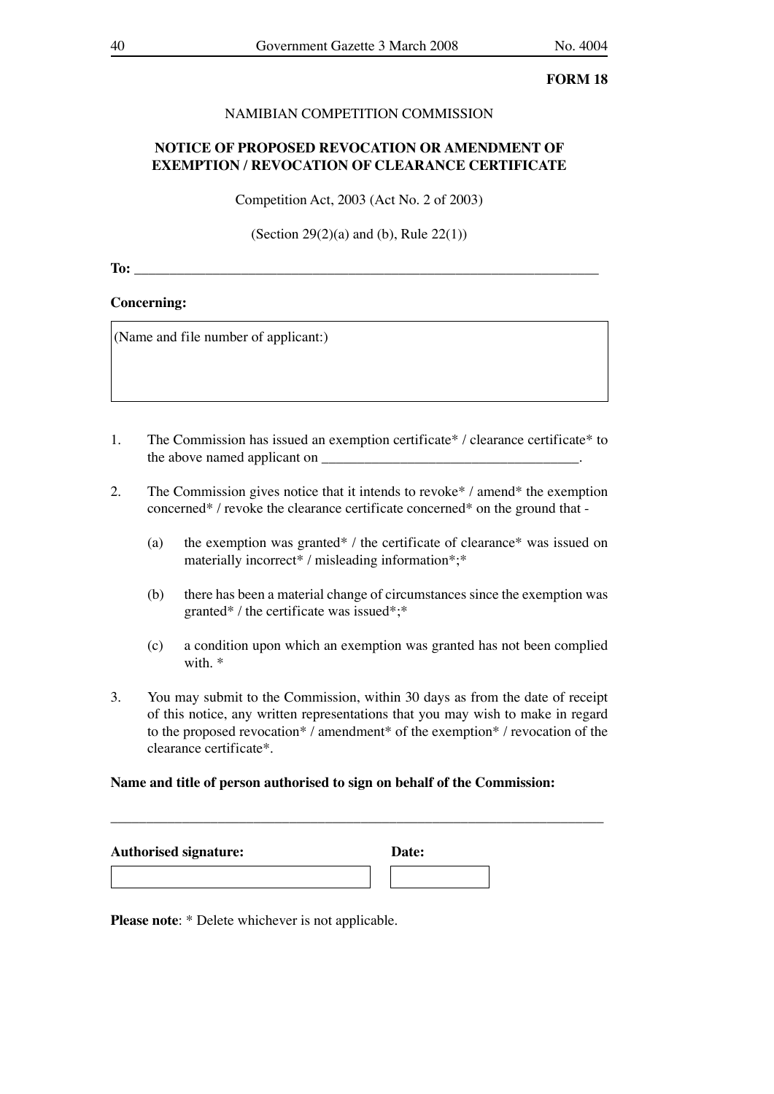## NAMIBIAN COMPETITION COMMISSION

## **NOTICE OF PROPOSED REVOCATION OR AMENDMENT OF EXEMPTION / REVOCATION OF CLEARANCE CERTIFICATE**

Competition Act, 2003 (Act No. 2 of 2003)

(Section 29 $(2)(a)$  and (b), Rule 22 $(1)$ )

**To:**  $\blacksquare$ 

#### **Concerning:**

(Name and file number of applicant:)

- 1. The Commission has issued an exemption certificate\* / clearance certificate\* to the above named applicant on \_\_\_\_\_\_\_\_\_\_\_\_\_\_\_\_\_\_\_\_\_\_\_\_\_\_\_\_\_\_\_\_\_\_\_\_.
- 2. The Commission gives notice that it intends to revoke\* / amend\* the exemption concerned\* / revoke the clearance certificate concerned\* on the ground that -
	- (a) the exemption was granted\* / the certificate of clearance\* was issued on materially incorrect\* / misleading information\*;\*
	- (b) there has been a material change of circumstances since the exemption was granted\* / the certificate was issued\*;\*
	- (c) a condition upon which an exemption was granted has not been complied with. \*
- 3. You may submit to the Commission, within 30 days as from the date of receipt of this notice, any written representations that you may wish to make in regard to the proposed revocation\* / amendment\* of the exemption\* / revocation of the clearance certificate\*.

#### **Name and title of person authorised to sign on behalf of the Commission:**

| <b>Authorised signature:</b> | Date: |
|------------------------------|-------|
|                              |       |

\_\_\_\_\_\_\_\_\_\_\_\_\_\_\_\_\_\_\_\_\_\_\_\_\_\_\_\_\_\_\_\_\_\_\_\_\_\_\_\_\_\_\_\_\_\_\_\_\_\_\_\_\_\_\_\_\_\_\_\_\_\_\_\_\_\_\_\_\_

**Please note:** \* Delete whichever is not applicable.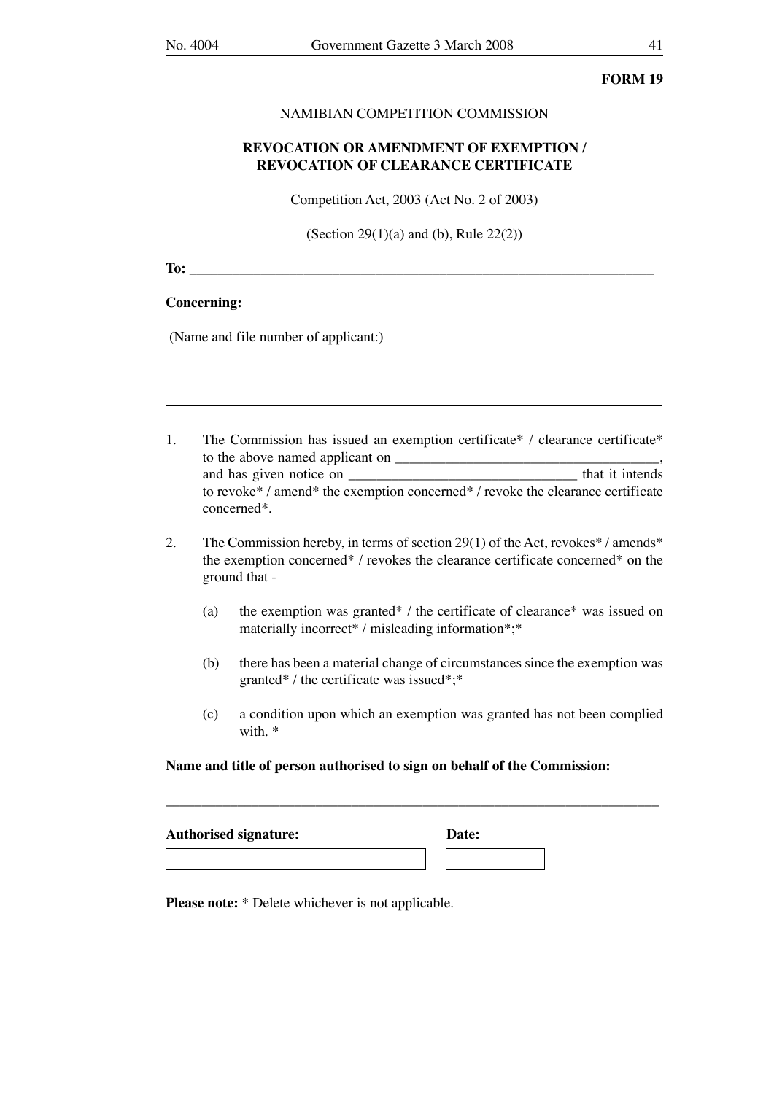#### NAMIBIAN COMPETITION COMMISSION

## **REVOCATION OR AMENDMENT OF EXEMPTION / REVOCATION OF CLEARANCE CERTIFICATE**

Competition Act, 2003 (Act No. 2 of 2003)

(Section 29(1)(a) and (b), Rule 22(2))

**To:** \_\_\_\_\_\_\_\_\_\_\_\_\_\_\_\_\_\_\_\_\_\_\_\_\_\_\_\_\_\_\_\_\_\_\_\_\_\_\_\_\_\_\_\_\_\_\_\_\_\_\_\_\_\_\_\_\_\_\_\_\_\_\_\_\_

#### **Concerning:**

(Name and file number of applicant:)

- 1. The Commission has issued an exemption certificate\* / clearance certificate\* to the above named applicant on \_\_\_\_\_\_\_\_\_\_\_\_\_\_\_\_\_\_\_\_\_\_\_\_\_\_\_\_\_\_\_\_\_\_\_\_\_, and has given notice on \_\_\_\_\_\_\_\_\_\_\_\_\_\_\_\_\_\_\_\_\_\_\_\_\_\_\_\_\_\_\_\_ that it intends to revoke\* / amend\* the exemption concerned\* / revoke the clearance certificate concerned\*.
- 2. The Commission hereby, in terms of section 29(1) of the Act, revokes\* / amends\* the exemption concerned\* / revokes the clearance certificate concerned\* on the ground that -
	- (a) the exemption was granted\* / the certificate of clearance\* was issued on materially incorrect\* / misleading information\*;\*
	- (b) there has been a material change of circumstances since the exemption was granted\* / the certificate was issued\*;\*
	- (c) a condition upon which an exemption was granted has not been complied with. \*

#### **Name and title of person authorised to sign on behalf of the Commission:**

\_\_\_\_\_\_\_\_\_\_\_\_\_\_\_\_\_\_\_\_\_\_\_\_\_\_\_\_\_\_\_\_\_\_\_\_\_\_\_\_\_\_\_\_\_\_\_\_\_\_\_\_\_\_\_\_\_\_\_\_\_\_\_\_\_\_\_\_\_

| <b>Authorised signature:</b> | Date: |
|------------------------------|-------|
|                              |       |

**Please note:** \* Delete whichever is not applicable.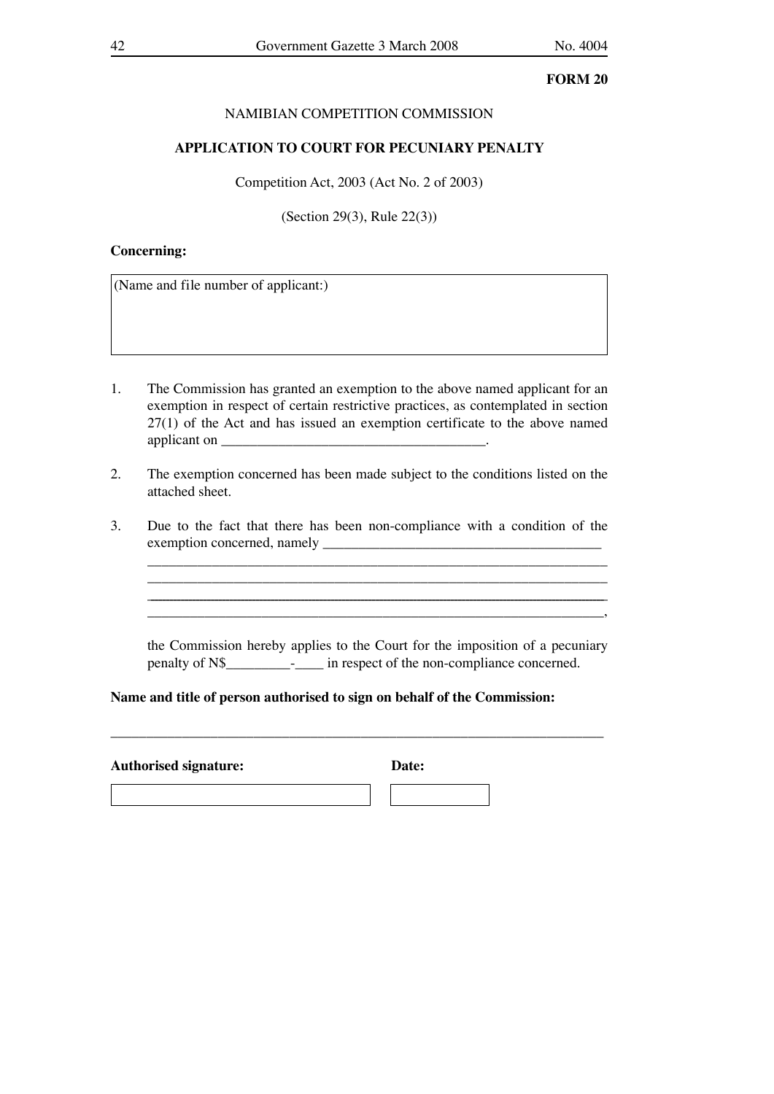## NAMIBIAN COMPETITION COMMISSION

### **APPLICATION TO COURT FOR PECUNIARY PENALTY**

Competition Act, 2003 (Act No. 2 of 2003)

(Section 29(3), Rule 22(3))

### **Concerning:**

(Name and file number of applicant:)

- 1. The Commission has granted an exemption to the above named applicant for an exemption in respect of certain restrictive practices, as contemplated in section 27(1) of the Act and has issued an exemption certificate to the above named applicant on  $\blacksquare$
- 2. The exemption concerned has been made subject to the conditions listed on the attached sheet.
- 3. Due to the fact that there has been non-compliance with a condition of the exemption concerned, namely

 the Commission hereby applies to the Court for the imposition of a pecuniary penalty of N\$\_\_\_\_\_\_\_\_\_-\_\_\_\_ in respect of the non-compliance concerned.

**Name and title of person authorised to sign on behalf of the Commission:**

\_\_\_\_\_\_\_\_\_\_\_\_\_\_\_\_\_\_\_\_\_\_\_\_\_\_\_\_\_\_\_\_\_\_\_\_\_\_\_\_\_\_\_\_\_\_\_\_\_\_\_\_\_\_\_\_\_\_\_\_\_\_\_\_\_\_\_\_\_

**Authorised signature: Date:**

 $\mathcal{L}_\mathcal{L}$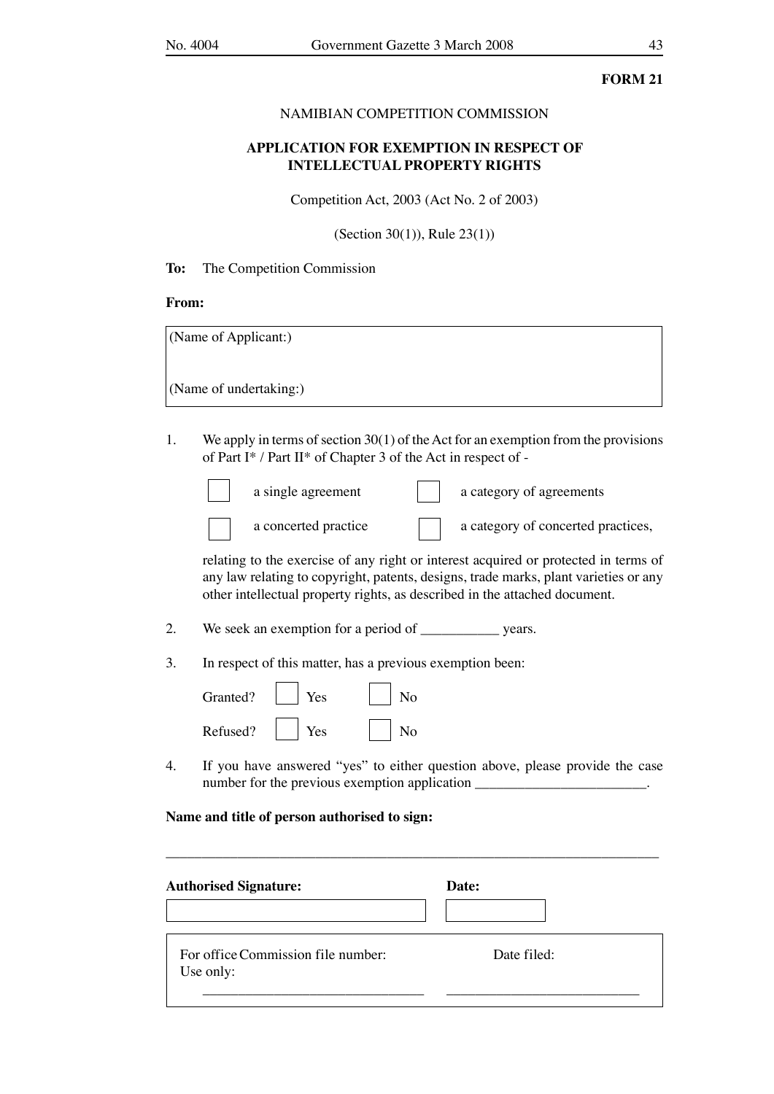### NAMIBIAN COMPETITION COMMISSION

## **APPLICATION FOR EXEMPTION IN RESPECT OF INTELLECTUAL PROPERTY RIGHTS**

Competition Act, 2003 (Act No. 2 of 2003)

(Section 30(1)), Rule 23(1))

**To:** The Competition Commission

#### **From:**

(Name of Applicant:)

(Name of undertaking:)

1. We apply in terms of section 30(1) of the Act for an exemption from the provisions of Part I\* / Part II\* of Chapter 3 of the Act in respect of -

 $\mathsf{r}$ 

|  | concerted practice |
|--|--------------------|
|--|--------------------|

| a single agreement   | a category of agreements           |
|----------------------|------------------------------------|
| a concerted practice | a category of concerted practices, |

 relating to the exercise of any right or interest acquired or protected in terms of any law relating to copyright, patents, designs, trade marks, plant varieties or any other intellectual property rights, as described in the attached document.

- 2. We seek an exemption for a period of \_\_\_\_\_\_\_\_\_\_\_\_ years.
- 3. In respect of this matter, has a previous exemption been:

| Granted? | Yes | Jо |
|----------|-----|----|
| Refused? | Yes | ٧o |

4. If you have answered "yes" to either question above, please provide the case number for the previous exemption application \_\_\_\_\_\_\_\_\_\_\_\_\_\_\_\_\_\_\_\_\_\_\_\_\_\_\_\_\_\_\_\_\_\_

### **Name and title of person authorised to sign:**

| <b>Authorised Signature:</b>                    | Date:       |  |
|-------------------------------------------------|-------------|--|
| For office Commission file number:<br>Use only: | Date filed: |  |

\_\_\_\_\_\_\_\_\_\_\_\_\_\_\_\_\_\_\_\_\_\_\_\_\_\_\_\_\_\_\_\_\_\_\_\_\_\_\_\_\_\_\_\_\_\_\_\_\_\_\_\_\_\_\_\_\_\_\_\_\_\_\_\_\_\_\_\_\_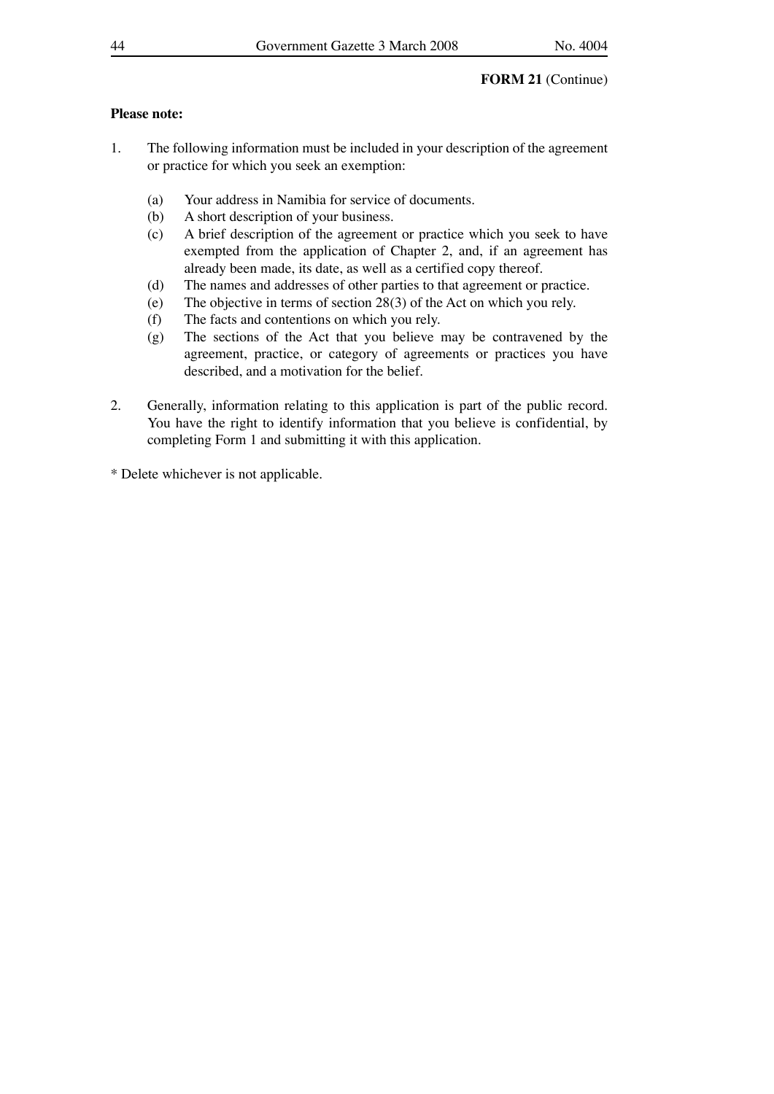## **Please note:**

- 1. The following information must be included in your description of the agreement or practice for which you seek an exemption:
	- (a) Your address in Namibia for service of documents.
	- (b) A short description of your business.
	- (c) A brief description of the agreement or practice which you seek to have exempted from the application of Chapter 2, and, if an agreement has already been made, its date, as well as a certified copy thereof.
	- (d) The names and addresses of other parties to that agreement or practice.
	- (e) The objective in terms of section 28(3) of the Act on which you rely.
	- (f) The facts and contentions on which you rely.
	- (g) The sections of the Act that you believe may be contravened by the agreement, practice, or category of agreements or practices you have described, and a motivation for the belief.
- 2. Generally, information relating to this application is part of the public record. You have the right to identify information that you believe is confidential, by completing Form 1 and submitting it with this application.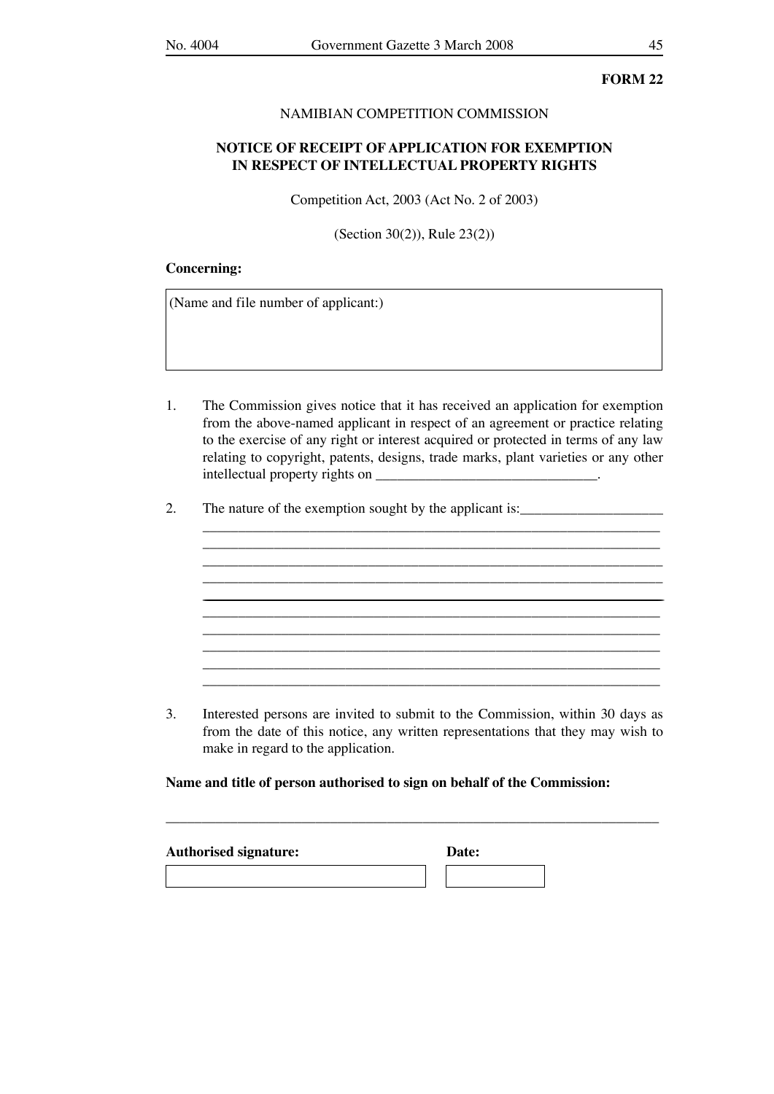### NAMIBIAN COMPETITION COMMISSION

## **NOTICE OF RECEIPT OF APPLICATION FOR EXEMPTION IN RESPECT OF INTELLECTUAL PROPERTY RIGHTS**

Competition Act, 2003 (Act No. 2 of 2003)

(Section 30(2)), Rule 23(2))

### **Concerning:**

(Name and file number of applicant:)

1. The Commission gives notice that it has received an application for exemption from the above-named applicant in respect of an agreement or practice relating to the exercise of any right or interest acquired or protected in terms of any law relating to copyright, patents, designs, trade marks, plant varieties or any other intellectual property rights on \_\_\_\_\_\_\_\_\_\_\_\_\_\_\_\_\_\_\_\_\_\_\_\_\_\_\_\_\_\_\_.

\_\_\_\_\_\_\_\_\_\_\_\_\_\_\_\_\_\_\_\_\_\_\_\_\_\_\_\_\_\_\_\_\_\_\_\_\_\_\_\_\_\_\_\_\_\_\_\_\_\_\_\_\_\_\_\_\_\_\_\_\_\_\_\_ \_\_\_\_\_\_\_\_\_\_\_\_\_\_\_\_\_\_\_\_\_\_\_\_\_\_\_\_\_\_\_\_\_\_\_\_\_\_\_\_\_\_\_\_\_\_\_\_\_\_\_\_\_\_\_\_\_\_\_\_\_\_\_\_

\_\_\_\_\_\_\_\_\_\_\_\_\_\_\_\_\_\_\_\_\_\_\_\_\_\_\_\_\_\_\_\_\_\_\_\_\_\_\_\_\_\_\_\_\_\_\_\_\_\_\_\_\_\_\_\_\_\_\_\_\_\_\_\_ <u> 1989 - Johann Barnett, fransk politik (d. 1989)</u> \_\_\_\_\_\_\_\_\_\_\_\_\_\_\_\_\_\_\_\_\_\_\_\_\_\_\_\_\_\_\_\_\_\_\_\_\_\_\_\_\_\_\_\_\_\_\_\_\_\_\_\_\_\_\_\_\_\_\_\_\_\_\_\_ \_\_\_\_\_\_\_\_\_\_\_\_\_\_\_\_\_\_\_\_\_\_\_\_\_\_\_\_\_\_\_\_\_\_\_\_\_\_\_\_\_\_\_\_\_\_\_\_\_\_\_\_\_\_\_\_\_\_\_\_\_\_\_\_  $\overline{\phantom{a}}$  ,  $\overline{\phantom{a}}$  ,  $\overline{\phantom{a}}$  ,  $\overline{\phantom{a}}$  ,  $\overline{\phantom{a}}$  ,  $\overline{\phantom{a}}$  ,  $\overline{\phantom{a}}$  ,  $\overline{\phantom{a}}$  ,  $\overline{\phantom{a}}$  ,  $\overline{\phantom{a}}$  ,  $\overline{\phantom{a}}$  ,  $\overline{\phantom{a}}$  ,  $\overline{\phantom{a}}$  ,  $\overline{\phantom{a}}$  ,  $\overline{\phantom{a}}$  ,  $\overline{\phantom{a}}$  \_\_\_\_\_\_\_\_\_\_\_\_\_\_\_\_\_\_\_\_\_\_\_\_\_\_\_\_\_\_\_\_\_\_\_\_\_\_\_\_\_\_\_\_\_\_\_\_\_\_\_\_\_\_\_\_\_\_\_\_\_\_\_\_ \_\_\_\_\_\_\_\_\_\_\_\_\_\_\_\_\_\_\_\_\_\_\_\_\_\_\_\_\_\_\_\_\_\_\_\_\_\_\_\_\_\_\_\_\_\_\_\_\_\_\_\_\_\_\_\_\_\_\_\_\_\_\_\_

2. The nature of the exemption sought by the applicant is:

3. Interested persons are invited to submit to the Commission, within 30 days as from the date of this notice, any written representations that they may wish to make in regard to the application.

\_\_\_\_\_\_\_\_\_\_\_\_\_\_\_\_\_\_\_\_\_\_\_\_\_\_\_\_\_\_\_\_\_\_\_\_\_\_\_\_\_\_\_\_\_\_\_\_\_\_\_\_\_\_\_\_\_\_\_\_\_\_\_\_\_\_\_\_\_

**Name and title of person authorised to sign on behalf of the Commission:**

| <b>Authorised signature:</b> | Date: |  |
|------------------------------|-------|--|
|                              |       |  |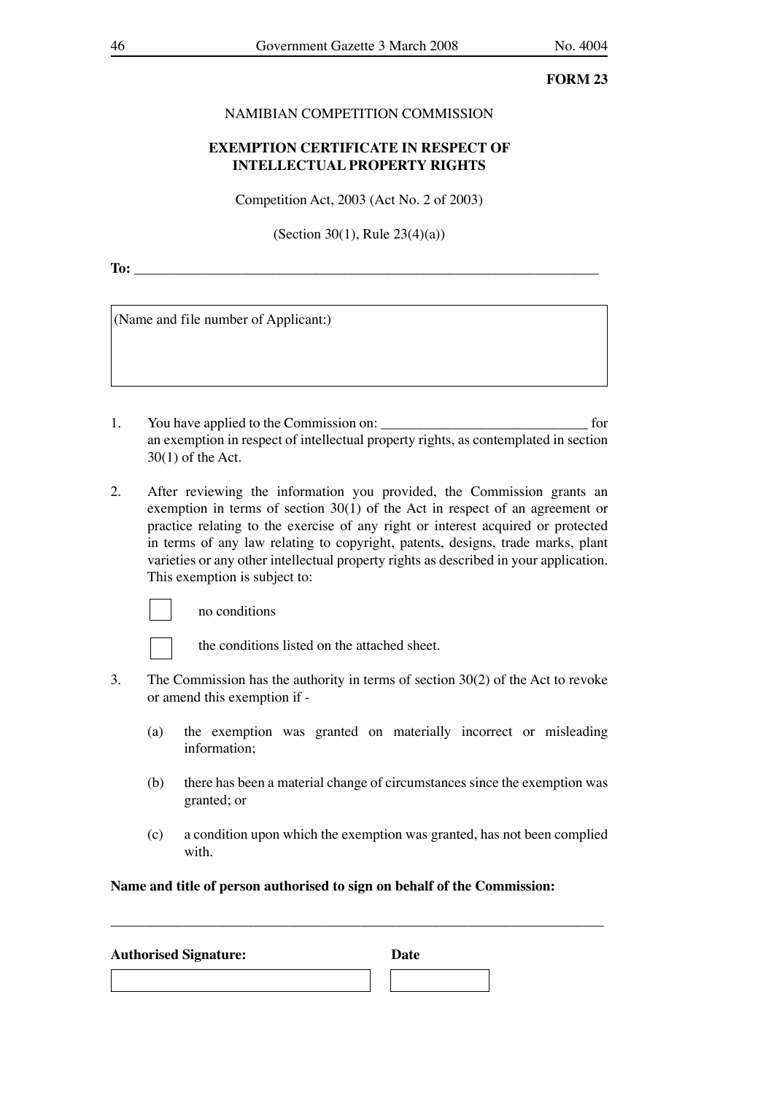#### NAMIBIAN COMPETITION COMMISSION

## **EXEMPTION CERTIFICATE IN RESPECT OF INTELLECTUAL PROPERTY RIGHTS**

Competition Act, 2003 (Act No. 2 of 2003)

(Section 30(1), Rule 23(4)(a))

**To:** \_\_\_\_\_\_\_\_\_\_\_\_\_\_\_\_\_\_\_\_\_\_\_\_\_\_\_\_\_\_\_\_\_\_\_\_\_\_\_\_\_\_\_\_\_\_\_\_\_\_\_\_\_\_\_\_\_\_\_\_\_\_\_\_\_

(Name and file number of Applicant:)

- 1. You have applied to the Commission on: \_\_\_\_\_\_\_\_\_\_\_\_\_\_\_\_\_\_\_\_\_\_\_\_\_\_\_\_\_ for an exemption in respect of intellectual property rights, as contemplated in section 30(1) of the Act.
- 2. After reviewing the information you provided, the Commission grants an exemption in terms of section 30(1) of the Act in respect of an agreement or practice relating to the exercise of any right or interest acquired or protected in terms of any law relating to copyright, patents, designs, trade marks, plant varieties or any other intellectual property rights as described in your application. This exemption is subject to:



no conditions



the conditions listed on the attached sheet.

- 3. The Commission has the authority in terms of section 30(2) of the Act to revoke or amend this exemption if -
	- (a) the exemption was granted on materially incorrect or misleading information;
	- (b) there has been a material change of circumstances since the exemption was granted; or
	- (c) a condition upon which the exemption was granted, has not been complied with.

**Name and title of person authorised to sign on behalf of the Commission:**

| <b>Authorised Signature:</b> | Date |  |
|------------------------------|------|--|
|                              |      |  |

\_\_\_\_\_\_\_\_\_\_\_\_\_\_\_\_\_\_\_\_\_\_\_\_\_\_\_\_\_\_\_\_\_\_\_\_\_\_\_\_\_\_\_\_\_\_\_\_\_\_\_\_\_\_\_\_\_\_\_\_\_\_\_\_\_\_\_\_\_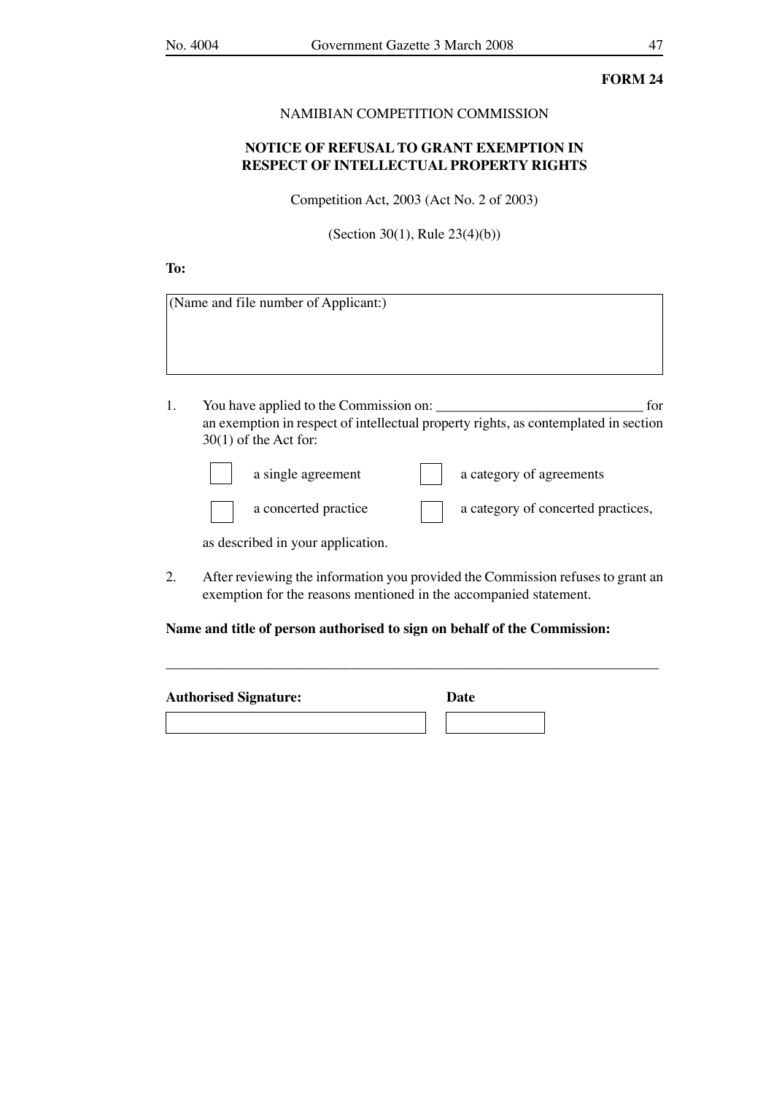#### NAMIBIAN COMPETITION COMMISSION

## **NOTICE OF REFUSAL TO GRANT EXEMPTION IN RESPECT OF INTELLECTUAL PROPERTY RIGHTS**

Competition Act, 2003 (Act No. 2 of 2003)

(Section 30(1), Rule 23(4)(b))

## **To:**

|    | (Name and file number of Applicant:)                                                                                                                            |
|----|-----------------------------------------------------------------------------------------------------------------------------------------------------------------|
|    |                                                                                                                                                                 |
| 1. | You have applied to the Commission on:<br>for<br>an exemption in respect of intellectual property rights, as contemplated in section<br>$30(1)$ of the Act for: |
|    | a single agreement<br>a category of agreements                                                                                                                  |

|  | a singivagiveme          |  |
|--|--------------------------|--|
|  |                          |  |
|  | تمامسون التمشيم مامرماما |  |

a concerted practice a category of concerted practices,

as described in your application.

2. After reviewing the information you provided the Commission refuses to grant an exemption for the reasons mentioned in the accompanied statement.

\_\_\_\_\_\_\_\_\_\_\_\_\_\_\_\_\_\_\_\_\_\_\_\_\_\_\_\_\_\_\_\_\_\_\_\_\_\_\_\_\_\_\_\_\_\_\_\_\_\_\_\_\_\_\_\_\_\_\_\_\_\_\_\_\_\_\_\_\_

**Name and title of person authorised to sign on behalf of the Commission:**

| <b>Authorised Signature:</b> | Date |  |
|------------------------------|------|--|
|                              |      |  |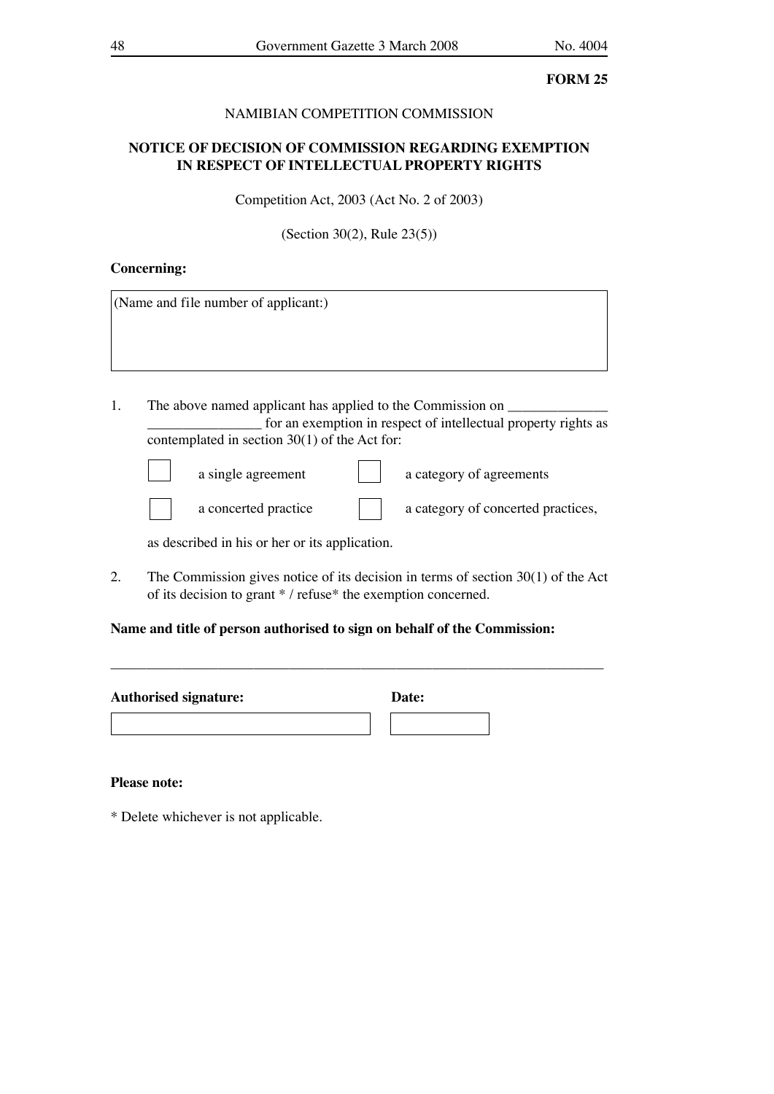## NAMIBIAN COMPETITION COMMISSION

## **NOTICE OF DECISION OF COMMISSION REGARDING EXEMPTION IN RESPECT OF INTELLECTUAL PROPERTY RIGHTS**

Competition Act, 2003 (Act No. 2 of 2003)

(Section 30(2), Rule 23(5))

#### **Concerning:**

(Name and file number of applicant:)

1. The above named applicant has applied to the Commission on \_\_\_\_\_\_\_\_\_\_\_\_\_\_\_\_ for an exemption in respect of intellectual property rights as contemplated in section 30(1) of the Act for:

a single agreement a category of agreements

a concerted practice a category of concerted practices,

as described in his or her or its application.

2. The Commission gives notice of its decision in terms of section 30(1) of the Act of its decision to grant \* / refuse\* the exemption concerned.

\_\_\_\_\_\_\_\_\_\_\_\_\_\_\_\_\_\_\_\_\_\_\_\_\_\_\_\_\_\_\_\_\_\_\_\_\_\_\_\_\_\_\_\_\_\_\_\_\_\_\_\_\_\_\_\_\_\_\_\_\_\_\_\_\_\_\_\_\_

## **Name and title of person authorised to sign on behalf of the Commission:**

| <b>Authorised signature:</b> | Date: |
|------------------------------|-------|
|                              |       |

#### **Please note:**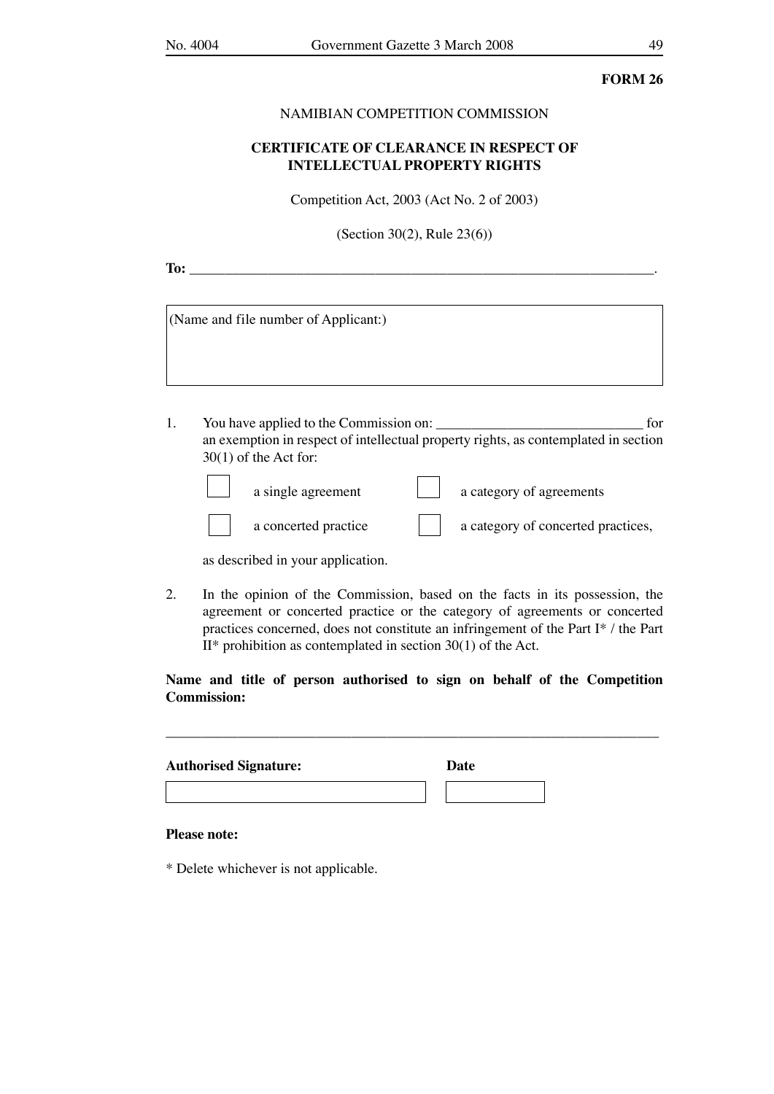#### NAMIBIAN COMPETITION COMMISSION

## **CERTIFICATE OF CLEARANCE IN RESPECT OF INTELLECTUAL PROPERTY RIGHTS**

Competition Act, 2003 (Act No. 2 of 2003)

(Section 30(2), Rule 23(6))

| -- | ___ |
|----|-----|
|    |     |

(Name and file number of Applicant:)

1. You have applied to the Commission on: \_\_\_\_\_\_\_\_\_\_\_\_\_\_\_\_\_\_\_\_\_\_\_\_\_\_\_\_\_ for an exemption in respect of intellectual property rights, as contemplated in section 30(1) of the Act for:

a single agreement a category of agreements

a concerted practice a category of concerted practices,

as described in your application.

2. In the opinion of the Commission, based on the facts in its possession, the agreement or concerted practice or the category of agreements or concerted practices concerned, does not constitute an infringement of the Part I\* / the Part  $II^*$  prohibition as contemplated in section 30(1) of the Act.

## **Name and title of person authorised to sign on behalf of the Competition Commission:**

\_\_\_\_\_\_\_\_\_\_\_\_\_\_\_\_\_\_\_\_\_\_\_\_\_\_\_\_\_\_\_\_\_\_\_\_\_\_\_\_\_\_\_\_\_\_\_\_\_\_\_\_\_\_\_\_\_\_\_\_\_\_\_\_\_\_\_\_\_

| <b>Authorised Signature:</b> | Date |  |
|------------------------------|------|--|
|                              |      |  |

#### **Please note:**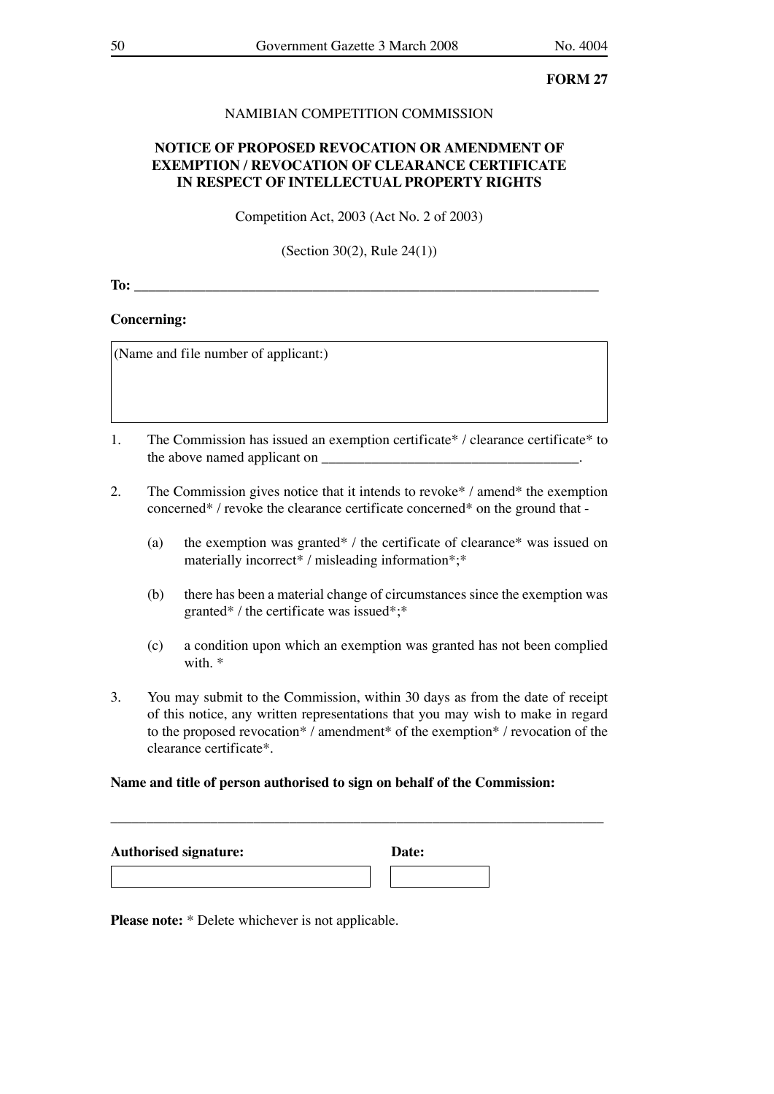## NAMIBIAN COMPETITION COMMISSION

## **NOTICE OF PROPOSED REVOCATION OR AMENDMENT OF EXEMPTION / REVOCATION OF CLEARANCE CERTIFICATE IN RESPECT OF INTELLECTUAL PROPERTY RIGHTS**

Competition Act, 2003 (Act No. 2 of 2003)

(Section 30(2), Rule 24(1))

**To:**  $\blacksquare$ 

## **Concerning:**

(Name and file number of applicant:)

- 1. The Commission has issued an exemption certificate\* / clearance certificate\* to the above named applicant on \_\_\_\_\_\_\_\_\_\_\_\_\_\_\_\_\_\_\_\_\_\_\_\_\_\_\_\_\_\_\_\_\_\_\_\_.
- 2. The Commission gives notice that it intends to revoke\* / amend\* the exemption concerned\* / revoke the clearance certificate concerned\* on the ground that -
	- (a) the exemption was granted\* / the certificate of clearance\* was issued on materially incorrect\* / misleading information\*;\*
	- (b) there has been a material change of circumstances since the exemption was granted\* / the certificate was issued\*;\*
	- (c) a condition upon which an exemption was granted has not been complied with. \*
- 3. You may submit to the Commission, within 30 days as from the date of receipt of this notice, any written representations that you may wish to make in regard to the proposed revocation\* / amendment\* of the exemption\* / revocation of the clearance certificate\*.

#### **Name and title of person authorised to sign on behalf of the Commission:**

| <b>Authorised signature:</b> | Date: |
|------------------------------|-------|
|                              |       |

\_\_\_\_\_\_\_\_\_\_\_\_\_\_\_\_\_\_\_\_\_\_\_\_\_\_\_\_\_\_\_\_\_\_\_\_\_\_\_\_\_\_\_\_\_\_\_\_\_\_\_\_\_\_\_\_\_\_\_\_\_\_\_\_\_\_\_\_\_

**Please note:** \* Delete whichever is not applicable.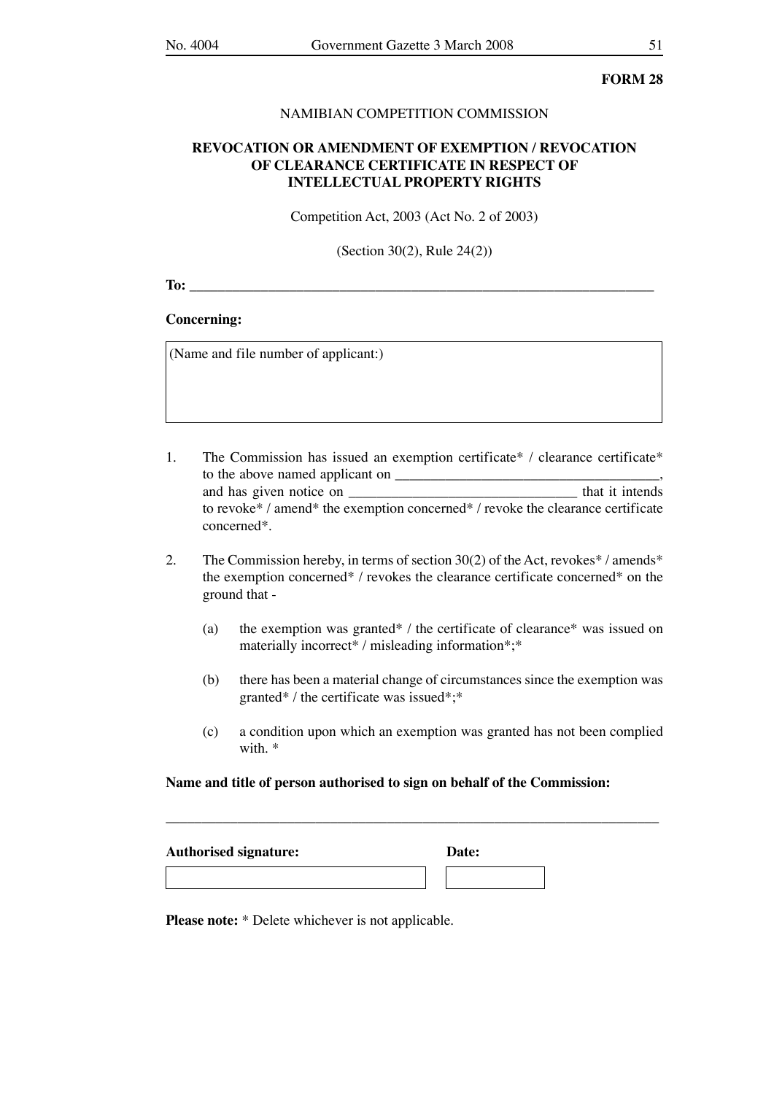#### NAMIBIAN COMPETITION COMMISSION

## **REVOCATION OR AMENDMENT OF EXEMPTION / REVOCATION OF CLEARANCE CERTIFICATE IN RESPECT OF INTELLECTUAL PROPERTY RIGHTS**

Competition Act, 2003 (Act No. 2 of 2003)

(Section 30(2), Rule 24(2))

**To:**  $\blacksquare$ 

### **Concerning:**

(Name and file number of applicant:)

- 1. The Commission has issued an exemption certificate\* / clearance certificate\* to the above named applicant on \_\_\_\_\_\_\_\_\_\_\_\_\_\_\_\_\_\_\_\_\_\_\_\_\_\_\_\_\_\_\_\_\_\_\_\_\_, and has given notice on to revoke\* / amend\* the exemption concerned\* / revoke the clearance certificate concerned\*.
- 2. The Commission hereby, in terms of section 30(2) of the Act, revokes\* / amends\* the exemption concerned\* / revokes the clearance certificate concerned\* on the ground that -
	- (a) the exemption was granted\* / the certificate of clearance\* was issued on materially incorrect\* / misleading information\*;\*
	- (b) there has been a material change of circumstances since the exemption was granted\* / the certificate was issued\*;\*
	- (c) a condition upon which an exemption was granted has not been complied with. \*

#### **Name and title of person authorised to sign on behalf of the Commission:**

\_\_\_\_\_\_\_\_\_\_\_\_\_\_\_\_\_\_\_\_\_\_\_\_\_\_\_\_\_\_\_\_\_\_\_\_\_\_\_\_\_\_\_\_\_\_\_\_\_\_\_\_\_\_\_\_\_\_\_\_\_\_\_\_\_\_\_\_\_

| <b>Authorised signature:</b> | Date: |  |
|------------------------------|-------|--|
|                              |       |  |

**Please note:** \* Delete whichever is not applicable.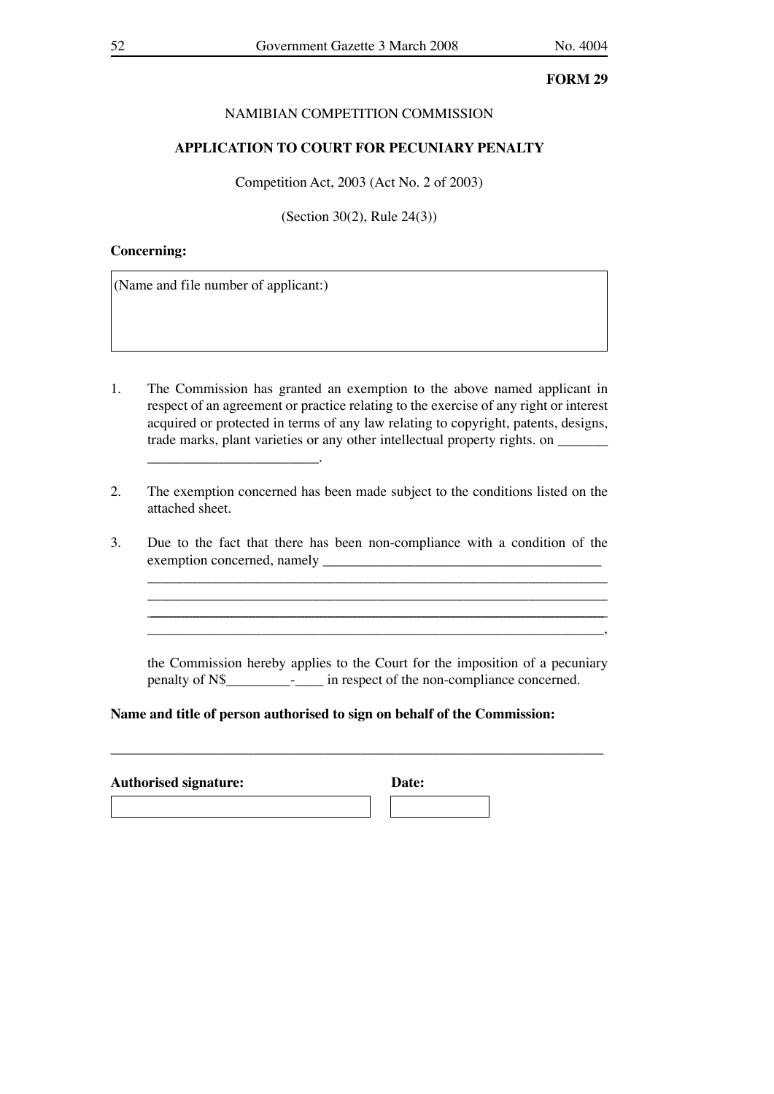## NAMIBIAN COMPETITION COMMISSION

### **APPLICATION TO COURT FOR PECUNIARY PENALTY**

Competition Act, 2003 (Act No. 2 of 2003)

(Section 30(2), Rule 24(3))

### **Concerning:**

(Name and file number of applicant:)

\_\_\_\_\_\_\_\_\_\_\_\_\_\_\_\_\_\_\_\_\_\_\_\_.

- 1. The Commission has granted an exemption to the above named applicant in respect of an agreement or practice relating to the exercise of any right or interest acquired or protected in terms of any law relating to copyright, patents, designs, trade marks, plant varieties or any other intellectual property rights. on
- 2. The exemption concerned has been made subject to the conditions listed on the attached sheet.
- 3. Due to the fact that there has been non-compliance with a condition of the exemption concerned, namely \_\_\_\_\_\_\_\_\_\_\_\_\_\_\_\_\_\_\_\_\_\_\_\_\_\_\_\_\_\_\_\_\_\_\_\_\_\_\_

 the Commission hereby applies to the Court for the imposition of a pecuniary penalty of N\$\_\_\_\_\_\_\_\_\_-\_\_\_\_ in respect of the non-compliance concerned.

\_\_\_\_\_\_\_\_\_\_\_\_\_\_\_\_\_\_\_\_\_\_\_\_\_\_\_\_\_\_\_\_\_\_\_\_\_\_\_\_\_\_\_\_\_\_\_\_\_\_\_\_\_\_\_\_\_\_\_\_\_\_\_\_  $\mathcal{L} = \{ \mathcal{L} = \{ \mathcal{L} = \{ \mathcal{L} = \{ \mathcal{L} = \{ \mathcal{L} = \{ \mathcal{L} = \{ \mathcal{L} = \{ \mathcal{L} = \{ \mathcal{L} = \{ \mathcal{L} = \{ \mathcal{L} = \{ \mathcal{L} = \{ \mathcal{L} = \{ \mathcal{L} = \{ \mathcal{L} = \{ \mathcal{L} = \{ \mathcal{L} = \{ \mathcal{L} = \{ \mathcal{L} = \{ \mathcal{L} = \{ \mathcal{L} = \{ \mathcal{L} = \{ \mathcal{L} = \{ \mathcal{$ \_\_\_\_\_\_\_\_\_\_\_\_\_\_\_\_\_\_\_\_\_\_\_\_\_\_\_\_\_\_\_\_\_\_\_\_\_\_\_\_\_\_\_\_\_\_\_\_\_\_\_\_\_\_\_\_\_\_\_\_\_\_\_\_,

### **Name and title of person authorised to sign on behalf of the Commission:**

| <b>Authorised signature:</b> | Date: |
|------------------------------|-------|
|                              |       |

\_\_\_\_\_\_\_\_\_\_\_\_\_\_\_\_\_\_\_\_\_\_\_\_\_\_\_\_\_\_\_\_\_\_\_\_\_\_\_\_\_\_\_\_\_\_\_\_\_\_\_\_\_\_\_\_\_\_\_\_\_\_\_\_\_\_\_\_\_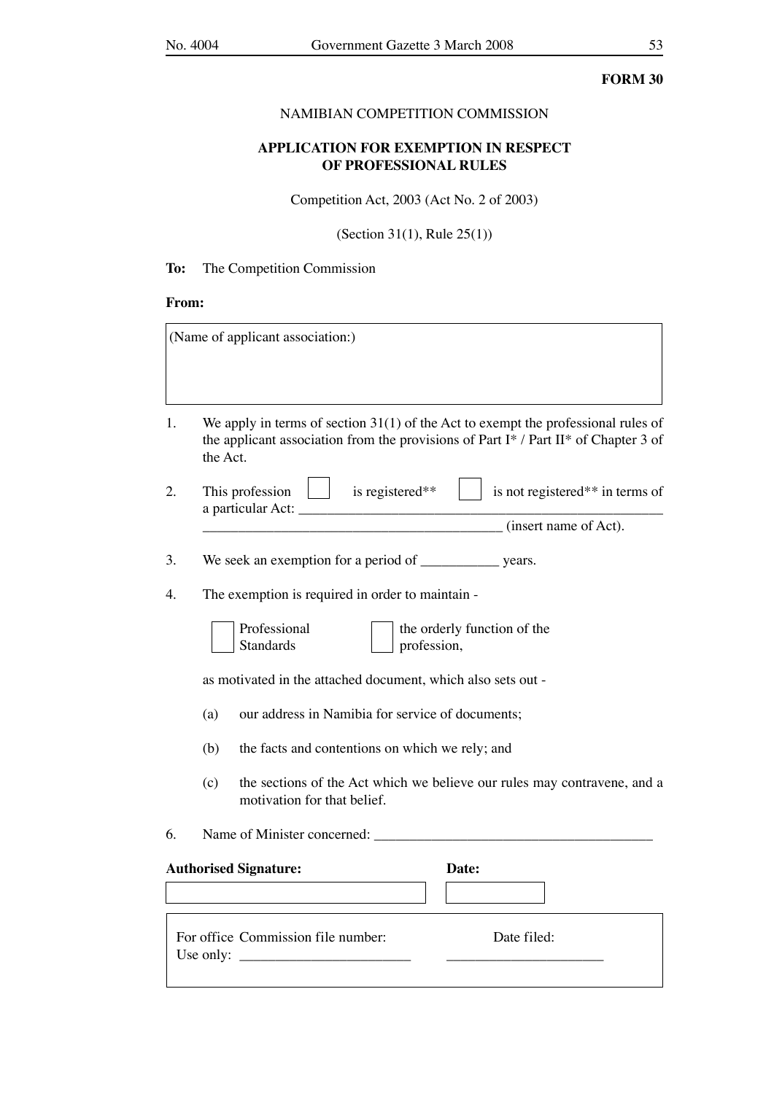## NAMIBIAN COMPETITION COMMISSION

## **APPLICATION FOR EXEMPTION IN RESPECT OF PROFESSIONAL RULES**

Competition Act, 2003 (Act No. 2 of 2003)

(Section 31(1), Rule 25(1))

## **To:** The Competition Commission

## **From:**

|    | (Name of applicant association:)                                                                                                                                                       |
|----|----------------------------------------------------------------------------------------------------------------------------------------------------------------------------------------|
| 1. | We apply in terms of section $31(1)$ of the Act to exempt the professional rules of<br>the applicant association from the provisions of Part I* / Part II* of Chapter 3 of<br>the Act. |
| 2. | This profession $\parallel$ is registered**<br>is not registered** in terms of                                                                                                         |
|    | (insert name of Act).                                                                                                                                                                  |
| 3. |                                                                                                                                                                                        |
| 4. | The exemption is required in order to maintain -                                                                                                                                       |
|    | Professional<br>the orderly function of the<br><b>Standards</b><br>profession,                                                                                                         |
|    | as motivated in the attached document, which also sets out -                                                                                                                           |
|    | our address in Namibia for service of documents;<br>(a)                                                                                                                                |
|    | (b)<br>the facts and contentions on which we rely; and                                                                                                                                 |
|    | the sections of the Act which we believe our rules may contravene, and a<br>(c)<br>motivation for that belief.                                                                         |
| 6. |                                                                                                                                                                                        |
|    | <b>Authorised Signature:</b><br>Date:                                                                                                                                                  |
|    | For office Commission file number:<br>Date filed:<br>Use only:                                                                                                                         |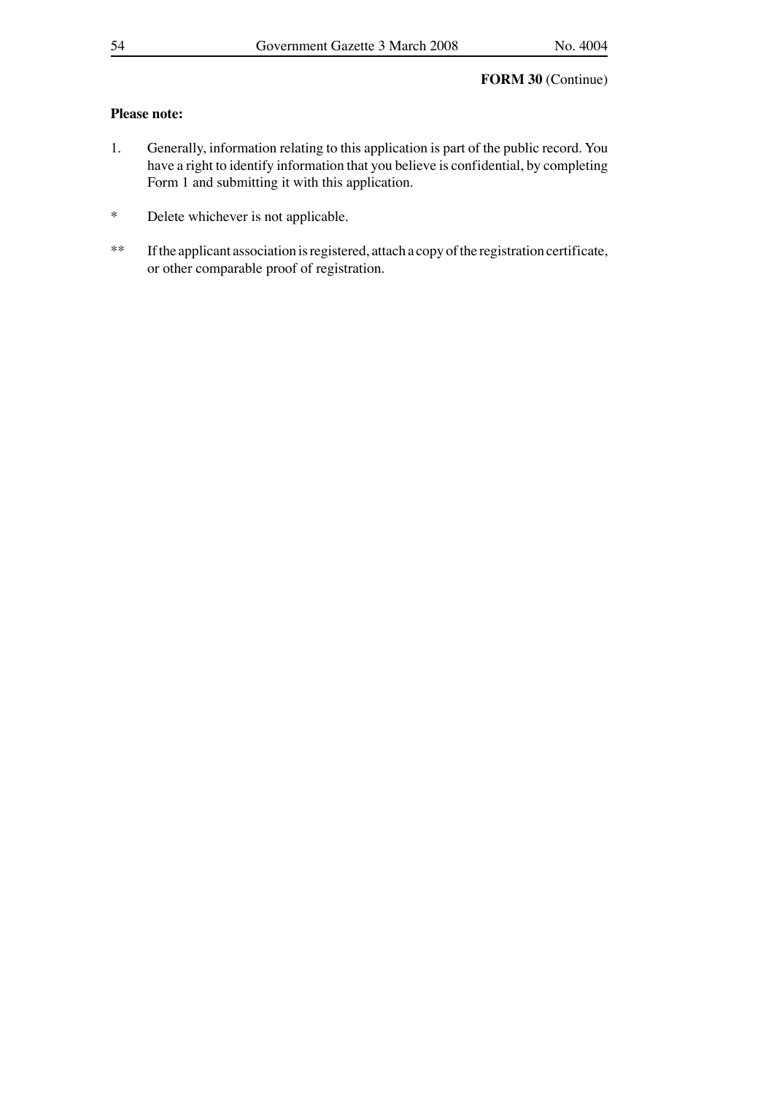## **Please note:**

- 1. Generally, information relating to this application is part of the public record. You have a right to identify information that you believe is confidential, by completing Form 1 and submitting it with this application.
- \* Delete whichever is not applicable.
- \*\* If the applicant association is registered, attach a copy of the registration certificate, or other comparable proof of registration.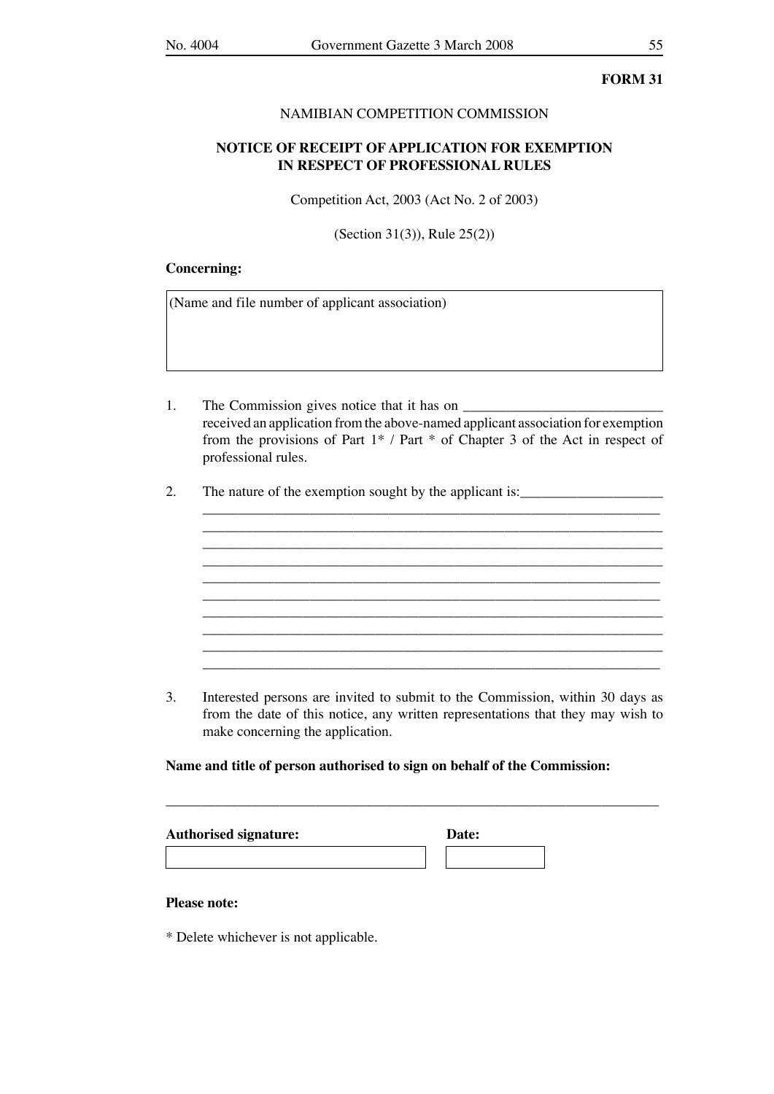### NAMIBIAN COMPETITION COMMISSION

## **NOTICE OF RECEIPT OF APPLICATION FOR EXEMPTION IN RESPECT OF PROFESSIONAL RULES**

Competition Act, 2003 (Act No. 2 of 2003)

(Section 31(3)), Rule 25(2))

### **Concerning:**

(Name and file number of applicant association)

1. The Commission gives notice that it has on received an application from the above-named applicant association for exemption from the provisions of Part 1\* / Part \* of Chapter 3 of the Act in respect of professional rules.

\_\_\_\_\_\_\_\_\_\_\_\_\_\_\_\_\_\_\_\_\_\_\_\_\_\_\_\_\_\_\_\_\_\_\_\_\_\_\_\_\_\_\_\_\_\_\_\_\_\_\_\_\_\_\_\_\_\_\_\_\_\_\_\_ \_\_\_\_\_\_\_\_\_\_\_\_\_\_\_\_\_\_\_\_\_\_\_\_\_\_\_\_\_\_\_\_\_\_\_\_\_\_\_\_\_\_\_\_\_\_\_\_\_\_\_\_\_\_\_\_\_\_\_\_\_\_\_\_ \_\_\_\_\_\_\_\_\_\_\_\_\_\_\_\_\_\_\_\_\_\_\_\_\_\_\_\_\_\_\_\_\_\_\_\_\_\_\_\_\_\_\_\_\_\_\_\_\_\_\_\_\_\_\_\_\_\_\_\_\_\_\_\_ \_\_\_\_\_\_\_\_\_\_\_\_\_\_\_\_\_\_\_\_\_\_\_\_\_\_\_\_\_\_\_\_\_\_\_\_\_\_\_\_\_\_\_\_\_\_\_\_\_\_\_\_\_\_\_\_\_\_\_\_\_\_\_\_ \_\_\_\_\_\_\_\_\_\_\_\_\_\_\_\_\_\_\_\_\_\_\_\_\_\_\_\_\_\_\_\_\_\_\_\_\_\_\_\_\_\_\_\_\_\_\_\_\_\_\_\_\_\_\_\_\_\_\_\_\_\_\_\_ \_\_\_\_\_\_\_\_\_\_\_\_\_\_\_\_\_\_\_\_\_\_\_\_\_\_\_\_\_\_\_\_\_\_\_\_\_\_\_\_\_\_\_\_\_\_\_\_\_\_\_\_\_\_\_\_\_\_\_\_\_\_\_\_ \_\_\_\_\_\_\_\_\_\_\_\_\_\_\_\_\_\_\_\_\_\_\_\_\_\_\_\_\_\_\_\_\_\_\_\_\_\_\_\_\_\_\_\_\_\_\_\_\_\_\_\_\_\_\_\_\_\_\_\_\_\_\_\_ \_\_\_\_\_\_\_\_\_\_\_\_\_\_\_\_\_\_\_\_\_\_\_\_\_\_\_\_\_\_\_\_\_\_\_\_\_\_\_\_\_\_\_\_\_\_\_\_\_\_\_\_\_\_\_\_\_\_\_\_\_\_\_\_ \_\_\_\_\_\_\_\_\_\_\_\_\_\_\_\_\_\_\_\_\_\_\_\_\_\_\_\_\_\_\_\_\_\_\_\_\_\_\_\_\_\_\_\_\_\_\_\_\_\_\_\_\_\_\_\_\_\_\_\_\_\_\_\_ \_\_\_\_\_\_\_\_\_\_\_\_\_\_\_\_\_\_\_\_\_\_\_\_\_\_\_\_\_\_\_\_\_\_\_\_\_\_\_\_\_\_\_\_\_\_\_\_\_\_\_\_\_\_\_\_\_\_\_\_\_\_\_\_

2. The nature of the exemption sought by the applicant is:

3. Interested persons are invited to submit to the Commission, within 30 days as from the date of this notice, any written representations that they may wish to make concerning the application.

\_\_\_\_\_\_\_\_\_\_\_\_\_\_\_\_\_\_\_\_\_\_\_\_\_\_\_\_\_\_\_\_\_\_\_\_\_\_\_\_\_\_\_\_\_\_\_\_\_\_\_\_\_\_\_\_\_\_\_\_\_\_\_\_\_\_\_\_\_

#### **Name and title of person authorised to sign on behalf of the Commission:**

| <b>Authorised signature:</b> | Date: |
|------------------------------|-------|
|------------------------------|-------|

### **Please note:**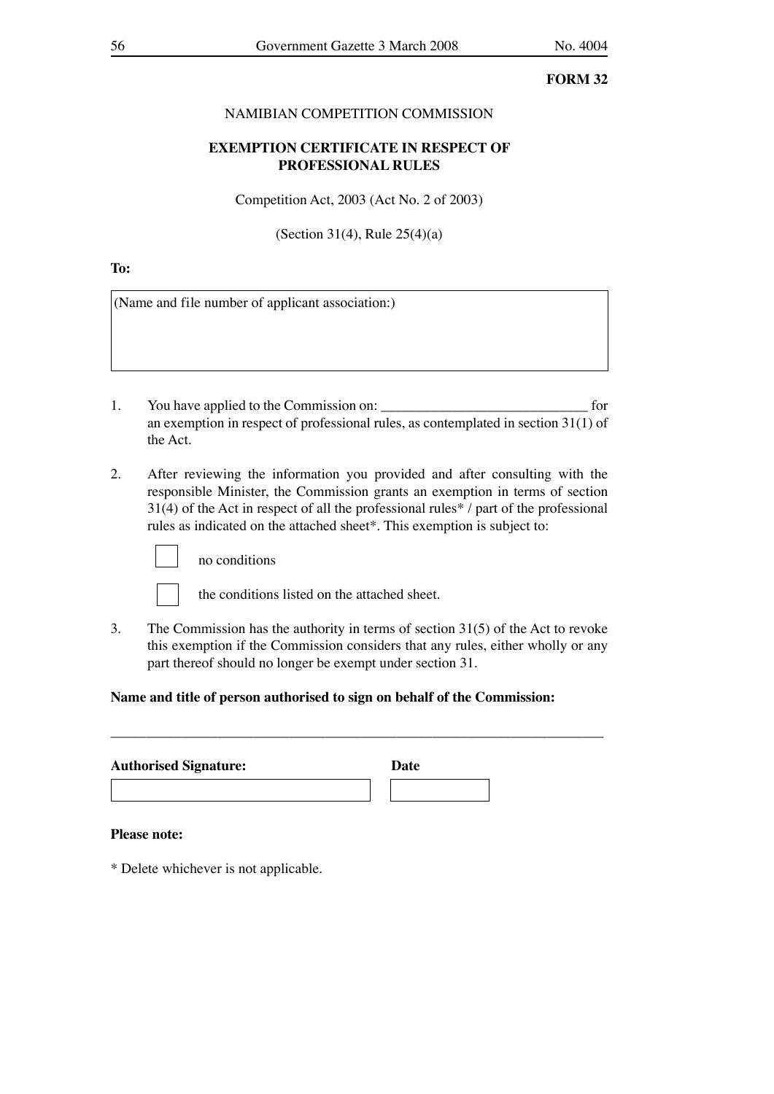## NAMIBIAN COMPETITION COMMISSION

## **EXEMPTION CERTIFICATE IN RESPECT OF PROFESSIONAL RULES**

Competition Act, 2003 (Act No. 2 of 2003)

(Section 31(4), Rule 25(4)(a)

**To:** 

(Name and file number of applicant association:)

- 1. You have applied to the Commission on: \_\_\_\_\_\_\_\_\_\_\_\_\_\_\_\_\_\_\_\_\_\_\_\_\_\_\_\_\_ for an exemption in respect of professional rules, as contemplated in section 31(1) of the Act.
- 2. After reviewing the information you provided and after consulting with the responsible Minister, the Commission grants an exemption in terms of section 31(4) of the Act in respect of all the professional rules\* / part of the professional rules as indicated on the attached sheet\*. This exemption is subject to:



no conditions

the conditions listed on the attached sheet.

3. The Commission has the authority in terms of section 31(5) of the Act to revoke this exemption if the Commission considers that any rules, either wholly or any part thereof should no longer be exempt under section 31.

## **Name and title of person authorised to sign on behalf of the Commission:**

| <b>Authorised Signature:</b> | Date |
|------------------------------|------|
|                              |      |

\_\_\_\_\_\_\_\_\_\_\_\_\_\_\_\_\_\_\_\_\_\_\_\_\_\_\_\_\_\_\_\_\_\_\_\_\_\_\_\_\_\_\_\_\_\_\_\_\_\_\_\_\_\_\_\_\_\_\_\_\_\_\_\_\_\_\_\_\_

#### **Please note:**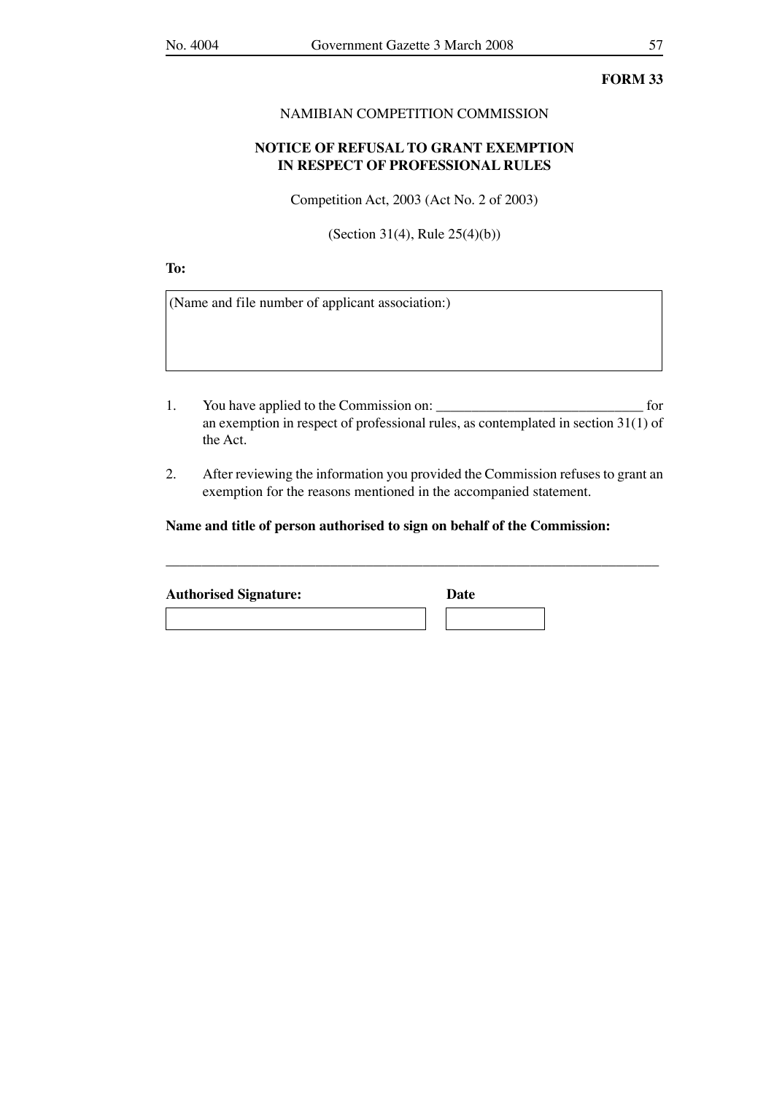#### NAMIBIAN COMPETITION COMMISSION

## **NOTICE OF REFUSAL TO GRANT EXEMPTION IN RESPECT OF PROFESSIONAL RULES**

Competition Act, 2003 (Act No. 2 of 2003)

(Section 31(4), Rule 25(4)(b))

**To:** 

(Name and file number of applicant association:)

- 1. You have applied to the Commission on: \_\_\_\_\_\_\_\_\_\_\_\_\_\_\_\_\_\_\_\_\_\_\_\_\_\_\_\_\_ for an exemption in respect of professional rules, as contemplated in section 31(1) of the Act.
- 2. After reviewing the information you provided the Commission refuses to grant an exemption for the reasons mentioned in the accompanied statement.

\_\_\_\_\_\_\_\_\_\_\_\_\_\_\_\_\_\_\_\_\_\_\_\_\_\_\_\_\_\_\_\_\_\_\_\_\_\_\_\_\_\_\_\_\_\_\_\_\_\_\_\_\_\_\_\_\_\_\_\_\_\_\_\_\_\_\_\_\_

**Name and title of person authorised to sign on behalf of the Commission:**

| <b>Authorised Signature:</b> | Date |  |
|------------------------------|------|--|
|                              |      |  |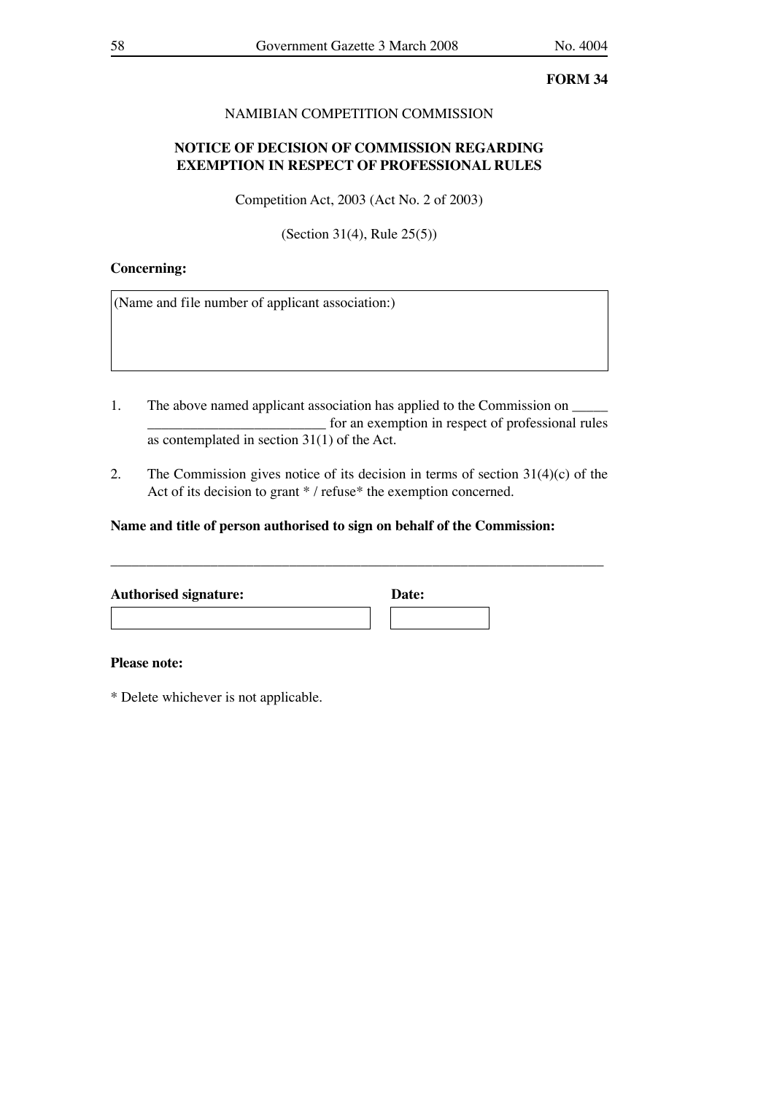## NAMIBIAN COMPETITION COMMISSION

## **NOTICE OF DECISION OF COMMISSION REGARDING EXEMPTION IN RESPECT OF PROFESSIONAL RULES**

Competition Act, 2003 (Act No. 2 of 2003)

(Section 31(4), Rule 25(5))

## **Concerning:**

(Name and file number of applicant association:)

- 1. The above named applicant association has applied to the Commission on \_\_\_\_\_\_\_\_\_\_\_\_\_\_\_\_\_\_\_\_\_\_\_\_\_ for an exemption in respect of professional rules as contemplated in section 31(1) of the Act.
- 2. The Commission gives notice of its decision in terms of section  $31(4)(c)$  of the Act of its decision to grant \* / refuse\* the exemption concerned.

## **Name and title of person authorised to sign on behalf of the Commission:**

| <b>Authorised signature:</b> | Date: |  |
|------------------------------|-------|--|
|                              |       |  |

\_\_\_\_\_\_\_\_\_\_\_\_\_\_\_\_\_\_\_\_\_\_\_\_\_\_\_\_\_\_\_\_\_\_\_\_\_\_\_\_\_\_\_\_\_\_\_\_\_\_\_\_\_\_\_\_\_\_\_\_\_\_\_\_\_\_\_\_\_

#### **Please note:**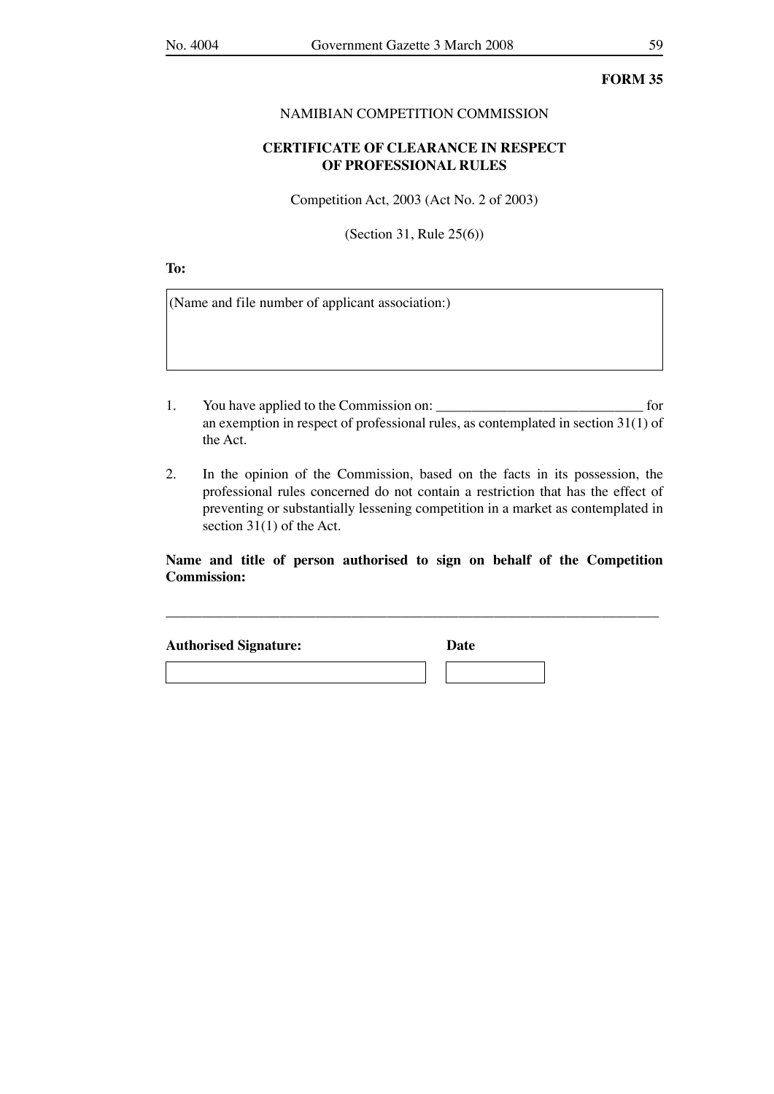### NAMIBIAN COMPETITION COMMISSION

## **CERTIFICATE OF CLEARANCE IN RESPECT OF PROFESSIONAL RULES**

Competition Act, 2003 (Act No. 2 of 2003)

(Section 31, Rule 25(6))

**To:** 

(Name and file number of applicant association:)

- 1. You have applied to the Commission on: \_\_\_\_\_\_\_\_\_\_\_\_\_\_\_\_\_\_\_\_\_\_\_\_\_\_\_\_\_ for an exemption in respect of professional rules, as contemplated in section 31(1) of the Act.
- 2. In the opinion of the Commission, based on the facts in its possession, the professional rules concerned do not contain a restriction that has the effect of preventing or substantially lessening competition in a market as contemplated in section 31(1) of the Act.

## **Name and title of person authorised to sign on behalf of the Competition Commission:**

\_\_\_\_\_\_\_\_\_\_\_\_\_\_\_\_\_\_\_\_\_\_\_\_\_\_\_\_\_\_\_\_\_\_\_\_\_\_\_\_\_\_\_\_\_\_\_\_\_\_\_\_\_\_\_\_\_\_\_\_\_\_\_\_\_\_\_\_\_

**Authorised Signature: Date**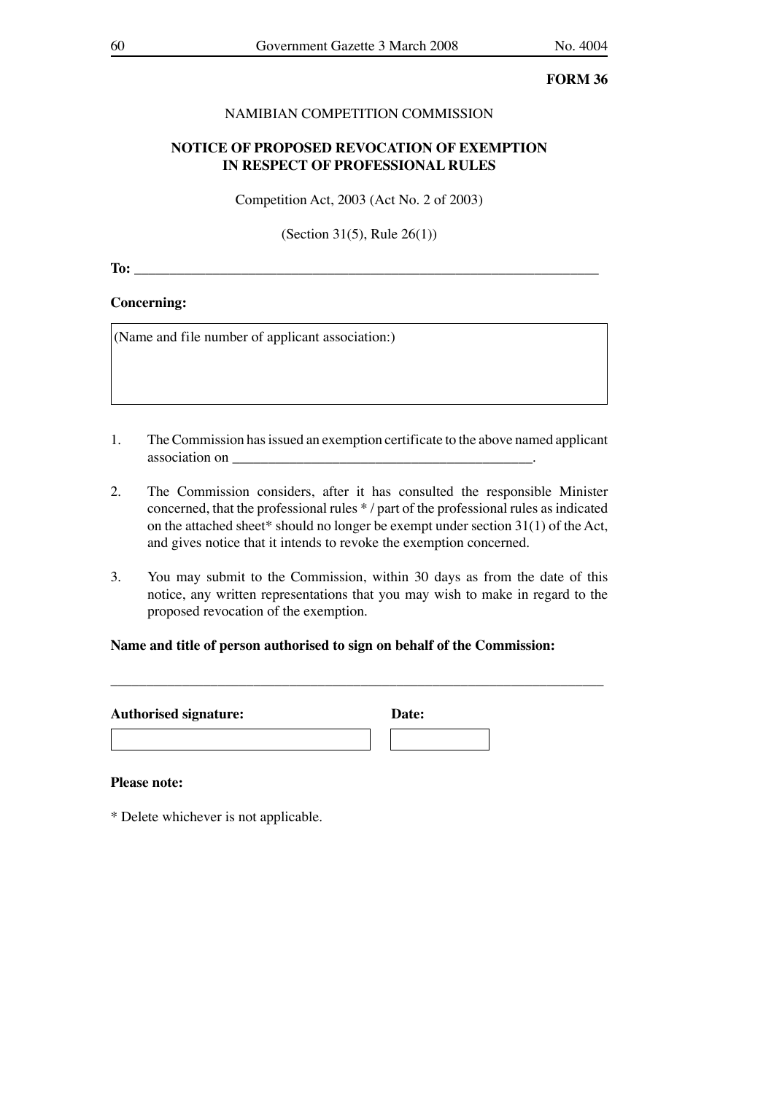## NAMIBIAN COMPETITION COMMISSION

## **NOTICE OF PROPOSED REVOCATION OF EXEMPTION IN RESPECT OF PROFESSIONAL RULES**

Competition Act, 2003 (Act No. 2 of 2003)

(Section 31(5), Rule 26(1))

**To:**  $\blacksquare$ 

#### **Concerning:**

(Name and file number of applicant association:)

- 1. The Commission has issued an exemption certificate to the above named applicant association on \_\_\_\_\_\_\_\_\_\_\_\_\_\_\_\_\_\_\_\_\_\_\_\_\_\_\_\_\_\_\_\_\_\_\_\_\_\_\_\_\_\_.
- 2. The Commission considers, after it has consulted the responsible Minister concerned, that the professional rules \* / part of the professional rules as indicated on the attached sheet\* should no longer be exempt under section 31(1) of the Act, and gives notice that it intends to revoke the exemption concerned.
- 3. You may submit to the Commission, within 30 days as from the date of this notice, any written representations that you may wish to make in regard to the proposed revocation of the exemption.

## **Name and title of person authorised to sign on behalf of the Commission:**

| <b>Authorised signature:</b> | Date: |  |
|------------------------------|-------|--|
|                              |       |  |

\_\_\_\_\_\_\_\_\_\_\_\_\_\_\_\_\_\_\_\_\_\_\_\_\_\_\_\_\_\_\_\_\_\_\_\_\_\_\_\_\_\_\_\_\_\_\_\_\_\_\_\_\_\_\_\_\_\_\_\_\_\_\_\_\_\_\_\_\_

#### **Please note:**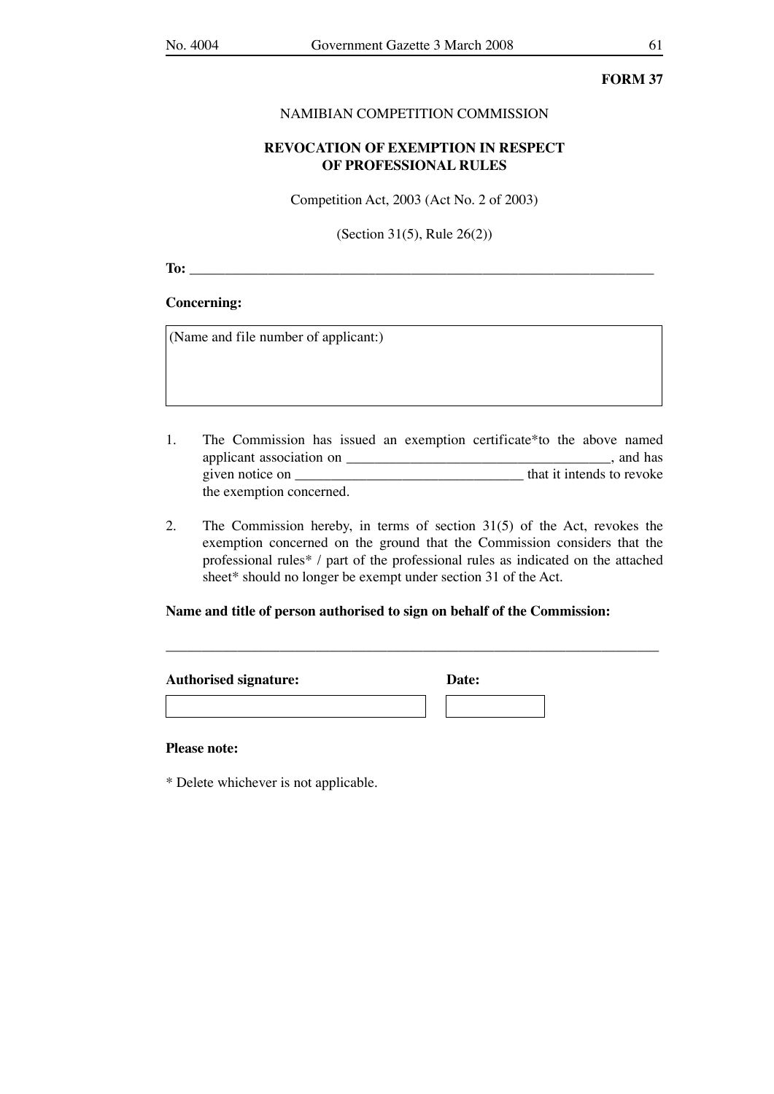### NAMIBIAN COMPETITION COMMISSION

## **REVOCATION OF EXEMPTION IN RESPECT OF PROFESSIONAL RULES**

Competition Act, 2003 (Act No. 2 of 2003)

(Section 31(5), Rule 26(2))

**To:**  $\blacksquare$ 

## **Concerning:**

(Name and file number of applicant:)

- 1. The Commission has issued an exemption certificate\*to the above named applicant association on \_\_\_\_\_\_\_\_\_\_\_\_\_\_\_\_\_\_\_\_\_\_\_\_\_\_\_\_\_\_\_\_\_\_\_\_\_, and has given notice on \_\_\_\_\_\_\_\_\_\_\_\_\_\_\_\_\_\_\_\_\_\_\_\_\_\_\_\_\_\_\_\_ that it intends to revoke the exemption concerned.
- 2. The Commission hereby, in terms of section 31(5) of the Act, revokes the exemption concerned on the ground that the Commission considers that the professional rules\* / part of the professional rules as indicated on the attached sheet\* should no longer be exempt under section 31 of the Act.

\_\_\_\_\_\_\_\_\_\_\_\_\_\_\_\_\_\_\_\_\_\_\_\_\_\_\_\_\_\_\_\_\_\_\_\_\_\_\_\_\_\_\_\_\_\_\_\_\_\_\_\_\_\_\_\_\_\_\_\_\_\_\_\_\_\_\_\_\_

### **Name and title of person authorised to sign on behalf of the Commission:**

| <b>Authorised signature:</b> | Date: |  |
|------------------------------|-------|--|
|                              |       |  |

### **Please note:**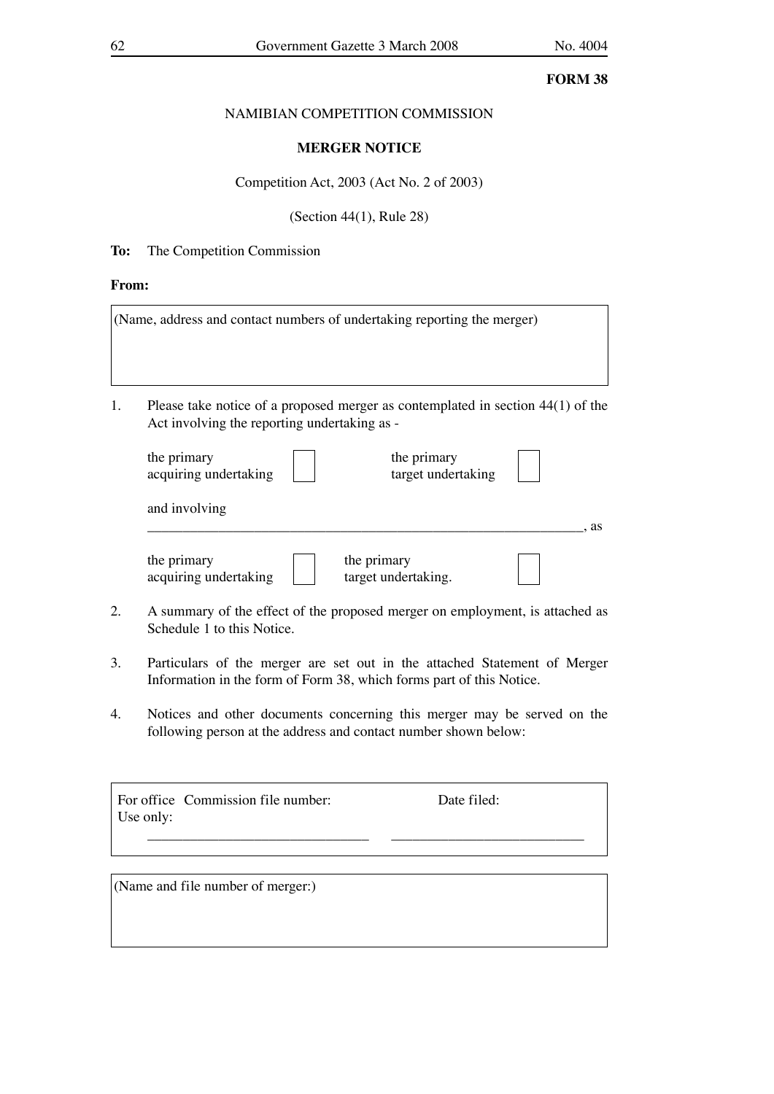## NAMIBIAN COMPETITION COMMISSION

## **MERGER NOTICE**

## Competition Act, 2003 (Act No. 2 of 2003)

(Section 44(1), Rule 28)

## **To:** The Competition Commission

### **From:**

|    | (Name, address and contact numbers of undertaking reporting the merger)                                                                                                                                   |                    |    |
|----|-----------------------------------------------------------------------------------------------------------------------------------------------------------------------------------------------------------|--------------------|----|
| 1. | Please take notice of a proposed merger as contemplated in section $44(1)$ of the<br>Act involving the reporting undertaking as -<br>the primary<br>the primary<br>acquiring undertaking<br>and involving | target undertaking |    |
|    | the primary<br>the primary<br>target undertaking.<br>acquiring undertaking                                                                                                                                |                    | as |

- 2. A summary of the effect of the proposed merger on employment, is attached as Schedule 1 to this Notice.
- 3. Particulars of the merger are set out in the attached Statement of Merger Information in the form of Form 38, which forms part of this Notice.
- 4. Notices and other documents concerning this merger may be served on the following person at the address and contact number shown below:

\_\_\_\_\_\_\_\_\_\_\_\_\_\_\_\_\_\_\_\_\_\_\_\_\_\_\_\_\_\_\_ \_\_\_\_\_\_\_\_\_\_\_\_\_\_\_\_\_\_\_\_\_\_\_\_\_\_\_

|           | For office Commission file number: |
|-----------|------------------------------------|
| Use only: |                                    |

Date filed:

(Name and file number of merger:)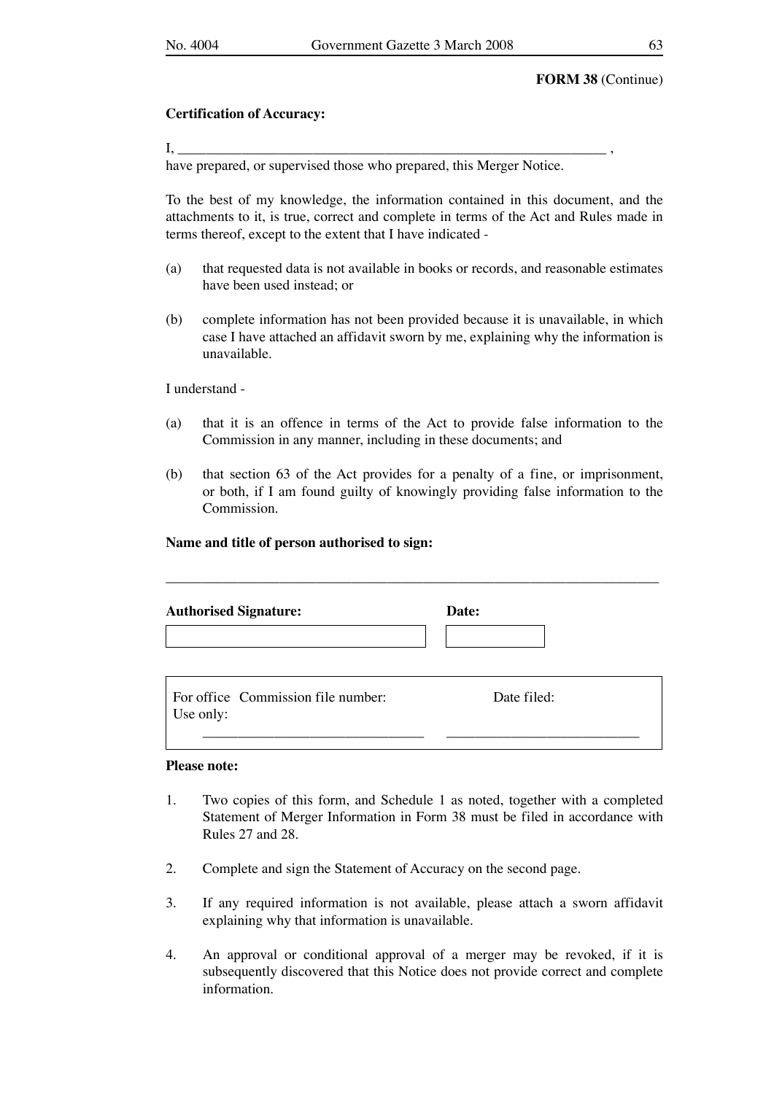### **Certification of Accuracy:**

 $\mathrm{I}, \_\_$ 

have prepared, or supervised those who prepared, this Merger Notice.

To the best of my knowledge, the information contained in this document, and the attachments to it, is true, correct and complete in terms of the Act and Rules made in terms thereof, except to the extent that I have indicated -

- (a) that requested data is not available in books or records, and reasonable estimates have been used instead; or
- (b) complete information has not been provided because it is unavailable, in which case I have attached an affidavit sworn by me, explaining why the information is unavailable.

I understand -

- (a) that it is an offence in terms of the Act to provide false information to the Commission in any manner, including in these documents; and
- (b) that section 63 of the Act provides for a penalty of a fine, or imprisonment, or both, if I am found guilty of knowingly providing false information to the Commission.

#### **Name and title of person authorised to sign:**

| <b>Authorised Signature:</b>                    | Date:       |  |
|-------------------------------------------------|-------------|--|
| For office Commission file number:<br>Use only: | Date filed: |  |

### **Please note:**

- 1. Two copies of this form, and Schedule 1 as noted, together with a completed Statement of Merger Information in Form 38 must be filed in accordance with Rules 27 and 28.
- 2. Complete and sign the Statement of Accuracy on the second page.
- 3. If any required information is not available, please attach a sworn affidavit explaining why that information is unavailable.
- 4. An approval or conditional approval of a merger may be revoked, if it is subsequently discovered that this Notice does not provide correct and complete information.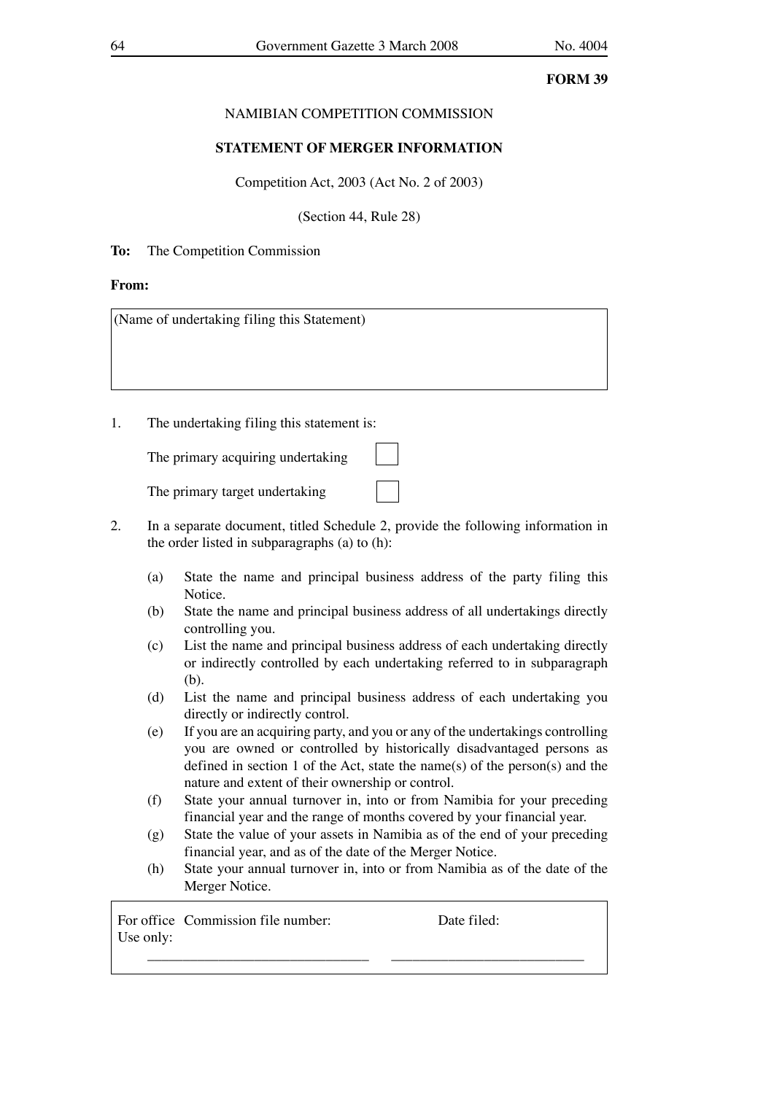## NAMIBIAN COMPETITION COMMISSION

## **STATEMENT OF MERGER INFORMATION**

Competition Act, 2003 (Act No. 2 of 2003)

(Section 44, Rule 28)

## **To:** The Competition Commission

## **From:**

(Name of undertaking filing this Statement)

1. The undertaking filing this statement is:

| The primary acquiring undertaking |  |  |
|-----------------------------------|--|--|
|-----------------------------------|--|--|

The primary target undertaking

- 2. In a separate document, titled Schedule 2, provide the following information in the order listed in subparagraphs (a) to (h):
	- (a) State the name and principal business address of the party filing this Notice.
	- (b) State the name and principal business address of all undertakings directly controlling you.
	- (c) List the name and principal business address of each undertaking directly or indirectly controlled by each undertaking referred to in subparagraph (b).
	- (d) List the name and principal business address of each undertaking you directly or indirectly control.
	- (e) If you are an acquiring party, and you or any of the undertakings controlling you are owned or controlled by historically disadvantaged persons as defined in section 1 of the Act, state the name(s) of the person(s) and the nature and extent of their ownership or control.
	- (f) State your annual turnover in, into or from Namibia for your preceding financial year and the range of months covered by your financial year.
	- (g) State the value of your assets in Namibia as of the end of your preceding financial year, and as of the date of the Merger Notice.
	- (h) State your annual turnover in, into or from Namibia as of the date of the Merger Notice.

\_\_\_\_\_\_\_\_\_\_\_\_\_\_\_\_\_\_\_\_\_\_\_\_\_\_\_\_\_\_\_ \_\_\_\_\_\_\_\_\_\_\_\_\_\_\_\_\_\_\_\_\_\_\_\_\_\_\_

For office Commission file number: Date filed: Use only: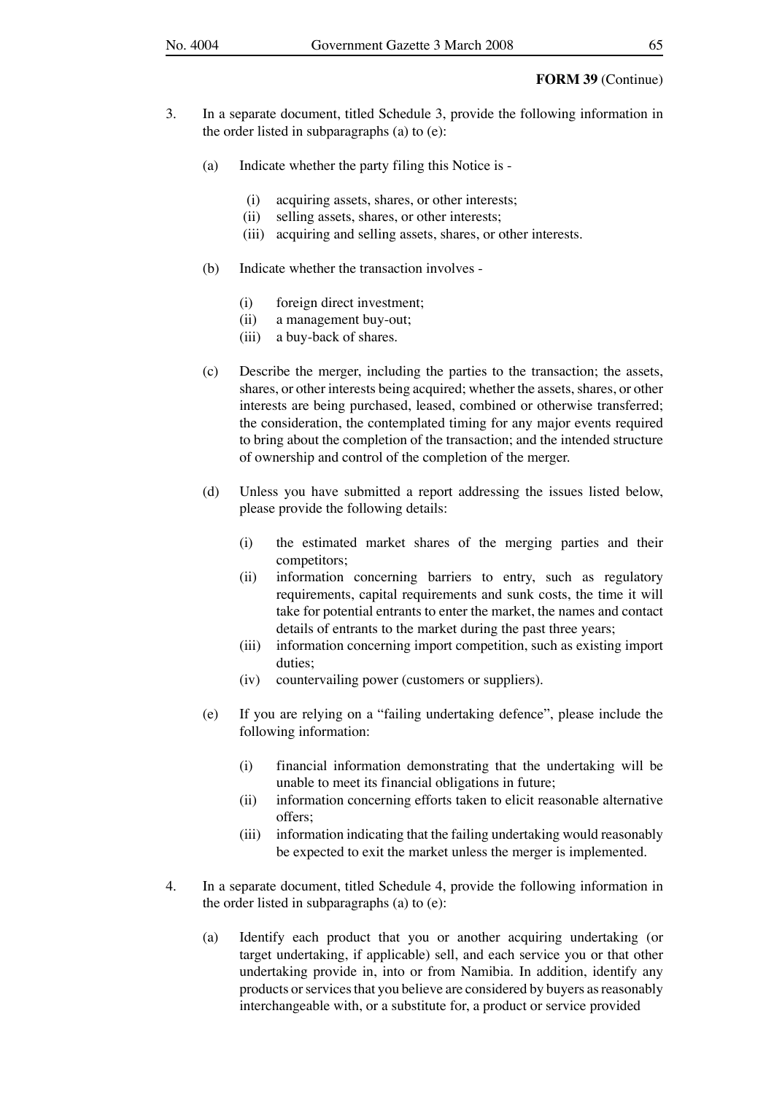#### **FORM 39** (Continue)

- 3. In a separate document, titled Schedule 3, provide the following information in the order listed in subparagraphs (a) to (e):
	- (a) Indicate whether the party filing this Notice is
		- (i) acquiring assets, shares, or other interests;
		- (ii) selling assets, shares, or other interests;
		- (iii) acquiring and selling assets, shares, or other interests.
	- (b) Indicate whether the transaction involves
		- (i) foreign direct investment;
		- (ii) a management buy-out;
		- (iii) a buy-back of shares.
	- (c) Describe the merger, including the parties to the transaction; the assets, shares, or other interests being acquired; whether the assets, shares, or other interests are being purchased, leased, combined or otherwise transferred; the consideration, the contemplated timing for any major events required to bring about the completion of the transaction; and the intended structure of ownership and control of the completion of the merger.
	- (d) Unless you have submitted a report addressing the issues listed below, please provide the following details:
		- (i) the estimated market shares of the merging parties and their competitors;
		- (ii) information concerning barriers to entry, such as regulatory requirements, capital requirements and sunk costs, the time it will take for potential entrants to enter the market, the names and contact details of entrants to the market during the past three years;
		- (iii) information concerning import competition, such as existing import duties;
		- (iv) countervailing power (customers or suppliers).
	- (e) If you are relying on a "failing undertaking defence", please include the following information:
		- (i) financial information demonstrating that the undertaking will be unable to meet its financial obligations in future;
		- (ii) information concerning efforts taken to elicit reasonable alternative offers;
		- (iii) information indicating that the failing undertaking would reasonably be expected to exit the market unless the merger is implemented.
- 4. In a separate document, titled Schedule 4, provide the following information in the order listed in subparagraphs (a) to (e):
	- (a) Identify each product that you or another acquiring undertaking (or target undertaking, if applicable) sell, and each service you or that other undertaking provide in, into or from Namibia. In addition, identify any products or services that you believe are considered by buyers as reasonably interchangeable with, or a substitute for, a product or service provided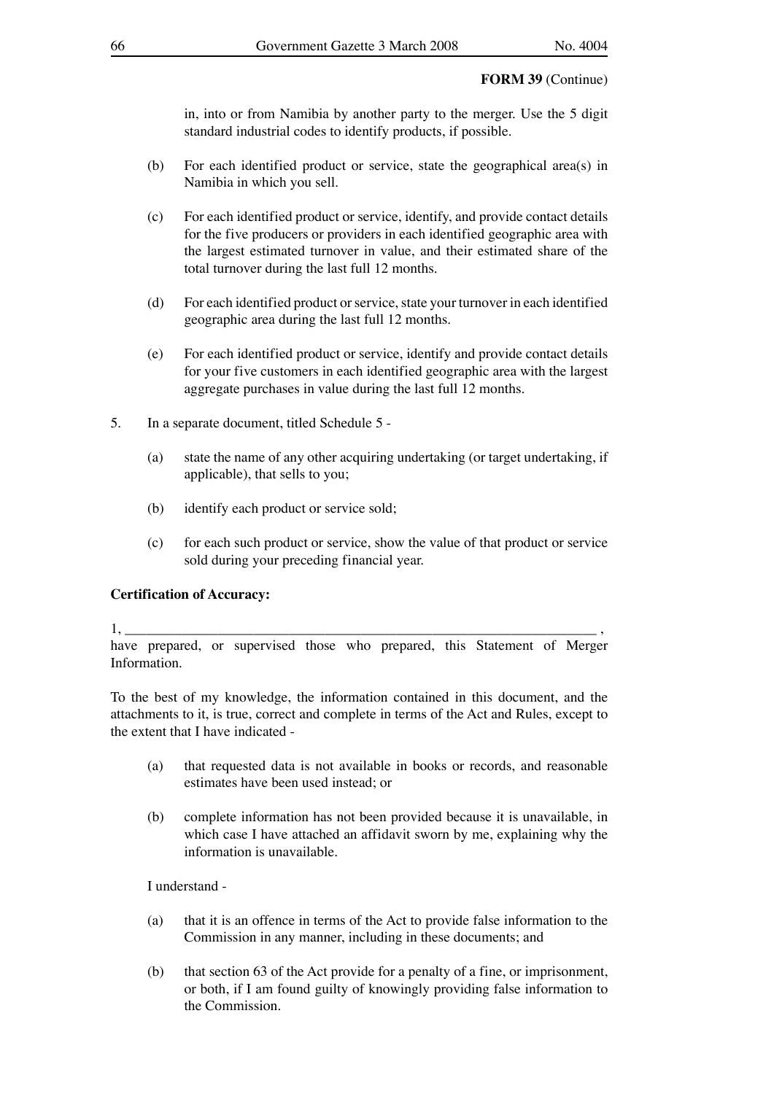### **FORM 39** (Continue)

 in, into or from Namibia by another party to the merger. Use the 5 digit standard industrial codes to identify products, if possible.

- (b) For each identified product or service, state the geographical area(s) in Namibia in which you sell.
- (c) For each identified product or service, identify, and provide contact details for the five producers or providers in each identified geographic area with the largest estimated turnover in value, and their estimated share of the total turnover during the last full 12 months.
- (d) For each identified product or service, state your turnover in each identified geographic area during the last full 12 months.
- (e) For each identified product or service, identify and provide contact details for your five customers in each identified geographic area with the largest aggregate purchases in value during the last full 12 months.
- 5. In a separate document, titled Schedule 5
	- (a) state the name of any other acquiring undertaking (or target undertaking, if applicable), that sells to you;
	- (b) identify each product or service sold;
	- (c) for each such product or service, show the value of that product or service sold during your preceding financial year.

## **Certification of Accuracy:**

1, \_\_\_\_\_\_\_\_\_\_\_\_\_\_\_\_\_\_\_\_\_\_\_\_\_\_\_\_\_\_\_\_\_\_\_\_\_\_\_\_\_\_\_\_\_\_\_\_\_\_\_\_\_\_\_\_\_\_\_\_\_\_\_\_\_\_ ,

have prepared, or supervised those who prepared, this Statement of Merger Information.

To the best of my knowledge, the information contained in this document, and the attachments to it, is true, correct and complete in terms of the Act and Rules, except to the extent that I have indicated -

- (a) that requested data is not available in books or records, and reasonable estimates have been used instead; or
- (b) complete information has not been provided because it is unavailable, in which case I have attached an affidavit sworn by me, explaining why the information is unavailable.

## I understand -

- (a) that it is an offence in terms of the Act to provide false information to the Commission in any manner, including in these documents; and
- (b) that section 63 of the Act provide for a penalty of a fine, or imprisonment, or both, if I am found guilty of knowingly providing false information to the Commission.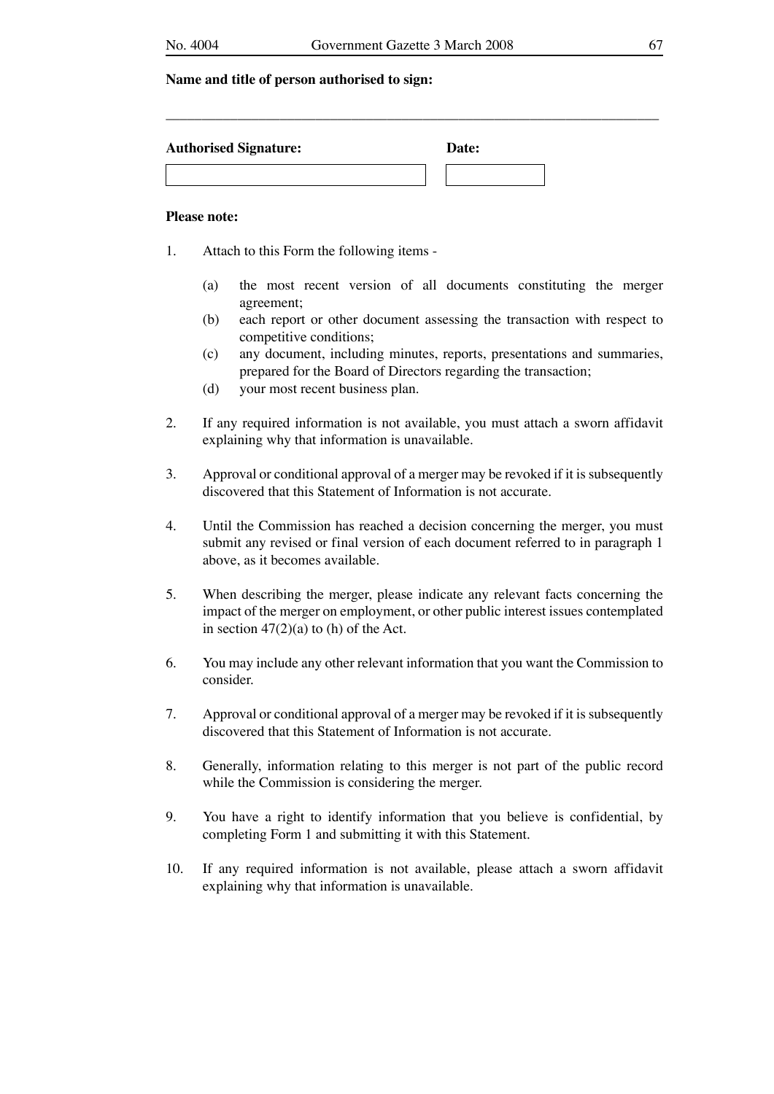\_\_\_\_\_\_\_\_\_\_\_\_\_\_\_\_\_\_\_\_\_\_\_\_\_\_\_\_\_\_\_\_\_\_\_\_\_\_\_\_\_\_\_\_\_\_\_\_\_\_\_\_\_\_\_\_\_\_\_\_\_\_\_\_\_\_\_\_\_

| <b>Authorised Signature:</b> | Date: |
|------------------------------|-------|
|                              |       |

#### **Please note:**

- 1. Attach to this Form the following items
	- (a) the most recent version of all documents constituting the merger agreement;
	- (b) each report or other document assessing the transaction with respect to competitive conditions;
	- (c) any document, including minutes, reports, presentations and summaries, prepared for the Board of Directors regarding the transaction;
	- (d) your most recent business plan.
- 2. If any required information is not available, you must attach a sworn affidavit explaining why that information is unavailable.
- 3. Approval or conditional approval of a merger may be revoked if it is subsequently discovered that this Statement of Information is not accurate.
- 4. Until the Commission has reached a decision concerning the merger, you must submit any revised or final version of each document referred to in paragraph 1 above, as it becomes available.
- 5. When describing the merger, please indicate any relevant facts concerning the impact of the merger on employment, or other public interest issues contemplated in section  $47(2)(a)$  to (h) of the Act.
- 6. You may include any other relevant information that you want the Commission to consider.
- 7. Approval or conditional approval of a merger may be revoked if it is subsequently discovered that this Statement of Information is not accurate.
- 8. Generally, information relating to this merger is not part of the public record while the Commission is considering the merger.
- 9. You have a right to identify information that you believe is confidential, by completing Form 1 and submitting it with this Statement.
- 10. If any required information is not available, please attach a sworn affidavit explaining why that information is unavailable.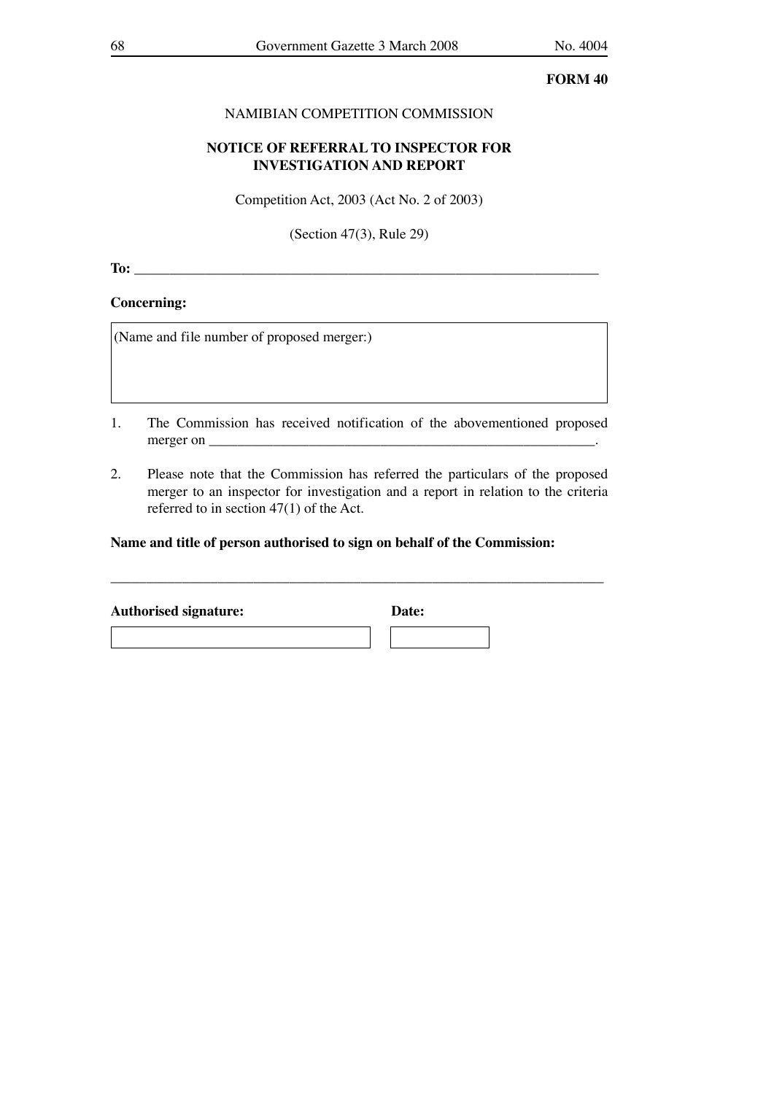## NAMIBIAN COMPETITION COMMISSION

## **NOTICE OF REFERRAL TO INSPECTOR FOR INVESTIGATION AND REPORT**

Competition Act, 2003 (Act No. 2 of 2003)

(Section 47(3), Rule 29)

**To:**  $\blacksquare$ 

### **Concerning:**

(Name and file number of proposed merger:)

- 1. The Commission has received notification of the abovementioned proposed merger on  $\blacksquare$
- 2. Please note that the Commission has referred the particulars of the proposed merger to an inspector for investigation and a report in relation to the criteria referred to in section 47(1) of the Act.

\_\_\_\_\_\_\_\_\_\_\_\_\_\_\_\_\_\_\_\_\_\_\_\_\_\_\_\_\_\_\_\_\_\_\_\_\_\_\_\_\_\_\_\_\_\_\_\_\_\_\_\_\_\_\_\_\_\_\_\_\_\_\_\_\_\_\_\_\_

### **Name and title of person authorised to sign on behalf of the Commission:**

| <b>Authorised signature:</b> | Date: |  |
|------------------------------|-------|--|
|                              |       |  |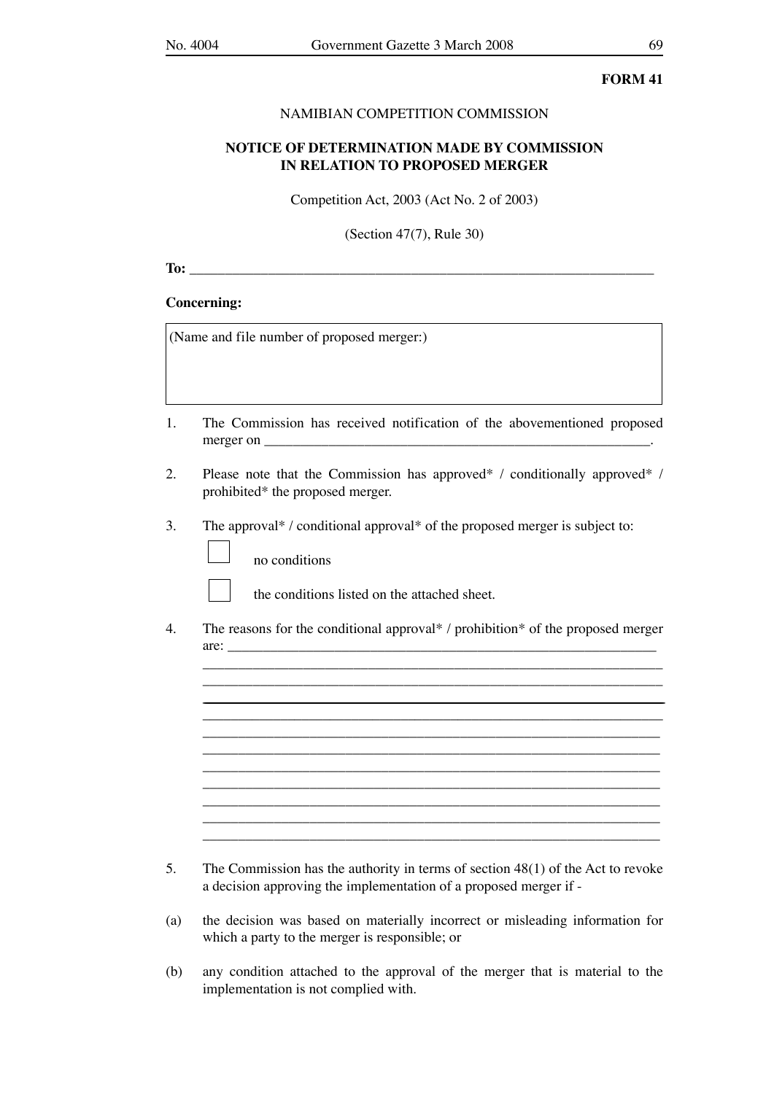#### NAMIBIAN COMPETITION COMMISSION

## **NOTICE OF DETERMINATION MADE BY COMMISSION IN RELATION TO PROPOSED MERGER**

Competition Act, 2003 (Act No. 2 of 2003)

(Section 47(7), Rule 30)

**To:**  $\blacksquare$ 

### **Concerning:**

(Name and file number of proposed merger:)

no conditions

- 1. The Commission has received notification of the abovementioned proposed merger on  $\blacksquare$
- 2. Please note that the Commission has approved\* / conditionally approved\* / prohibited\* the proposed merger.
- 3. The approval\* / conditional approval\* of the proposed merger is subject to:

the conditions listed on the attached sheet.

4. The reasons for the conditional approval\* / prohibition\* of the proposed merger  $\text{are:}\n \overline{\phantom{a}}$ 

 \_\_\_\_\_\_\_\_\_\_\_\_\_\_\_\_\_\_\_\_\_\_\_\_\_\_\_\_\_\_\_\_\_\_\_\_\_\_\_\_\_\_\_\_\_\_\_\_\_\_\_\_\_\_\_\_\_\_\_\_\_\_\_\_ \_\_\_\_\_\_\_\_\_\_\_\_\_\_\_\_\_\_\_\_\_\_\_\_\_\_\_\_\_\_\_\_\_\_\_\_\_\_\_\_\_\_\_\_\_\_\_\_\_\_\_\_\_\_\_\_\_\_\_\_\_\_\_\_

 $\overline{\phantom{a}}$  ,  $\overline{\phantom{a}}$  ,  $\overline{\phantom{a}}$  ,  $\overline{\phantom{a}}$  ,  $\overline{\phantom{a}}$  ,  $\overline{\phantom{a}}$  ,  $\overline{\phantom{a}}$  ,  $\overline{\phantom{a}}$  ,  $\overline{\phantom{a}}$  ,  $\overline{\phantom{a}}$  ,  $\overline{\phantom{a}}$  ,  $\overline{\phantom{a}}$  ,  $\overline{\phantom{a}}$  ,  $\overline{\phantom{a}}$  ,  $\overline{\phantom{a}}$  ,  $\overline{\phantom{a}}$  \_\_\_\_\_\_\_\_\_\_\_\_\_\_\_\_\_\_\_\_\_\_\_\_\_\_\_\_\_\_\_\_\_\_\_\_\_\_\_\_\_\_\_\_\_\_\_\_\_\_\_\_\_\_\_\_\_\_\_\_\_\_\_\_ \_\_\_\_\_\_\_\_\_\_\_\_\_\_\_\_\_\_\_\_\_\_\_\_\_\_\_\_\_\_\_\_\_\_\_\_\_\_\_\_\_\_\_\_\_\_\_\_\_\_\_\_\_\_\_\_\_\_\_\_\_\_\_\_ \_\_\_\_\_\_\_\_\_\_\_\_\_\_\_\_\_\_\_\_\_\_\_\_\_\_\_\_\_\_\_\_\_\_\_\_\_\_\_\_\_\_\_\_\_\_\_\_\_\_\_\_\_\_\_\_\_\_\_\_\_\_\_\_  $\overline{\phantom{a}}$  ,  $\overline{\phantom{a}}$  ,  $\overline{\phantom{a}}$  ,  $\overline{\phantom{a}}$  ,  $\overline{\phantom{a}}$  ,  $\overline{\phantom{a}}$  ,  $\overline{\phantom{a}}$  ,  $\overline{\phantom{a}}$  ,  $\overline{\phantom{a}}$  ,  $\overline{\phantom{a}}$  ,  $\overline{\phantom{a}}$  ,  $\overline{\phantom{a}}$  ,  $\overline{\phantom{a}}$  ,  $\overline{\phantom{a}}$  ,  $\overline{\phantom{a}}$  ,  $\overline{\phantom{a}}$  $\overline{\phantom{a}}$  ,  $\overline{\phantom{a}}$  ,  $\overline{\phantom{a}}$  ,  $\overline{\phantom{a}}$  ,  $\overline{\phantom{a}}$  ,  $\overline{\phantom{a}}$  ,  $\overline{\phantom{a}}$  ,  $\overline{\phantom{a}}$  ,  $\overline{\phantom{a}}$  ,  $\overline{\phantom{a}}$  ,  $\overline{\phantom{a}}$  ,  $\overline{\phantom{a}}$  ,  $\overline{\phantom{a}}$  ,  $\overline{\phantom{a}}$  ,  $\overline{\phantom{a}}$  ,  $\overline{\phantom{a}}$ \_\_\_\_\_\_\_\_\_\_\_\_\_\_\_\_\_\_\_\_\_\_\_\_\_\_\_\_\_\_\_\_\_\_\_\_\_\_\_\_\_\_\_\_\_\_\_\_\_\_\_\_\_\_\_\_\_\_\_\_\_\_\_\_

 $\overline{\phantom{a}}$  , and the contract of the contract of the contract of the contract of the contract of the contract of the contract of the contract of the contract of the contract of the contract of the contract of the contrac

- 5. The Commission has the authority in terms of section 48(1) of the Act to revoke a decision approving the implementation of a proposed merger if -
- (a) the decision was based on materially incorrect or misleading information for which a party to the merger is responsible; or
- (b) any condition attached to the approval of the merger that is material to the implementation is not complied with.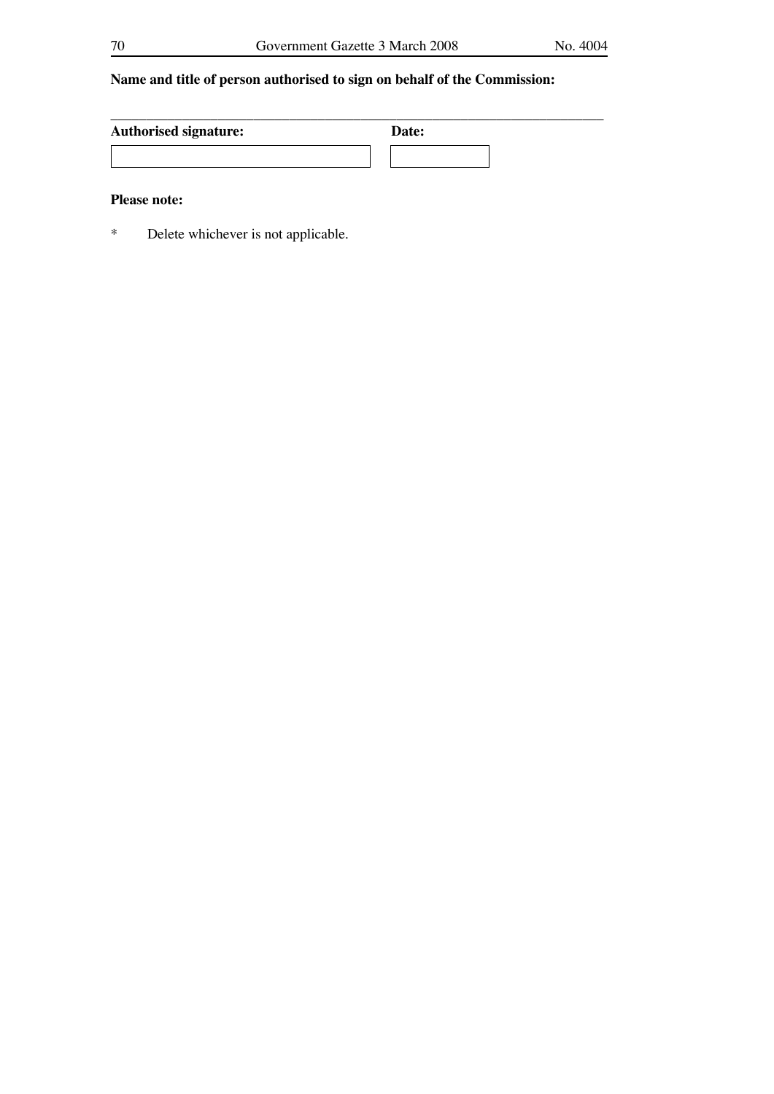# **Name and title of person authorised to sign on behalf of the Commission:**

| <b>Authorised signature:</b> | Date: |
|------------------------------|-------|
|                              |       |

## **Please note:**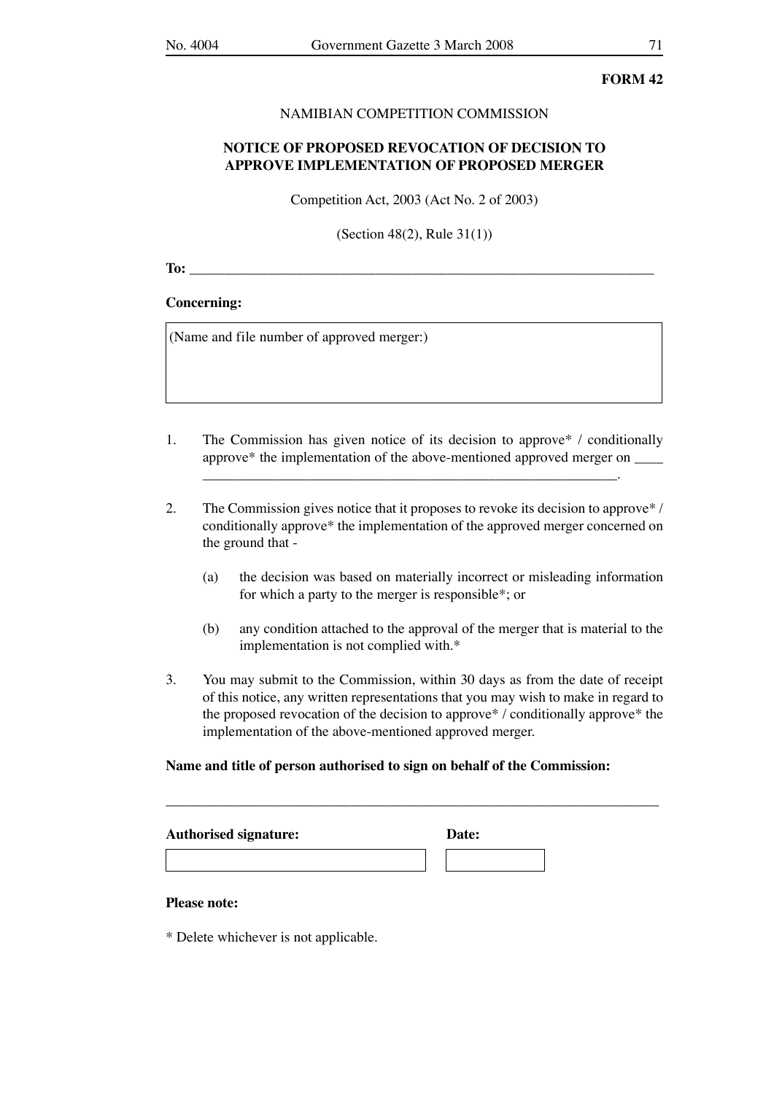#### NAMIBIAN COMPETITION COMMISSION

## **NOTICE OF PROPOSED REVOCATION OF DECISION TO APPROVE IMPLEMENTATION OF PROPOSED MERGER**

Competition Act, 2003 (Act No. 2 of 2003)

(Section 48(2), Rule 31(1))

**To:** \_\_\_\_\_\_\_\_\_\_\_\_\_\_\_\_\_\_\_\_\_\_\_\_\_\_\_\_\_\_\_\_\_\_\_\_\_\_\_\_\_\_\_\_\_\_\_\_\_\_\_\_\_\_\_\_\_\_\_\_\_\_\_\_\_

#### **Concerning:**

(Name and file number of approved merger:)

1. The Commission has given notice of its decision to approve\* / conditionally approve\* the implementation of the above-mentioned approved merger on \_\_\_\_

\_\_\_\_\_\_\_\_\_\_\_\_\_\_\_\_\_\_\_\_\_\_\_\_\_\_\_\_\_\_\_\_\_\_\_\_\_\_\_\_\_\_\_\_\_\_\_\_\_\_\_\_\_\_\_\_\_\_.

- 2. The Commission gives notice that it proposes to revoke its decision to approve\* / conditionally approve\* the implementation of the approved merger concerned on the ground that -
	- (a) the decision was based on materially incorrect or misleading information for which a party to the merger is responsible\*; or
	- (b) any condition attached to the approval of the merger that is material to the implementation is not complied with.\*
- 3. You may submit to the Commission, within 30 days as from the date of receipt of this notice, any written representations that you may wish to make in regard to the proposed revocation of the decision to approve\* / conditionally approve\* the implementation of the above-mentioned approved merger.

\_\_\_\_\_\_\_\_\_\_\_\_\_\_\_\_\_\_\_\_\_\_\_\_\_\_\_\_\_\_\_\_\_\_\_\_\_\_\_\_\_\_\_\_\_\_\_\_\_\_\_\_\_\_\_\_\_\_\_\_\_\_\_\_\_\_\_\_\_

#### **Name and title of person authorised to sign on behalf of the Commission:**

| <b>Authorised signature:</b> | Date: |  |
|------------------------------|-------|--|
|                              |       |  |

#### **Please note:**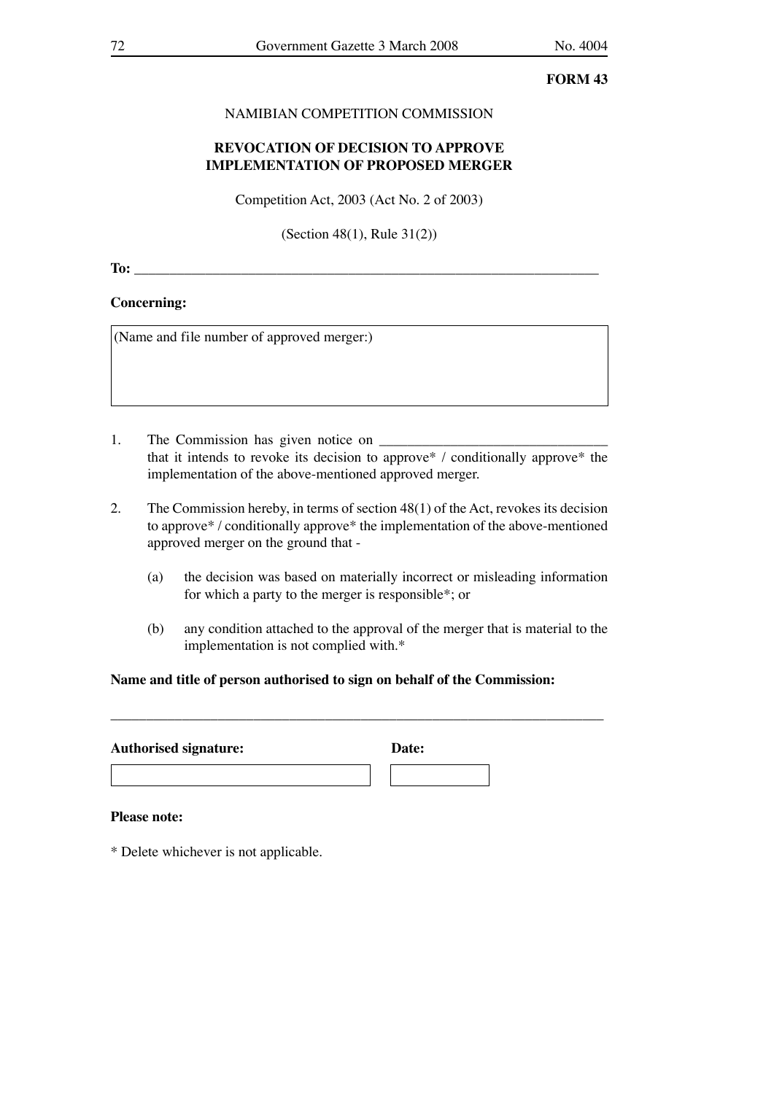## NAMIBIAN COMPETITION COMMISSION

## **REVOCATION OF DECISION TO APPROVE IMPLEMENTATION OF PROPOSED MERGER**

Competition Act, 2003 (Act No. 2 of 2003)

(Section 48(1), Rule 31(2))

**To:**  $\blacksquare$ 

#### **Concerning:**

(Name and file number of approved merger:)

- 1. The Commission has given notice on that it intends to revoke its decision to approve\* / conditionally approve\* the implementation of the above-mentioned approved merger.
- 2. The Commission hereby, in terms of section 48(1) of the Act, revokes its decision to approve\* / conditionally approve\* the implementation of the above-mentioned approved merger on the ground that -
	- (a) the decision was based on materially incorrect or misleading information for which a party to the merger is responsible\*; or
	- (b) any condition attached to the approval of the merger that is material to the implementation is not complied with.\*

### **Name and title of person authorised to sign on behalf of the Commission:**

\_\_\_\_\_\_\_\_\_\_\_\_\_\_\_\_\_\_\_\_\_\_\_\_\_\_\_\_\_\_\_\_\_\_\_\_\_\_\_\_\_\_\_\_\_\_\_\_\_\_\_\_\_\_\_\_\_\_\_\_\_\_\_\_\_\_\_\_\_

| <b>Authorised signature:</b> | Date: |
|------------------------------|-------|
|                              |       |

#### **Please note:**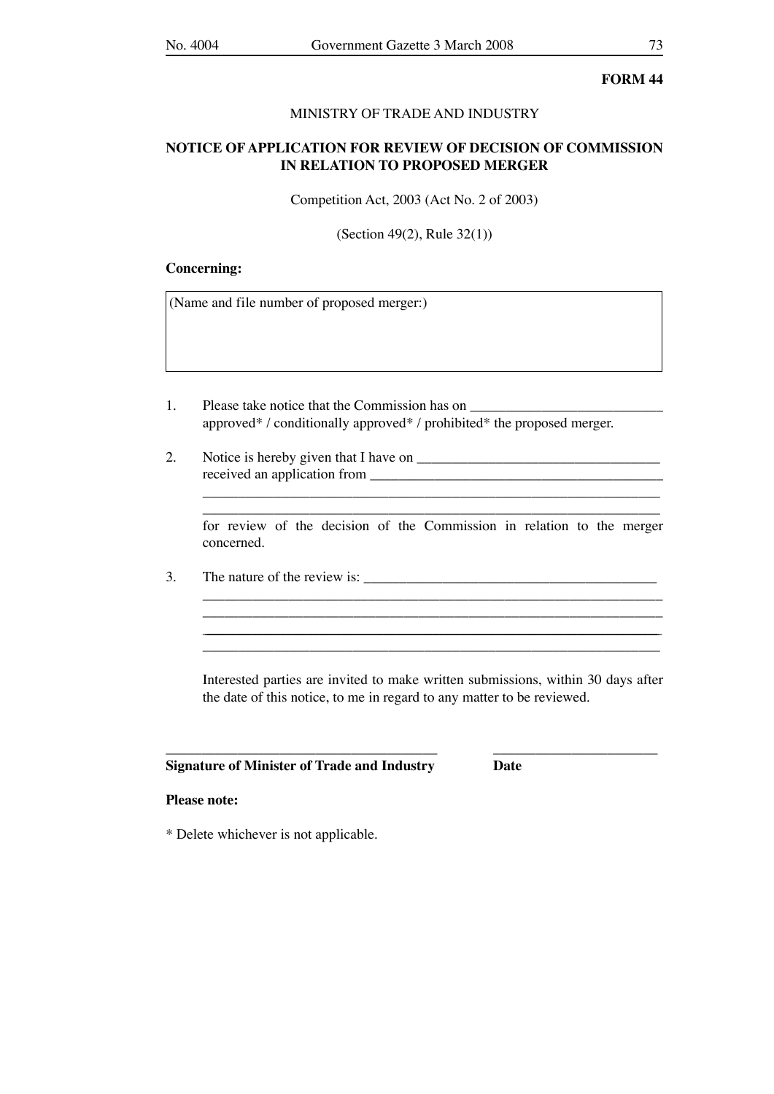#### MINISTRY OF TRADE AND INDUSTRY

# **NOTICE OF APPLICATION FOR REVIEW OF DECISION OF COMMISSION IN RELATION TO PROPOSED MERGER**

Competition Act, 2003 (Act No. 2 of 2003)

(Section 49(2), Rule 32(1))

#### **Concerning:**

(Name and file number of proposed merger:)

- 1. Please take notice that the Commission has on approved\* / conditionally approved\* / prohibited\* the proposed merger.
- 2. Notice is hereby given that I have on \_\_\_\_\_\_\_\_\_\_\_\_\_\_\_\_\_\_\_\_\_\_\_\_\_\_\_\_\_\_\_\_\_\_ received an application from \_\_\_\_\_\_\_\_\_\_\_\_\_\_\_\_\_\_\_\_\_\_\_\_\_\_\_\_\_\_\_\_\_\_\_\_\_\_\_\_\_

\_\_\_\_\_\_\_\_\_\_\_\_\_\_\_\_\_\_\_\_\_\_\_\_\_\_\_\_\_\_\_\_\_\_\_\_\_\_\_\_\_\_\_\_\_\_\_\_\_\_\_\_\_\_\_\_\_\_\_\_\_\_\_\_ for review of the decision of the Commission in relation to the merger concerned.

 $\mathcal{L}_\text{max}$ 

\_\_\_\_\_\_\_\_\_\_\_\_\_\_\_\_\_\_\_\_\_\_\_\_\_\_\_\_\_\_\_\_\_\_\_\_\_\_\_\_\_\_\_\_\_\_\_\_\_\_\_\_\_\_\_\_\_\_\_\_\_\_\_\_

 $3.$  The nature of the review is:

 Interested parties are invited to make written submissions, within 30 days after the date of this notice, to me in regard to any matter to be reviewed.

\_\_\_\_\_\_\_\_\_\_\_\_\_\_\_\_\_\_\_\_\_\_\_\_\_\_\_\_\_\_\_\_\_\_\_\_\_\_ \_\_\_\_\_\_\_\_\_\_\_\_\_\_\_\_\_\_\_\_\_\_\_

\_\_\_\_\_\_\_\_\_\_\_\_\_\_\_\_\_\_\_\_\_\_\_\_\_\_\_\_\_\_\_\_\_\_\_\_\_\_\_\_\_\_\_\_\_\_\_\_\_\_\_\_\_\_\_\_\_\_\_\_\_\_\_\_\_\_\_\_\_\_\_\_\_\_\_\_\_\_\_\_\_\_\_\_\_\_\_\_\_\_\_\_\_\_\_\_\_\_\_\_\_\_\_\_\_\_\_\_\_\_\_\_\_\_\_\_\_\_\_\_\_\_\_\_\_\_\_\_\_\_\_\_\_\_\_\_\_\_\_\_\_\_\_\_\_\_\_\_\_\_\_\_\_\_\_\_\_\_\_\_\_\_\_\_\_\_\_\_\_\_\_\_\_\_\_\_\_\_\_\_\_\_\_\_\_\_ \_\_\_\_\_\_\_\_\_\_\_\_\_\_\_\_\_\_\_\_\_\_\_\_\_\_\_\_\_\_\_\_\_\_\_\_\_\_\_\_\_\_\_\_\_\_\_\_\_\_\_\_\_\_\_\_\_\_\_\_\_\_\_\_

#### **Signature of Minister of Trade and Industry Date**

#### **Please note:**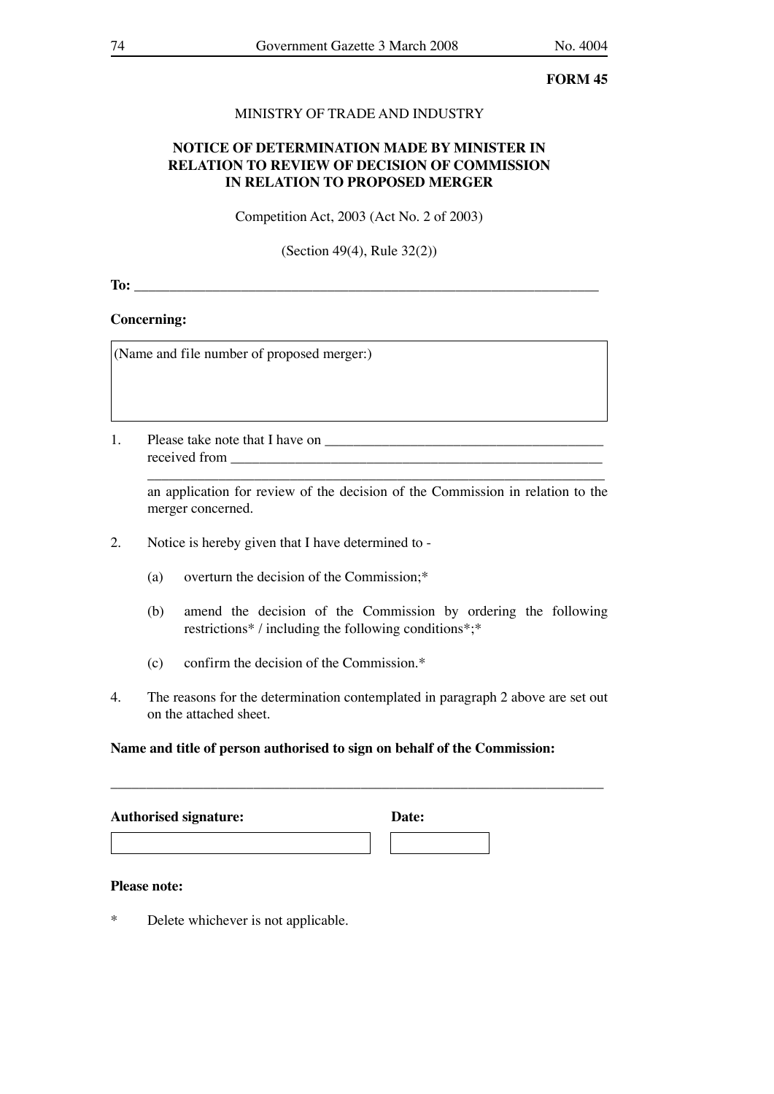# MINISTRY OF TRADE AND INDUSTRY

# **NOTICE OF DETERMINATION MADE BY MINISTER IN RELATION TO REVIEW OF DECISION OF COMMISSION IN RELATION TO PROPOSED MERGER**

Competition Act, 2003 (Act No. 2 of 2003)

(Section 49(4), Rule 32(2))

**To:** \_\_\_\_\_\_\_\_\_\_\_\_\_\_\_\_\_\_\_\_\_\_\_\_\_\_\_\_\_\_\_\_\_\_\_\_\_\_\_\_\_\_\_\_\_\_\_\_\_\_\_\_\_\_\_\_\_\_\_\_\_\_\_\_\_

# **Concerning:**

(Name and file number of proposed merger:)

1. Please take note that I have on received from \_\_\_\_\_\_\_\_\_\_\_\_\_\_\_\_\_\_\_\_\_\_\_\_\_\_\_\_\_\_\_\_\_\_\_\_\_\_\_\_\_\_\_\_\_\_\_\_\_\_\_\_

 $\overline{\phantom{a}}$  ,  $\overline{\phantom{a}}$  ,  $\overline{\phantom{a}}$  ,  $\overline{\phantom{a}}$  ,  $\overline{\phantom{a}}$  ,  $\overline{\phantom{a}}$  ,  $\overline{\phantom{a}}$  ,  $\overline{\phantom{a}}$  ,  $\overline{\phantom{a}}$  ,  $\overline{\phantom{a}}$  ,  $\overline{\phantom{a}}$  ,  $\overline{\phantom{a}}$  ,  $\overline{\phantom{a}}$  ,  $\overline{\phantom{a}}$  ,  $\overline{\phantom{a}}$  ,  $\overline{\phantom{a}}$  an application for review of the decision of the Commission in relation to the merger concerned.

- 2. Notice is hereby given that I have determined to
	- (a) overturn the decision of the Commission;\*
	- (b) amend the decision of the Commission by ordering the following restrictions\* / including the following conditions\*;\*
	- (c) confirm the decision of the Commission.\*
- 4. The reasons for the determination contemplated in paragraph 2 above are set out on the attached sheet.

# **Name and title of person authorised to sign on behalf of the Commission:**

| <b>Authorised signature:</b> | Date: |  |
|------------------------------|-------|--|
|                              |       |  |

### **Please note:**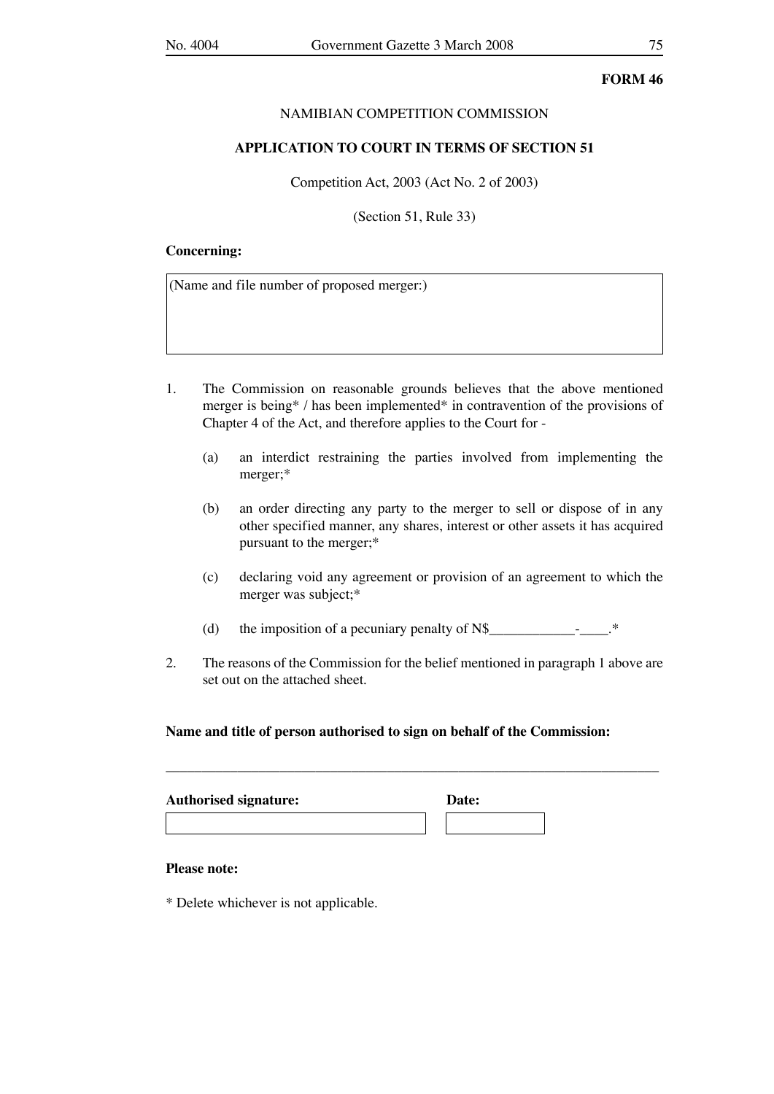### NAMIBIAN COMPETITION COMMISSION

### **APPLICATION TO COURT IN TERMS OF SECTION 51**

Competition Act, 2003 (Act No. 2 of 2003)

(Section 51, Rule 33)

#### **Concerning:**

(Name and file number of proposed merger:)

- 1. The Commission on reasonable grounds believes that the above mentioned merger is being\* / has been implemented\* in contravention of the provisions of Chapter 4 of the Act, and therefore applies to the Court for -
	- (a) an interdict restraining the parties involved from implementing the merger;\*
	- (b) an order directing any party to the merger to sell or dispose of in any other specified manner, any shares, interest or other assets it has acquired pursuant to the merger;\*
	- (c) declaring void any agreement or provision of an agreement to which the merger was subject;\*
	- (d) the imposition of a pecuniary penalty of  $N\$
- 2. The reasons of the Commission for the belief mentioned in paragraph 1 above are set out on the attached sheet.

\_\_\_\_\_\_\_\_\_\_\_\_\_\_\_\_\_\_\_\_\_\_\_\_\_\_\_\_\_\_\_\_\_\_\_\_\_\_\_\_\_\_\_\_\_\_\_\_\_\_\_\_\_\_\_\_\_\_\_\_\_\_\_\_\_\_\_\_\_

### **Name and title of person authorised to sign on behalf of the Commission:**

| <b>Authorised signature:</b> | <b>Date:</b> |  |
|------------------------------|--------------|--|
|                              |              |  |

#### **Please note:**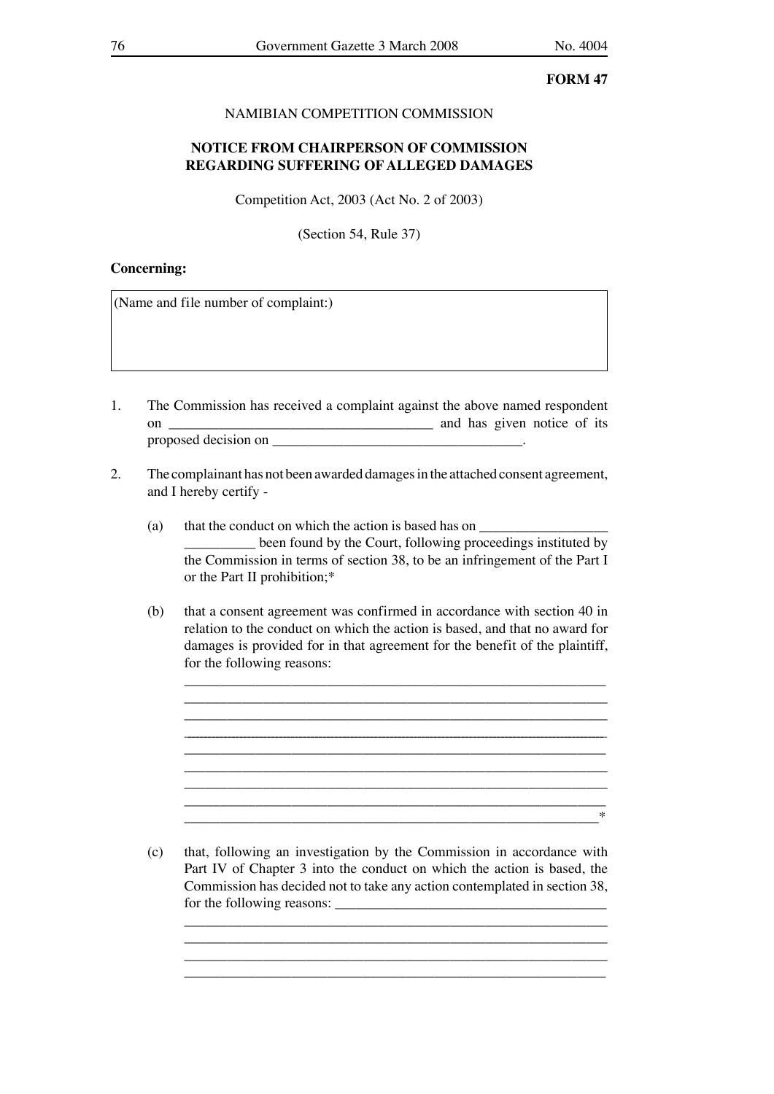# NAMIBIAN COMPETITION COMMISSION

# **NOTICE FROM CHAIRPERSON OF COMMISSION REGARDING SUFFERING OF ALLEGED DAMAGES**

Competition Act, 2003 (Act No. 2 of 2003)

(Section 54, Rule 37)

#### **Concerning:**

(Name and file number of complaint:)

- 1. The Commission has received a complaint against the above named respondent on \_\_\_\_\_\_\_\_\_\_\_\_\_\_\_\_\_\_\_\_\_\_\_\_\_\_\_\_\_\_\_\_\_\_\_\_\_ and has given notice of its proposed decision on  $\blacksquare$
- 2. The complainant has not been awarded damages in the attached consent agreement, and I hereby certify -
	- (a) that the conduct on which the action is based has on  $\frac{1}{\sqrt{2}}$ **Example 2.5** been found by the Court, following proceedings instituted by the Commission in terms of section 38, to be an infringement of the Part I or the Part II prohibition;\*
	- (b) that a consent agreement was confirmed in accordance with section 40 in relation to the conduct on which the action is based, and that no award for damages is provided for in that agreement for the benefit of the plaintiff, for the following reasons:

\_\_\_\_\_\_\_\_\_\_\_\_\_\_\_\_\_\_\_\_\_\_\_\_\_\_\_\_\_\_\_\_\_\_\_\_\_\_\_\_\_\_\_\_\_\_\_\_\_\_\_\_\_\_\_\_\_\_\_ \_\_\_\_\_\_\_\_\_\_\_\_\_\_\_\_\_\_\_\_\_\_\_\_\_\_\_\_\_\_\_\_\_\_\_\_\_\_\_\_\_\_\_\_\_\_\_\_\_\_\_\_\_\_\_\_\_\_\_\_\_\_\_\_\_\_\_\_\_\_\_\_\_\_\_\_\_\_\_\_\_\_\_\_\_\_\_\_\_\_\_\_\_\_\_\_\_\_\_\_\_\_\_\_\_\_ \_\_\_\_\_\_\_\_\_\_\_\_\_\_\_\_\_\_\_\_\_\_\_\_\_\_\_\_\_\_\_\_\_\_\_\_\_\_\_\_\_\_\_\_\_\_\_\_\_\_\_\_\_\_\_\_\_\_\_

\_\_\_\_\_\_\_\_\_\_\_\_\_\_\_\_\_\_\_\_\_\_\_\_\_\_\_\_\_\_\_\_\_\_\_\_\_\_\_\_\_\_\_\_\_\_\_\_\_\_\_\_\_\_\_\_\_\_\_

 \_\_\_\_\_\_\_\_\_\_\_\_\_\_\_\_\_\_\_\_\_\_\_\_\_\_\_\_\_\_\_\_\_\_\_\_\_\_\_\_\_\_\_\_\_\_\_\_\_\_\_\_\_\_\_\_\_\_\_ \_\_\_\_\_\_\_\_\_\_\_\_\_\_\_\_\_\_\_\_\_\_\_\_\_\_\_\_\_\_\_\_\_\_\_\_\_\_\_\_\_\_\_\_\_\_\_\_\_\_\_\_\_\_\_\_\_\_\_  $\ast$  \_\_\_\_\_\_\_\_\_\_\_\_\_\_\_\_\_\_\_\_\_\_\_\_\_\_\_\_\_\_\_\_\_\_\_\_\_\_\_\_\_\_\_\_\_\_\_\_\_\_\_\_\_\_\_\_\_\_\* (c) that, following an investigation by the Commission in accordance with Part IV of Chapter 3 into the conduct on which the action is based, the Commission has decided not to take any action contemplated in section 38,

> \_\_\_\_\_\_\_\_\_\_\_\_\_\_\_\_\_\_\_\_\_\_\_\_\_\_\_\_\_\_\_\_\_\_\_\_\_\_\_\_\_\_\_\_\_\_\_\_\_\_\_\_\_\_\_\_\_\_\_ \_\_\_\_\_\_\_\_\_\_\_\_\_\_\_\_\_\_\_\_\_\_\_\_\_\_\_\_\_\_\_\_\_\_\_\_\_\_\_\_\_\_\_\_\_\_\_\_\_\_\_\_\_\_\_\_\_\_\_ \_\_\_\_\_\_\_\_\_\_\_\_\_\_\_\_\_\_\_\_\_\_\_\_\_\_\_\_\_\_\_\_\_\_\_\_\_\_\_\_\_\_\_\_\_\_\_\_\_\_\_\_\_\_\_\_\_\_\_

for the following reasons: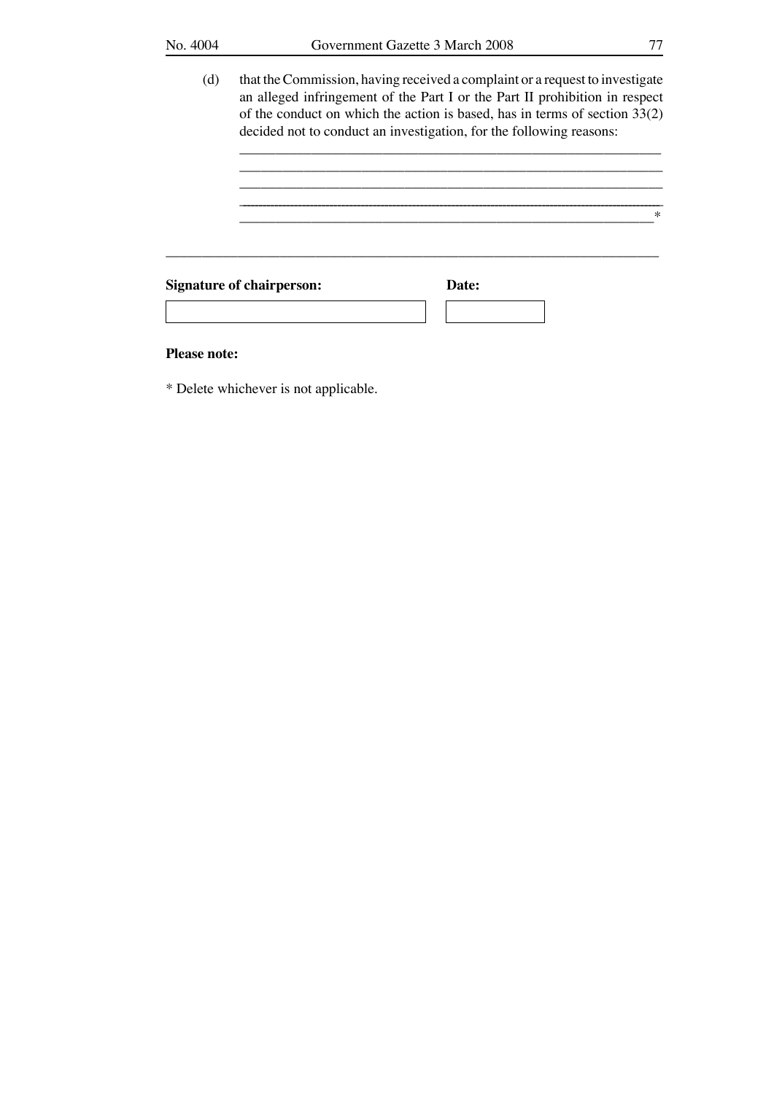$\overline{\phantom{a}}$  ,  $\overline{\phantom{a}}$  ,  $\overline{\phantom{a}}$  ,  $\overline{\phantom{a}}$  ,  $\overline{\phantom{a}}$  ,  $\overline{\phantom{a}}$  ,  $\overline{\phantom{a}}$  ,  $\overline{\phantom{a}}$  ,  $\overline{\phantom{a}}$  ,  $\overline{\phantom{a}}$  ,  $\overline{\phantom{a}}$  ,  $\overline{\phantom{a}}$  ,  $\overline{\phantom{a}}$  ,  $\overline{\phantom{a}}$  ,  $\overline{\phantom{a}}$  ,  $\overline{\phantom{a}}$  $\frac{1}{2}$  ,  $\frac{1}{2}$  ,  $\frac{1}{2}$  ,  $\frac{1}{2}$  ,  $\frac{1}{2}$  ,  $\frac{1}{2}$  ,  $\frac{1}{2}$  ,  $\frac{1}{2}$  ,  $\frac{1}{2}$  ,  $\frac{1}{2}$  ,  $\frac{1}{2}$  ,  $\frac{1}{2}$  ,  $\frac{1}{2}$  ,  $\frac{1}{2}$  ,  $\frac{1}{2}$  ,  $\frac{1}{2}$  ,  $\frac{1}{2}$  ,  $\frac{1}{2}$  ,  $\frac{1$ 

 (d) that the Commission, having received a complaint or a request to investigate an alleged infringement of the Part I or the Part II prohibition in respect of the conduct on which the action is based, has in terms of section 33(2) decided not to conduct an investigation, for the following reasons:

\_\_\_\_\_\_\_\_\_\_\_\_\_\_\_\_\_\_\_\_\_\_\_\_\_\_\_\_\_\_\_\_\_\_\_\_\_\_\_\_\_\_\_\_\_\_\_\_\_\_\_\_\_\_\_\_\_\_\_ \_\_\_\_\_\_\_\_\_\_\_\_\_\_\_\_\_\_\_\_\_\_\_\_\_\_\_\_\_\_\_\_\_\_\_\_\_\_\_\_\_\_\_\_\_\_\_\_\_\_\_\_\_\_\_\_\_\_\_\_\_\_\_\_\_\_\_\_\_\_\_\_\_\_\_\_\_\_\_\_\_\_\_\_\_\_\_\_\_\_\_\_\_\_\_\_\_\_\_\_\_\_\_\_\_\_\_ \_\_\_\_\_\_\_\_\_\_\_\_\_\_\_\_\_\_\_\_\_\_\_\_\_\_\_\_\_\_\_\_\_\_\_\_\_\_\_\_\_\_\_\_\_\_\_\_\_\_\_\_\_\_\_\_\_\_\*

\_\_\_\_\_\_\_\_\_\_\_\_\_\_\_\_\_\_\_\_\_\_\_\_\_\_\_\_\_\_\_\_\_\_\_\_\_\_\_\_\_\_\_\_\_\_\_\_\_\_\_\_\_\_\_\_\_\_\_\_\_\_\_\_\_\_\_\_\_ **Signature of chairperson: Date:**

#### **Please note:**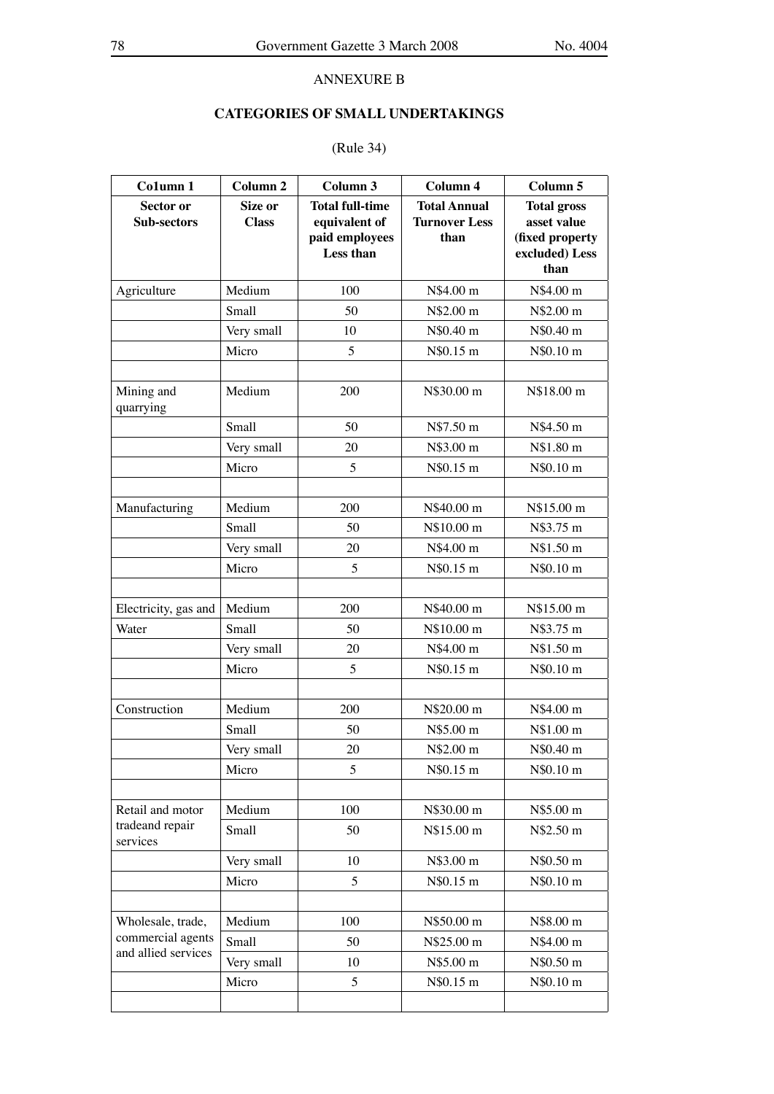# ANNEXURE B

# **CATEGORIES OF SMALL UNDERTAKINGS**

# (Rule 34)

| Co1umn 1                                                      | Column <sub>2</sub>     | Column 3                                                                      | Column 4                                            | Column 5                                                                       |
|---------------------------------------------------------------|-------------------------|-------------------------------------------------------------------------------|-----------------------------------------------------|--------------------------------------------------------------------------------|
| Sector or<br><b>Sub-sectors</b>                               | Size or<br><b>Class</b> | <b>Total full-time</b><br>equivalent of<br>paid employees<br><b>Less than</b> | <b>Total Annual</b><br><b>Turnover Less</b><br>than | <b>Total gross</b><br>asset value<br>(fixed property<br>excluded) Less<br>than |
| Agriculture                                                   | Medium                  | 100                                                                           | N\$4.00 m                                           | N\$4.00 m                                                                      |
|                                                               | Small                   | 50                                                                            | N\$2.00 m                                           | N\$2.00 m                                                                      |
|                                                               | Very small              | 10                                                                            | N\$0.40 m                                           | N\$0.40 m                                                                      |
|                                                               | Micro                   | 5                                                                             | N\$0.15 m                                           | N\$0.10 m                                                                      |
| Mining and<br>quarrying                                       | Medium                  | 200                                                                           | N\$30.00 m                                          | N\$18.00 m                                                                     |
|                                                               | Small                   | 50                                                                            | N\$7.50 m                                           | N\$4.50 m                                                                      |
|                                                               | Very small              | 20                                                                            | N\$3.00 m                                           | N\$1.80 m                                                                      |
|                                                               | Micro                   | 5                                                                             | N\$0.15 m                                           | N\$0.10 m                                                                      |
|                                                               |                         |                                                                               |                                                     |                                                                                |
| Manufacturing                                                 | Medium                  | 200                                                                           | N\$40.00 m                                          | N\$15.00 m                                                                     |
|                                                               | Small                   | 50                                                                            | N\$10.00 m                                          | N\$3.75 m                                                                      |
|                                                               | Very small              | 20                                                                            | N\$4.00 m                                           | N\$1.50 m                                                                      |
|                                                               | Micro                   | 5                                                                             | N\$0.15 m                                           | N\$0.10 m                                                                      |
|                                                               |                         |                                                                               |                                                     |                                                                                |
| Electricity, gas and                                          | Medium                  | 200                                                                           | N\$40.00 m                                          | N\$15.00 m                                                                     |
| Water                                                         | Small                   | 50                                                                            | N\$10.00 m                                          | N\$3.75 m                                                                      |
|                                                               | Very small              | 20                                                                            | N\$4.00 m                                           | N\$1.50 m                                                                      |
|                                                               | Micro                   | 5                                                                             | N\$0.15 m                                           | N\$0.10 m                                                                      |
|                                                               |                         |                                                                               |                                                     |                                                                                |
| Construction                                                  | Medium                  | 200                                                                           | N\$20.00 m                                          | N\$4.00 m                                                                      |
|                                                               | Small                   | 50                                                                            | N\$5.00 m                                           | N\$1.00 m                                                                      |
|                                                               | Very small              | 20                                                                            | N\$2.00 m                                           | N\$0.40 m                                                                      |
|                                                               | Micro                   | 5                                                                             | N\$0.15 m                                           | N\$0.10 m                                                                      |
|                                                               |                         |                                                                               |                                                     |                                                                                |
| Retail and motor                                              | Medium                  | 100                                                                           | N\$30.00 m                                          | N\$5.00 m                                                                      |
| tradeand repair<br>services                                   | Small                   | 50                                                                            | N\$15.00 m                                          | N\$2.50 m                                                                      |
|                                                               | Very small              | 10                                                                            | N\$3.00 m                                           | N\$0.50 m                                                                      |
|                                                               | Micro                   | 5                                                                             | N\$0.15 m                                           | N\$0.10 m                                                                      |
|                                                               |                         |                                                                               |                                                     |                                                                                |
| Wholesale, trade,<br>commercial agents<br>and allied services | Medium                  | 100                                                                           | N\$50.00 m                                          | N\$8.00 m                                                                      |
|                                                               | Small                   | 50                                                                            | N\$25.00 m                                          | N\$4.00 m                                                                      |
|                                                               | Very small              | 10                                                                            | N\$5.00 m                                           | N\$0.50 m                                                                      |
|                                                               | Micro                   | 5                                                                             | N\$0.15 m                                           | N\$0.10 m                                                                      |
|                                                               |                         |                                                                               |                                                     |                                                                                |